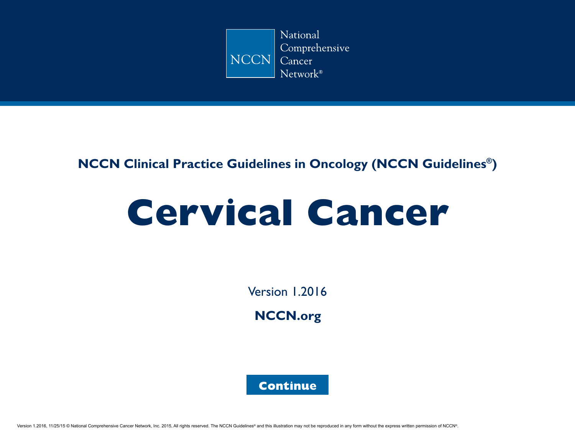

## **NCCN Clinical Practice Guidelines in Oncology (NCCN Guidelines®)**

# **Cervical Cancer**

Version 1.2016

**[NCCN.org](http://www.nccn.org/default.aspx)**

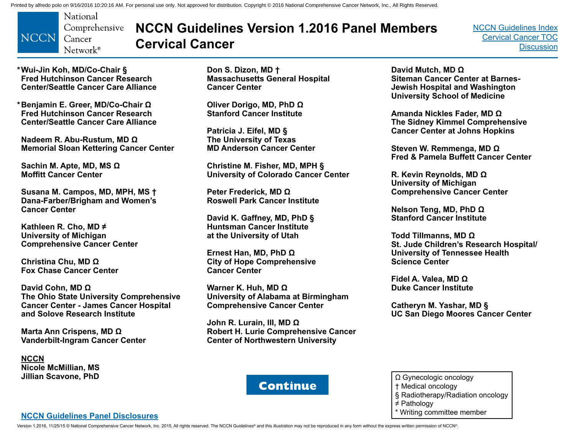<span id="page-1-0"></span>

## **NCCN Guidelines Version 1.2016 Panel Members Cervical Cancer**

[NCCN Guidelines Index](http://www.nccn.org/professionals/physician_gls/f_guidelines.asp) [Cervical Cancer TOC](#page-2-0) **[Discussion](#page-34-0)** 

**\*Wui-Jin Koh, MD/Co-Chair § Fred Hutchinson Cancer Research Center/Seattle Cancer Care Alliance**

**Benjamin E. Greer, MD/Co-Chair Ω \* Fred Hutchinson Cancer Research Center/Seattle Cancer Care Alliance**

**Nadeem R. Abu-Rustum, MD Ω Memorial Sloan Kettering Cancer Center**

**Sachin M. Apte, MD, MS Ω Moffitt Cancer Center**

**Susana M. Campos, MD, MPH, MS † Dana-Farber/Brigham and Women's Cancer Center** 

**Kathleen R. Cho, MD ≠ University of Michigan Comprehensive Cancer Center**

**Christina Chu, MD Ω Fox Chase Cancer Center**

**David Cohn, MD Ω The Ohio State University Comprehensive Cancer Center - James Cancer Hospital and Solove Research Institute**

**Marta Ann Crispens, MD Ω Vanderbilt-Ingram Cancer Center**

**NCCN Nicole McMillian, MS Jillian Scavone, PhD**

**Don S. Dizon, MD † Massachusetts General Hospital Cancer Center**

**Oliver Dorigo, MD, PhD Ω Stanford Cancer Institute**

**Patricia J. Eifel, MD § The University of Texas MD Anderson Cancer Center**

**Christine M. Fisher, MD, MPH § University of Colorado Cancer Center**

**Peter Frederick, MD Ω Roswell Park Cancer Institute**

**David K. Gaffney, MD, PhD § Huntsman Cancer Institute at the University of Utah**

**Ernest Han, MD, PhD Ω City of Hope Comprehensive Cancer Center**

**Warner K. Huh, MD Ω University of Alabama at Birmingham Comprehensive Cancer Center**

**John R. Lurain, III, MD Ω Robert H. Lurie Comprehensive Cancer Center of Northwestern University**

**David Mutch, MD Ω Siteman Cancer Center at Barnes-Jewish Hospital and Washington University School of Medicine**

**Amanda Nickles Fader, MD Ω The Sidney Kimmel Comprehensive Cancer Center at Johns Hopkins**

**Steven W. Remmenga, MD Ω Fred & Pamela Buffett Cancer Center**

**R. Kevin Reynolds, MD Ω University of Michigan Comprehensive Cancer Center**

**Nelson Teng, MD, PhD Ω Stanford Cancer Institute**

**Todd Tillmanns, MD Ω St. Jude Children's Research Hospital/ University of Tennessee Health Science Center**

**Fidel A. Valea, MD Ω Duke Cancer Institute**

**Catheryn M. Yashar, MD § UC San Diego Moores Cancer Center**



- Ω Gynecologic oncology
- † Medical oncology
- § Radiotherapy/Radiation oncology
- ≠ Pathology
- \* Writing committee member

#### **[NCCN Guidelines Panel Disclosures](http://www.nccn.org/disclosures/panel_list.asp?ID=50)**

Version 1.2016, 11/25/15 © National Comprehensive Cancer Network, Inc. 2015, All rights reserved. The NCCN Guidelines® and this illustration may not be reproduced in any form without the express written permission of NCCN®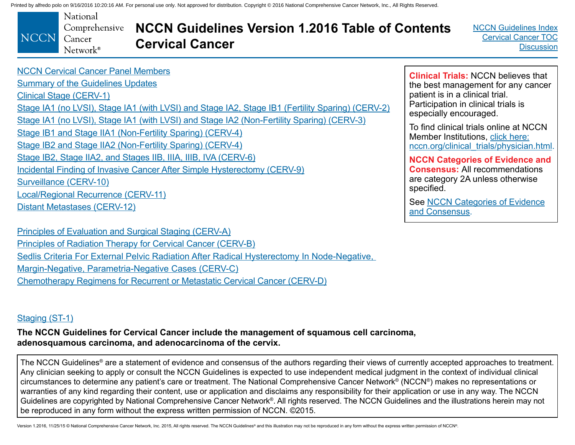<span id="page-2-0"></span>

[NCCN Guidelines Index](http://www.nccn.org/professionals/physician_gls/f_guidelines.asp) Cervical Cancer TOC **[Discussion](#page-34-0)** 

[NCCN Cervical Cancer Panel Members](#page-1-0)

[Summary of the Guidelines Updates](#page-3-0) [Clinical Stage \(CERV-1\)](#page-5-0) [Stage IA1 \(no LVSI\), Stage IA1 \(with LVSI\) and Stage IA2, Stage IB1 \(Fertility Sparing\) \(CERV-2\)](#page-6-0) [Stage IA1 \(no LVSI\), Stage IA1 \(with LVSI\) and Stage IA2 \(Non-Fertility Sparing\) \(CERV-3\)](#page-7-0) [Stage IB1 and Stage IIA1 \(Non-Fertility Sparing\) \(CERV-4\)](#page-8-0) [Stage IB2 and Stage IIA2 \(Non-Fertility Sparing\) \(CERV-4\)](#page-8-0) [Stage IB2, Stage IIA2, and Stages IIB, IIIA, IIIB, IVA \(CERV-6\)](#page-10-0) [Incidental Finding of Invasive Cancer After Simple Hysterectomy \(CERV-9\)](#page-13-0) [Surveillance \(CERV-10\)](#page-14-0) [Local/Regional Recurrence \(CERV-11\)](#page-15-0) [Distant Metastases \(CERV-12\)](#page-16-0)

[Principles of Evaluation and Surgical Staging \(CERV-A\)](#page-17-0) [Principles of Radiation Therapy for Cervical Cancer \(CERV-B\)](#page-24-0) Sedlis Criteria [For External Pelvic Radiation After Radical Hysterectomy In Node-Negative,](#page-29-0)  [Margin-Negative, Parametria-Negative Cases](#page-29-0) (CERV-C) [Chemotherapy Regimens for Recurrent or Metastatic Cervical Cancer \(CERV-D\)](#page-30-0)

#### [Staging \(ST-1\)](#page-32-0)

**The NCCN Guidelines for Cervical Cancer include the management of squamous cell carcinoma, adenosquamous carcinoma, and adenocarcinoma of the cervix.**

The NCCN Guidelines<sup>®</sup> are a statement of evidence and consensus of the authors regarding their views of currently accepted approaches to treatment. Any clinician seeking to apply or consult the NCCN Guidelines is expected to use independent medical judgment in the context of individual clinical circumstances to determine any patient's care or treatment. The National Comprehensive Cancer Network® (NCCN®) makes no representations or warranties of any kind regarding their content, use or application and disclaims any responsibility for their application or use in any way. The NCCN Guidelines are copyrighted by National Comprehensive Cancer Network®. All rights reserved. The NCCN Guidelines and the illustrations herein may not be reproduced in any form without the express written permission of NCCN. ©2015.

Version 1.2016, 11/25/15 © National Comprehensive Cancer Network, Inc. 2015, All rights reserved. The NCCN Guidelines® and this illustration may not be reproduced in any form without the express written permission of NCCN®

**Clinical Trials:** NCCN believes that the best management for any cancer patient is in a clinical trial. Participation in clinical trials is especially encouraged.

To find clinical trials online at NCCN Member Institutions, [click here:](http://www.nccn.org/clinical_trials/clinicians.aspx) [nccn.org/clinical\\_trials/physician.html.](http://www.nccn.org/clinical_trials/clinicians.aspx)

**NCCN Categories of Evidence and Consensus:** All recommendations are category 2A unless otherwise specified.

See [NCCN Categories of Evidence](#page-34-0)  [and Consensus](#page-34-0).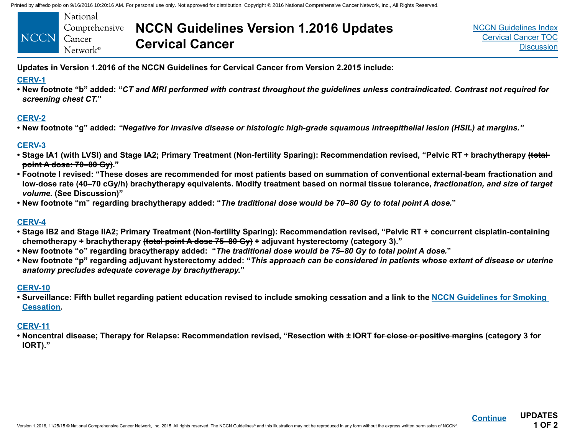<span id="page-3-0"></span>

| NCCN Cancer | National          | Comprehensive <b>NCCN Guidelines Version 1.2016 Updates</b><br><b>Cervical Cancer</b> |
|-------------|-------------------|---------------------------------------------------------------------------------------|
|             | $Network^{\circ}$ |                                                                                       |

**UPDATES 1 OF 2**

**[Continue](#page-4-0)**

**Updates in Version 1.2016 of the NCCN Guidelines for Cervical Cancer from Version 2.2015 include:**

#### **[CERV-1](#page-5-0)**

**• New footnote "b" added: "***CT and MRI performed with contrast throughout the guidelines unless contraindicated. Contrast not required for screening chest CT.***"**

#### **[CERV-2](#page-6-0)**

**• New footnote "g" added:** *"Negative for invasive disease or histologic high-grade squamous intraepithelial lesion (HSIL) at margins."*

#### **[CERV-3](#page-7-0)**

- **Stage IA1 (with LVSI) and Stage IA2; Primary Treatment (Non-fertility Sparing): Recommendation revised, "Pelvic RT + brachytherapy (total point A dose: 70–80 Gy)."**
- **Footnote l revised: "These doses are recommended for most patients based on summation of conventional external-beam fractionation and low-dose rate (40–70 cGy/h) brachytherapy equivalents. Modify treatment based on normal tissue tolerance,** *fractionation, and size of target volume.* **[\(See Discussion\)](#page-34-0)"**
- **New footnote "m" regarding brachytherapy added: "***The traditional dose would be 70–80 Gy to total point A dose.***"**

#### **[CERV-4](#page-8-0)**

- **Stage IB2 and Stage IIA2; Primary Treatment (Non-fertility Sparing): Recommendation revised, "Pelvic RT + concurrent cisplatin-containing chemotherapy + brachytherapy (total point A dose 75–80 Gy) + adjuvant hysterectomy (category 3)."**
- **New footnote "o" regarding bracytherapy added: "***The traditional dose would be 75–80 Gy to total point A dose.***"**
- **New footnote "p" regarding adjuvant hysterectomy added: "***This approach can be considered in patients whose extent of disease or uterine anatomy precludes adequate coverage by brachytherapy.***"**

#### **[CERV-10](#page-14-0)**

**• Surveillance: Fifth bullet regarding patient education revised to include smoking cessation and a link to the [NCCN Guidelines for Smoking](http://www.nccn.org/professionals/physician_gls/pdf/smoking.pdf)  [Cessation](http://www.nccn.org/professionals/physician_gls/pdf/smoking.pdf).**

### **[CERV-11](#page-15-0)**

**• Noncentral disease; Therapy for Relapse: Recommendation revised, "Resection with** *±* **IORT for close or positive margins (category 3 for IORT)."**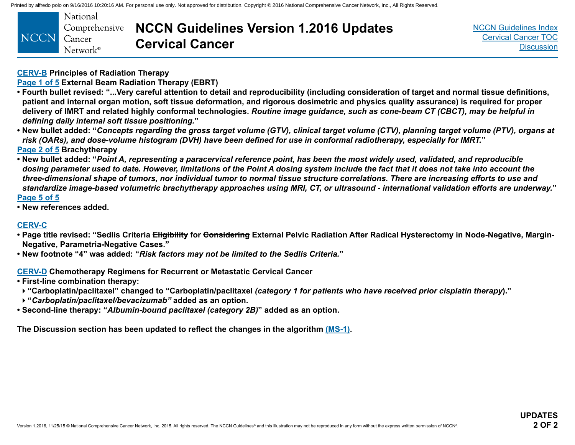<span id="page-4-0"></span>

[NCCN Guidelines Index](http://www.nccn.org/professionals/physician_gls/f_guidelines.asp) [Cervical Cancer TOC](#page-2-0) **[Discussion](#page-34-0)** 

**[CERV-B](#page-24-0) Principles of Radiation Therapy**

**[Page 1 of 5 E](#page-24-0)xternal Beam Radiation Therapy (EBRT)**

- **Fourth bullet revised: "...Very careful attention to detail and reproducibility (including consideration of target and normal tissue definitions, patient and internal organ motion, soft tissue deformation, and rigorous dosimetric and physics quality assurance) is required for proper delivery of IMRT and related highly conformal technologies.** *Routine image guidance, such as cone-beam CT (CBCT), may be helpful in defining daily internal soft tissue positioning.***"**
- **New bullet added: "***Concepts regarding the gross target volume (GTV), clinical target volume (CTV), planning target volume (PTV), organs at risk (OARs), and dose-volume histogram (DVH) have been defined for use in conformal radiotherapy, especially for IMRT.***" [Page 2 of 5](#page-25-0) Brachytherapy**
- **New bullet added: "***Point A, representing a paracervical reference point, has been the most widely used, validated, and reproducible dosing parameter used to date. However, limitations of the Point A dosing system include the fact that it does not take into account the three-dimensional shape of tumors, nor individual tumor to normal tissue structure correlations. There are increasing efforts to use and standardize image-based volumetric brachytherapy approaches using MRI, CT, or ultrasound - international validation efforts are underway.***" [Page 5 of 5](#page-28-0)**
- **New references added.**

#### **[CERV-C](#page-29-0)**

- Page title revised: "Sedlis Criteria <del>Eligibility</del> for <del>Considering</del> External Pelvic Radiation After Radical Hysterectomy in Node-Negative, Margin-**Negative, Parametria-Negative Cases."**
- **New footnote "4" was added: "***Risk factors may not be limited to the Sedlis Criteria.***"**

**[CERV-D](#page-30-0) Chemotherapy Regimens for Recurrent or Metastatic Cervical Cancer**

- **First-line combination therapy:**
- **"Carboplatin/paclitaxel" changed to "Carboplatin/paclitaxel** *(category 1 for patients who have received prior cisplatin therapy***)."**
- **"***Carboplatin/paclitaxel/bevacizumab"* **added as an option.**
- **Second-line therapy: "***Albumin-bound paclitaxel (category 2B)***" added as an option.**

**The Discussion section has been updated to reflect the changes in the algorithm [\(MS-1\).](#page-34-0)**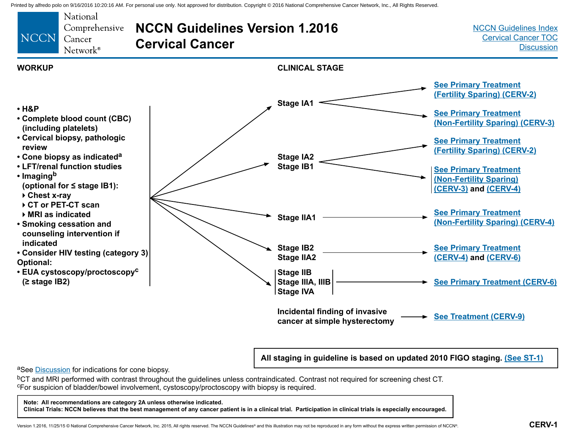<span id="page-5-0"></span>

**All staging in guideline is based on updated 2010 FIGO staging. [\(See ST-1\)](#page-32-0)**

aSee [Discussion](#page-34-0) for indications for cone biopsy.

<sup>b</sup>CT and MRI performed with contrast throughout the guidelines unless contraindicated. Contrast not required for screening chest CT. cFor suspicion of bladder/bowel involvement, cystoscopy/proctoscopy with biopsy is required.

#### **Note: All recommendations are category 2A unless otherwise indicated.**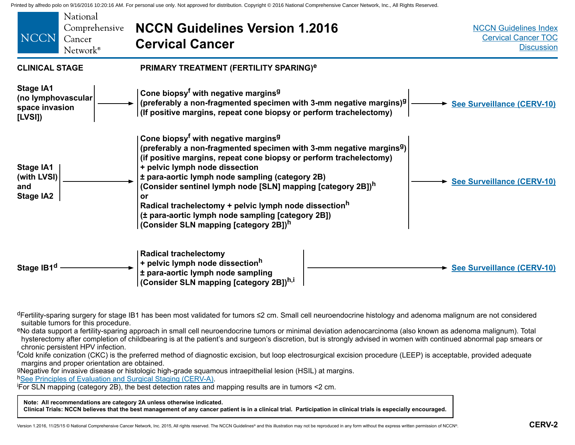<span id="page-6-0"></span>

| National<br>Comprehensive<br><b>NCCN</b><br>Cancer<br>Network <sup>®</sup> | <b>NCCN Guidelines Version 1.2016</b><br><b>Cervical Cancer</b>                                                                                                                                                                                                                                                                                                                                                                                                                                                                                                           | <b>NCCN Guidelines Index</b><br><b>Cervical Cancer TOC</b><br><b>Discussion</b> |
|----------------------------------------------------------------------------|---------------------------------------------------------------------------------------------------------------------------------------------------------------------------------------------------------------------------------------------------------------------------------------------------------------------------------------------------------------------------------------------------------------------------------------------------------------------------------------------------------------------------------------------------------------------------|---------------------------------------------------------------------------------|
| <b>CLINICAL STAGE</b>                                                      | PRIMARY TREATMENT (FERTILITY SPARING) <sup>e</sup>                                                                                                                                                                                                                                                                                                                                                                                                                                                                                                                        |                                                                                 |
| <b>Stage IA1</b><br>(no lymphovascular<br>space invasion<br>[LVSI]         | Cone biopsy <sup>f</sup> with negative margins <sup>9</sup><br>(preferably a non-fragmented specimen with 3-mm negative margins) $9$<br><b>See Surveillance (CERV-10)</b><br>(If positive margins, repeat cone biopsy or perform trachelectomy)                                                                                                                                                                                                                                                                                                                           |                                                                                 |
| <b>Stage IA1</b><br>(with LVSI)<br>and<br><b>Stage IA2</b>                 | Cone biopsy <sup>f</sup> with negative margins <sup>9</sup><br>(preferably a non-fragmented specimen with 3-mm negative margins <sup>9</sup> )<br>(if positive margins, repeat cone biopsy or perform trachelectomy)<br>+ pelvic lymph node dissection<br>± para-aortic lymph node sampling (category 2B)<br>(Consider sentinel lymph node [SLN] mapping [category 2B]) <sup>h</sup><br>or<br>Radical trachelectomy + pelvic lymph node dissection <sup>h</sup><br>(± para-aortic lymph node sampling [category 2B])<br>(Consider SLN mapping [category 2B]) <sup>h</sup> | See Surveillance (CERV-10)                                                      |
| Stage IB1 <sup>d</sup>                                                     | <b>Radical trachelectomy</b><br>+ pelvic lymph node dissectionh<br>± para-aortic lymph node sampling<br>(Consider SLN mapping [category 2B]) <sup>h,i</sup>                                                                                                                                                                                                                                                                                                                                                                                                               | See Surveillance (CERV-10)                                                      |

<sup>d</sup>Fertility-sparing surgery for stage IB1 has been most validated for tumors ≤2 cm. Small cell neuroendocrine histology and adenoma malignum are not considered suitable tumors for this procedure.

eNo data support a fertility-sparing approach in small cell neuroendocrine tumors or minimal deviation adenocarcinoma (also known as adenoma malignum). Total hysterectomy after completion of childbearing is at the patient's and surgeon's discretion, but is strongly advised in women with continued abnormal pap smears or chronic persistent HPV infection.

<sup>f</sup>Cold knife conization (CKC) is the preferred method of diagnostic excision, but loop electrosurgical excision procedure (LEEP) is acceptable, provided adequate margins and proper orientation are obtained.

gNegative for invasive disease or histologic high-grade squamous intraepithelial lesion (HSIL) at margins.

h[See Principles of Evaluation and Surgical Staging \(CERV-A\)](#page-17-0).

For SLN mapping (category 2B), the best detection rates and mapping results are in tumors <2 cm.

**Note: All recommendations are category 2A unless otherwise indicated.**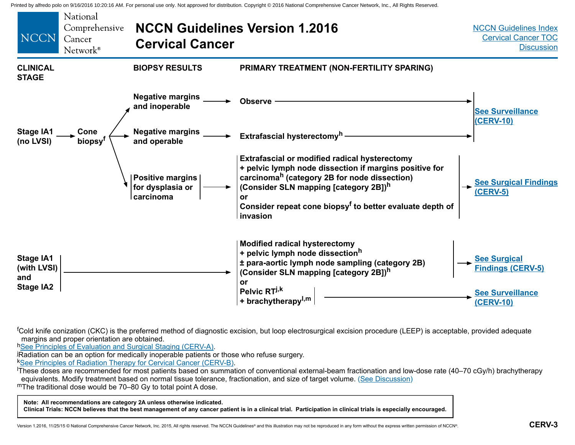<span id="page-7-0"></span>

<sup>f</sup>Cold knife conization (CKC) is the preferred method of diagnostic excision, but loop electrosurgical excision procedure (LEEP) is acceptable, provided adequate margins and proper orientation are obtained.

h[See Principles of Evaluation and Surgical Staging \(CERV-A\)](#page-17-0).

Radiation can be an option for medically inoperable patients or those who refuse surgery.

**K[See Principles of Radiation Therapy for Cervical Cancer \(CERV-B\)](#page-24-0).** 

These doses are recommended for most patients based on summation of conventional external-beam fractionation and low-dose rate (40–70 cGy/h) brachytherapy equivalents. Modify treatment based on normal tissue tolerance, fractionation, and size of target volume[. \(See Discussion\)](#page-34-0) mThe traditional dose would be 70–80 Gy to total point A dose.

**Note: All recommendations are category 2A unless otherwise indicated.**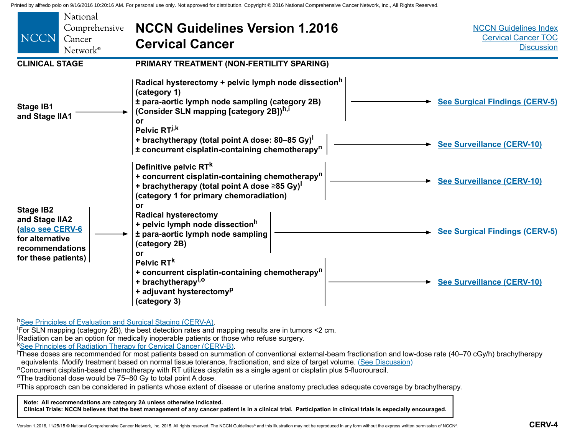<span id="page-8-0"></span>

| <b>NCCN</b>                                                                                                        | National<br>Comprehensive<br>Cancer<br>Network <sup>®</sup> | <b>NCCN Guidelines Version 1.2016</b><br><b>Cervical Cancer</b>                                                                                                                                               | <b>NCCN Guidelines Index</b><br><b>Cervical Cancer TOC</b><br><b>Discussion</b> |
|--------------------------------------------------------------------------------------------------------------------|-------------------------------------------------------------|---------------------------------------------------------------------------------------------------------------------------------------------------------------------------------------------------------------|---------------------------------------------------------------------------------|
| <b>CLINICAL STAGE</b>                                                                                              |                                                             | PRIMARY TREATMENT (NON-FERTILITY SPARING)                                                                                                                                                                     |                                                                                 |
| <b>Stage IB1</b><br>and Stage IIA1                                                                                 |                                                             | Radical hysterectomy + pelvic lymph node dissection <sup>h</sup><br>(category 1)<br>± para-aortic lymph node sampling (category 2B)<br>(Consider SLN mapping [category 2B]) <sup>h,i</sup><br>or              | <b>See Surgical Findings (CERV-5)</b>                                           |
|                                                                                                                    |                                                             | Pelvic RT <sup>j,k</sup><br>+ brachytherapy (total point A dose: 80–85 Gy)<br>± concurrent cisplatin-containing chemotherapy <sup>n</sup>                                                                     | <b>See Surveillance (CERV-10)</b>                                               |
|                                                                                                                    |                                                             | Definitive pelvic RT <sup>k</sup><br>+ concurrent cisplatin-containing chemotherapy <sup>n</sup><br>+ brachytherapy (total point A dose $\geq 85$ Gy) <sup>1</sup><br>(category 1 for primary chemoradiation) | See Surveillance (CERV-10)                                                      |
| <b>Stage IB2</b><br>and Stage IIA2<br>also see CERV-6<br>for alternative<br>recommendations<br>for these patients) |                                                             | or<br><b>Radical hysterectomy</b><br>+ pelvic lymph node dissection <sup>h</sup><br>± para-aortic lymph node sampling<br>(category 2B)<br>or                                                                  | <b>See Surgical Findings (CERV-5)</b>                                           |
|                                                                                                                    |                                                             | Pelvic RT <sup>k</sup><br>+ concurrent cisplatin-containing chemotherapy <sup>n</sup><br>+ brachytherapy <sup>1,0</sup><br>+ adjuvant hysterectomy <sup>p</sup><br>(category 3)                               | <b>See Surveillance (CERV-10)</b>                                               |

h[See Principles of Evaluation and Surgical Staging \(CERV-A\)](#page-17-0).

For SLN mapping (category 2B), the best detection rates and mapping results are in tumors <2 cm. j Radiation can be an option for medically inoperable patients or those who refuse surgery.

k<u>[See Principles of Radiation Therapy for Cervical Cancer \(CERV-B\)](#page-24-0)</u>.<br><sup>I</sup>These doses are recommended for most patients based on summation of conventional external-beam fractionation and low-dose rate (40–70 cGy/h) brachythe

equivalents. Modify treatment based on normal tissue tolerance, fractionation, and size of target volume[. \(See Discussion\)](#page-34-0)<br>"Concurrent cisplatin-based chemotherapy with RT utilizes cisplatin as a single agent or cisplatin

oThe traditional dose would be 75–80 Gy to total point A dose.

pThis approach can be considered in patients whose extent of disease or uterine anatomy precludes adequate coverage by brachytherapy.

#### **Note: All recommendations are category 2A unless otherwise indicated.**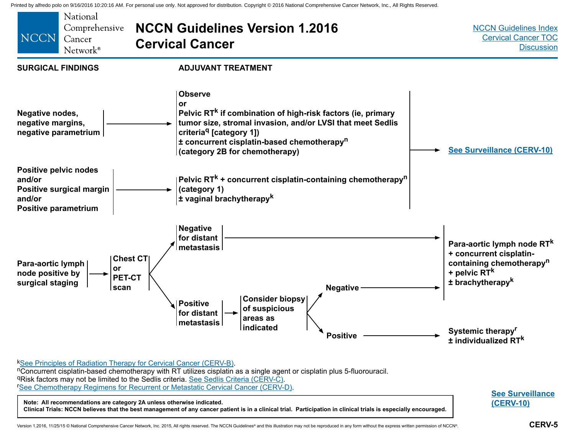<span id="page-9-0"></span>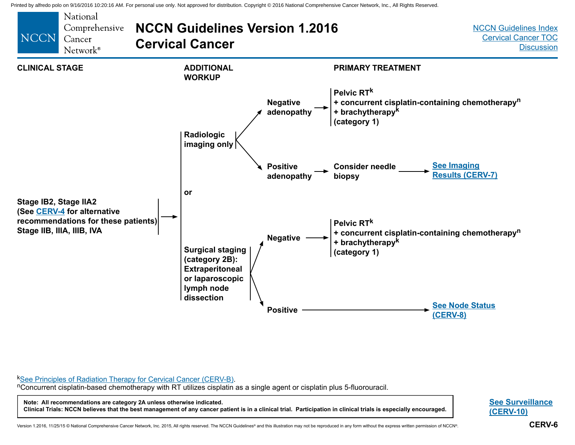<span id="page-10-0"></span>

kSee Principles of Radiation Therapy for Cervical Cancer (CERV-B)[.](#page-24-0)<br>"Concurrent cisplatin-based chemotherapy with RT utilizes cisplatin as a single agent or cisplatin plus 5-fluorouracil.

**Note: All recommendations are category 2A unless otherwise indicated.**

**Clinical Trials: NCCN believes that the best management of any cancer patient is in a clinical trial. Participation in clinical trials is especially encouraged.**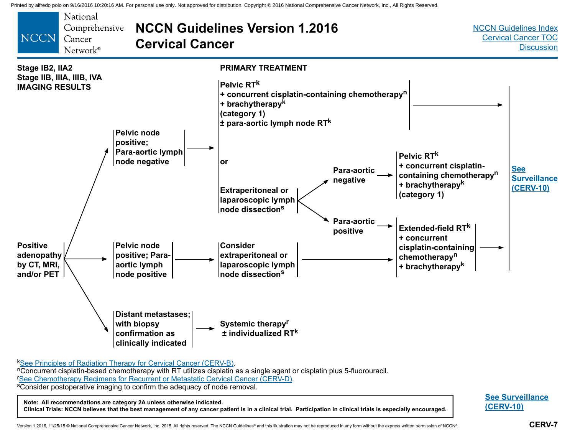<span id="page-11-0"></span>

kSee Principles of Radiation Therapy for Cervical Cancer (CERV-B)[.](#page-24-0)<br><sup>n</sup>Concurrent cisplatin-based chemotherapy with RT utilizes cisplatin as a single agent or cisplatin plus 5-fluorouracil. **'See Chemotherapy Regimens for Recurrent or Metastatic Cervical Cancer (CERV-D).** <sup>s</sup>Consider postoperative imaging to confirm the adequacy of node removal.

**Note: All recommendations are category 2A unless otherwise indicated.**

**Clinical Trials: NCCN believes that the best management of any cancer patient is in a clinical trial. Participation in clinical trials is especially encouraged.**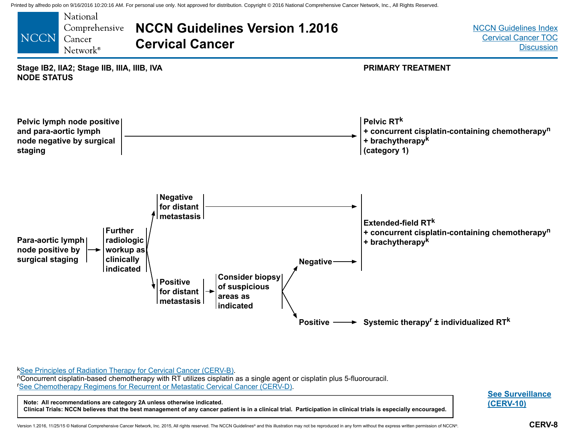<span id="page-12-0"></span>

k[See Principles of Radiation Therapy for Cervical Cancer \(CERV-B\)](#page-24-0).<br>"Concurrent cisplatin-based chemotherapy with RT utilizes cisplatin as a single agent or cisplatin plus 5-fluorouracil. r [See Chemotherapy Regimens for Recurrent or Metastatic Cervical Cancer \(CERV-D\)](#page-30-0).

**Note: All recommendations are category 2A unless otherwise indicated. Clinical Trials: NCCN believes that the best management of any cancer patient is in a clinical trial. Participation in clinical trials is especially encouraged.**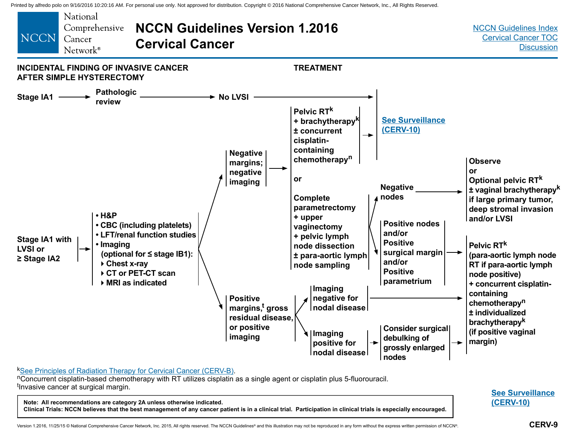<span id="page-13-0"></span>

kSee Principles of Radiation Therapy for Cervical Cancer (CERV-B)[.](#page-24-0)<br>nConcurrent cisplatin-based chemotherapy with RT utilizes cisplatin as a single agent or cisplatin plus 5-fluorouracil. t Invasive cancer at surgical margin.

**Note: All recommendations are category 2A unless otherwise indicated. Clinical Trials: NCCN believes that the best management of any cancer patient is in a clinical trial. Participation in clinical trials is especially encouraged.**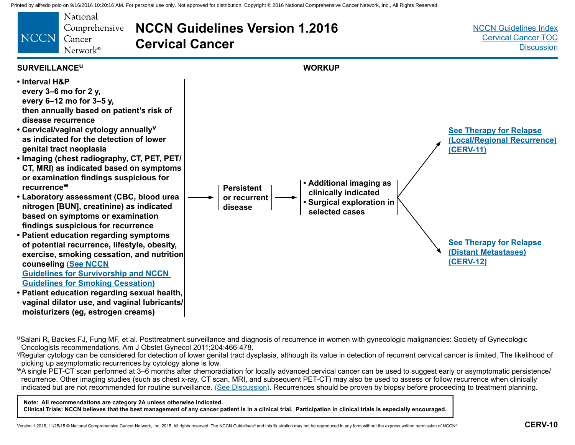<span id="page-14-0"></span>

uSalani R, Backes FJ, Fung MF, et al. Posttreatment surveillance and diagnosis of recurrence in women with gynecologic malignancies: Society of Gynecologic Oncologists recommendations. Am J Obstet Gynecol 2011;204:466-478.

YRegular cytology can be considered for detection of lower genital tract dysplasia, although its value in detection of recurrent cervical cancer is limited. The likelihood of picking up asymptomatic recurrences by cytology alone is low.

<sup>w</sup>A single PET-CT scan performed at 3–6 months after chemoradiation for locally advanced cervical cancer can be used to suggest early or asymptomatic persistence/ recurrence. Other imaging studies (such as chest x-ray, CT scan, MRI, and subsequent PET-CT) may also be used to assess or follow recurrence when clinically indicated but are not recommended for routine surveillance. [\(See Discussion\)](#page-34-0). Recurrences should be proven by biopsy before proceeding to treatment planning.

**Note: All recommendations are category 2A unless otherwise indicated.**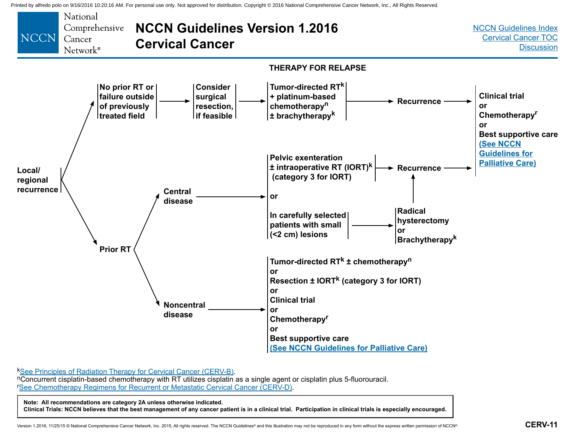<span id="page-15-0"></span>

 $k$ [See Principles of Radiation Therapy for Cervical Cancer \(CERV-B\)](#page-24-0).<br>"Concurrent cisplatin-based chemotherapy with RT utilizes cisplatin as a single agent or cisplatin plus 5-fluorouracil. r [See Chemotherapy Regimens for Recurrent or Metastatic Cervical Cancer \(CERV-D\)](#page-30-0).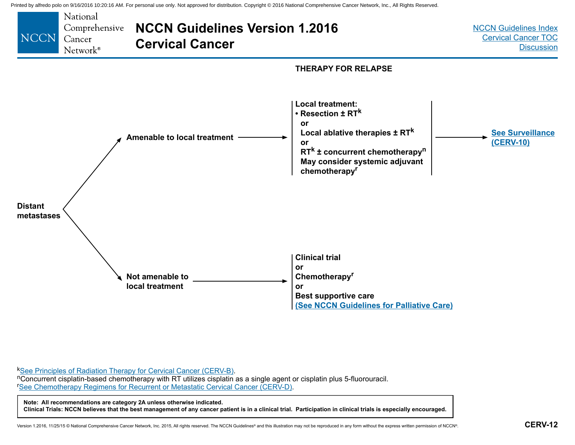<span id="page-16-0"></span>

k[See Principles of Radiation Therapy for Cervical Cancer \(CERV-B\)](#page-24-0).<br>nConcurrent cisplatin-based chemotherapy with RT utilizes cisplatin as a single agent or cisplatin plus 5-fluorouracil. r [See Chemotherapy Regimens for Recurrent or Metastatic Cervical Cancer \(CERV-D\)](#page-30-0).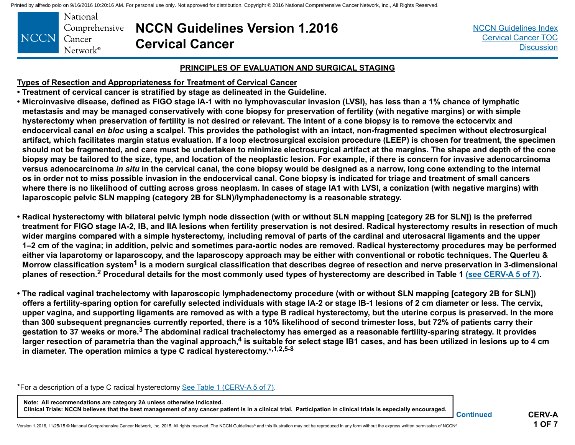<span id="page-17-0"></span>

| NCCN Cancer | National<br>Comprehensive NCCN Gui |                   |
|-------------|------------------------------------|-------------------|
|             | Network <sup>®</sup>               | <b>Cervical C</b> |

**NCCN Guidelines Version 1.2016 Cancer** 

[NCCN Guidelines Index](http://www.nccn.org/professionals/physician_gls/f_guidelines.asp) [Cervical Cancer TOC](#page-2-0) **[Discussion](#page-34-0)** 

#### **PRINCIPLES OF EVALUATION AND SURGICAL STAGING**

**Types of Resection and Appropriateness for Treatment of Cervical Cancer**

- **Treatment of cervical cancer is stratified by stage as delineated in the Guideline.**
- **Microinvasive disease, defined as FIGO stage IA-1 with no lymphovascular invasion (LVSI), has less than a 1% chance of lymphatic metastasis and may be managed conservatively with cone biopsy for preservation of fertility (with negative margins) or with simple hysterectomy when preservation of fertility is not desired or relevant. The intent of a cone biopsy is to remove the ectocervix and endocervical canal** *en bloc* **using a scalpel. This provides the pathologist with an intact, non-fragmented specimen without electrosurgical artifact, which facilitates margin status evaluation. If a loop electrosurgical excision procedure (LEEP) is chosen for treatment, the specimen should not be fragmented, and care must be undertaken to minimize electrosurgical artifact at the margins. The shape and depth of the cone biopsy may be tailored to the size, type, and location of the neoplastic lesion. For example, if there is concern for invasive adenocarcinoma versus adenocarcinoma** *in situ* **in the cervical canal, the cone biopsy would be designed as a narrow, long cone extending to the internal os in order not to miss possible invasion in the endocervical canal. Cone biopsy is indicated for triage and treatment of small cancers where there is no likelihood of cutting across gross neoplasm. In cases of stage IA1 with LVSI, a conization (with negative margins) with laparoscopic pelvic SLN mapping (category 2B for SLN)/lymphadenectomy is a reasonable strategy.**
- **Radical hysterectomy with bilateral pelvic lymph node dissection (with or without SLN mapping [category 2B for SLN]) is the preferred treatment for FIGO stage IA-2, IB, and IIA lesions when fertility preservation is not desired. Radical hysterectomy results in resection of much wider margins compared with a simple hysterectomy, including removal of parts of the cardinal and uterosacral ligaments and the upper 1–2 cm of the vagina; in addition, pelvic and sometimes para-aortic nodes are removed. Radical hysterectomy procedures may be performed either via laparotomy or laparoscopy, and the laparoscopy approach may be either with conventional or robotic techniques. The Querleu & Morrow classification system1 is a modern surgical classification that describes degree of resection and nerve preservation in 3-dimensional planes of resection.2 Procedural details for the most commonly used types of hysterectomy are described in Table 1 [\(see CERV-A 5 of 7\).](#page-21-0)**
- **The radical vaginal trachelectomy with laparoscopic lymphadenectomy procedure (with or without SLN mapping [category 2B for SLN]) offers a fertility-sparing option for carefully selected individuals with stage IA-2 or stage IB-1 lesions of 2 cm diameter or less. The cervix, upper vagina, and supporting ligaments are removed as with a type B radical hysterectomy, but the uterine corpus is preserved. In the more than 300 subsequent pregnancies currently reported, there is a 10% likelihood of second trimester loss, but 72% of patients carry their gestation to 37 weeks or more.3 The abdominal radical trachelectomy has emerged as a reasonable fertility-sparing strategy. It provides**  larger resection of parametria than the vaginal approach,<sup>4</sup> is suitable for select stage IB1 cases, and has been utilized in lesions up to 4 cm **in diameter. The operation mimics a type C radical hysterectomy.\*,1,2,5-8**

\*For a description of a type C radical hysterectomy [See Table 1 \(CERV-A 5 of 7\).](#page-21-0)

**Note: All recommendations are category 2A unless otherwise indicated. Clinical Trials: NCCN believes that the best management of any cancer patient is in a clinical trial. Participation in clinical trials is especially encouraged.**

**CERV-A 1 OF 7**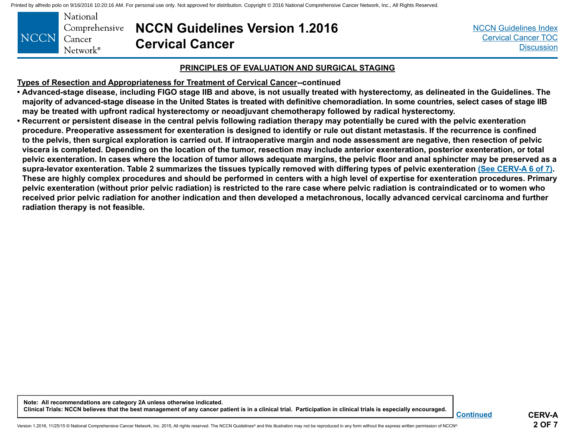<span id="page-18-0"></span>

|             | National                  |       |
|-------------|---------------------------|-------|
|             | Comprehensive <b>NCCI</b> |       |
| NCCN Cancer |                           | Cervi |
|             | Network <sup>®</sup>      |       |

## **NCCN Guidelines Version 1.2016 Cancer**

#### **PRINCIPLES OF EVALUATION AND SURGICAL STAGING**

**Types of Resection and Appropriateness for Treatment of Cervical Cancer--continued**

- **Advanced-stage disease, including FIGO stage IIB and above, is not usually treated with hysterectomy, as delineated in the Guidelines. The majority of advanced-stage disease in the United States is treated with definitive chemoradiation. In some countries, select cases of stage IIB may be treated with upfront radical hysterectomy or neoadjuvant chemotherapy followed by radical hysterectomy.**
- **Recurrent or persistent disease in the central pelvis following radiation therapy may potentially be cured with the pelvic exenteration procedure. Preoperative assessment for exenteration is designed to identify or rule out distant metastasis. If the recurrence is confined to the pelvis, then surgical exploration is carried out. If intraoperative margin and node assessment are negative, then resection of pelvic viscera is completed. Depending on the location of the tumor, resection may include anterior exenteration, posterior exenteration, or total pelvic exenteration. In cases where the location of tumor allows adequate margins, the pelvic floor and anal sphincter may be preserved as a supra-levator exenteration. Table 2 summarizes the tissues typically removed with differing types of pelvic exenteration [\(See CERV-A 6 of 7\)](#page-22-0). These are highly complex procedures and should be performed in centers with a high level of expertise for exenteration procedures. Primary pelvic exenteration (without prior pelvic radiation) is restricted to the rare case where pelvic radiation is contraindicated or to women who received prior pelvic radiation for another indication and then developed a metachronous, locally advanced cervical carcinoma and further radiation therapy is not feasible.**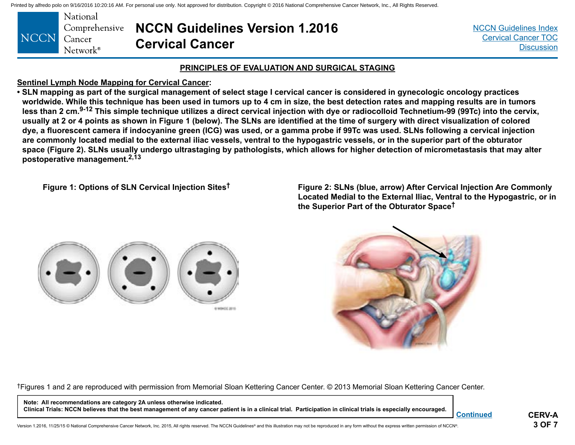<span id="page-19-0"></span>

| NCCN Cancer | National<br>Network <sup>®</sup> | <b>Comprehensive NCCN Guidelines Version 1.2016</b><br><b>Cervical Cancer</b> |
|-------------|----------------------------------|-------------------------------------------------------------------------------|
|-------------|----------------------------------|-------------------------------------------------------------------------------|

[NCCN Guidelines Index](http://www.nccn.org/professionals/physician_gls/f_guidelines.asp) [Cervical Cancer TOC](#page-2-0) **[Discussion](#page-34-0)** 

#### **PRINCIPLES OF EVALUATION AND SURGICAL STAGING**

#### **Sentinel Lymph Node Mapping for Cervical Cancer:**

**• SLN mapping as part of the surgical management of select stage I cervical cancer is considered in gynecologic oncology practices worldwide. While this technique has been used in tumors up to 4 cm in size, the best detection rates and mapping results are in tumors less than 2 cm.9-12 This simple technique utilizes a direct cervical injection with dye or radiocolloid Technetium-99 (99Tc) into the cervix, usually at 2 or 4 points as shown in Figure 1 (below). The SLNs are identified at the time of surgery with direct visualization of colored dye, a fluorescent camera if indocyanine green (ICG) was used, or a gamma probe if 99Tc was used. SLNs following a cervical injection are commonly located medial to the external iliac vessels, ventral to the hypogastric vessels, or in the superior part of the obturator space (Figure 2). SLNs usually undergo ultrastaging by pathologists, which allows for higher detection of micrometastasis that may alter postoperative management.2,13**

**Figure 1: Options of SLN Cervical Injection Sites† Figure 2: SLNs (blue, arrow) After Cervical Injection Are Commonly Located Medial to the External Iliac, Ventral to the Hypogastric, or in the Superior Part of the Obturator Space†**





†Figures 1 and 2 are reproduced with permission from Memorial Sloan Kettering Cancer Center. © 2013 Memorial Sloan Kettering Cancer Center.

**Note: All recommendations are category 2A unless otherwise indicated. Clinical Trials: NCCN believes that the best management of any cancer patient is in a clinical trial. Participation in clinical trials is especially encouraged.**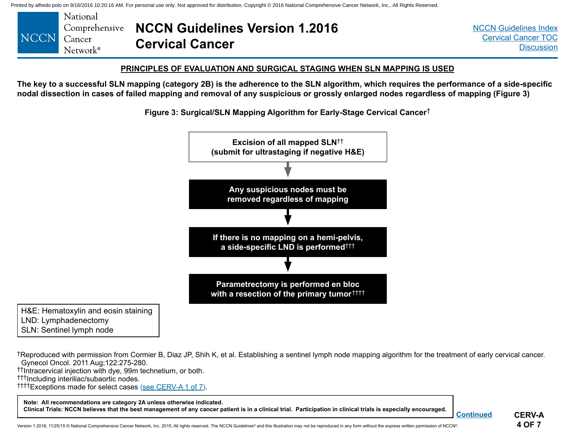<span id="page-20-0"></span>

#### **PRINCIPLES OF EVALUATION AND SURGICAL STAGING WHEN SLN MAPPING IS USED**

**The key to a successful SLN mapping (category 2B) is the adherence to the SLN algorithm, which requires the performance of a side-specific nodal dissection in cases of failed mapping and removal of any suspicious or grossly enlarged nodes regardless of mapping (Figure 3)**

**Figure 3: Surgical/SLN Mapping Algorithm for Early-Stage Cervical Cancer**†



H&E: Hematoxylin and eosin staining LND: Lymphadenectomy SLN: Sentinel lymph node

†Reproduced with permission from Cormier B, Diaz JP, Shih K, et al. Establishing a sentinel lymph node mapping algorithm for the treatment of early cervical cancer. Gynecol Oncol. 2011 Aug;122:275-280.

††Intracervical injection with dye, 99m technetium, or both.

†††Including interiliac/subaortic nodes.

††††Exceptions made for select cases (see [CERV-A 1 of 7\).](#page-17-0)

**Note: All recommendations are category 2A unless otherwise indicated. Clinical Trials: NCCN believes that the best management of any cancer patient is in a clinical trial. Participation in clinical trials is especially encouraged.**

**CERV-A 4 OF 7**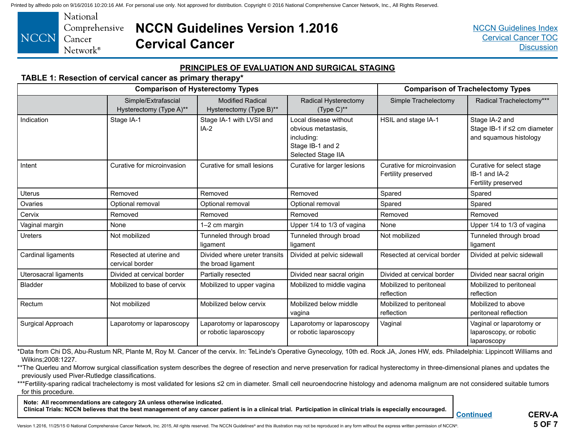<span id="page-21-0"></span>

## **NCCN Guidelines Version 1.2016 Cervical Cancer**

[NCCN Guidelines Index](http://www.nccn.org/professionals/physician_gls/f_guidelines.asp) [Cervical Cancer TOC](#page-2-0) **[Discussion](#page-34-0)** 

#### **PRINCIPLES OF EVALUATION AND SURGICAL STAGING**

#### **TABLE 1: Resection of cervical cancer as primary therapy\***

| <b>Comparison of Hysterectomy Types</b> |                                                |                                                     |                                                                                                      |                                                   | <b>Comparison of Trachelectomy Types</b>                                 |
|-----------------------------------------|------------------------------------------------|-----------------------------------------------------|------------------------------------------------------------------------------------------------------|---------------------------------------------------|--------------------------------------------------------------------------|
|                                         | Simple/Extrafascial<br>Hysterectomy (Type A)** | <b>Modified Radical</b><br>Hysterectomy (Type B)**  | Radical Hysterectomy<br>$(Type C)$ **                                                                | Simple Trachelectomy                              | Radical Trachelectomy***                                                 |
| Indication                              | Stage IA-1                                     | Stage IA-1 with LVSI and<br>$IA-2$                  | Local disease without<br>obvious metastasis,<br>including:<br>Stage IB-1 and 2<br>Selected Stage IIA | HSIL and stage IA-1                               | Stage IA-2 and<br>Stage IB-1 if ≤2 cm diameter<br>and squamous histology |
| Intent                                  | Curative for microinvasion                     | Curative for small lesions                          | Curative for larger lesions                                                                          | Curative for microinvasion<br>Fertility preserved | Curative for select stage<br>IB-1 and IA-2<br>Fertility preserved        |
| <b>Uterus</b>                           | Removed                                        | Removed                                             | Removed                                                                                              | Spared                                            | Spared                                                                   |
| Ovaries                                 | Optional removal                               | Optional removal                                    | Optional removal                                                                                     | Spared                                            | Spared                                                                   |
| Cervix                                  | Removed                                        | Removed                                             | Removed                                                                                              | Removed                                           | Removed                                                                  |
| Vaginal margin                          | None                                           | 1-2 cm margin                                       | Upper 1/4 to 1/3 of vagina                                                                           | None                                              | Upper 1/4 to 1/3 of vagina                                               |
| Ureters                                 | Not mobilized                                  | Tunneled through broad<br>ligament                  | Tunneled through broad<br>ligament                                                                   | Not mobilized                                     | Tunneled through broad<br>ligament                                       |
| Cardinal ligaments                      | Resected at uterine and<br>cervical border     | Divided where ureter transits<br>the broad ligament | Divided at pelvic sidewall                                                                           | Resected at cervical border                       | Divided at pelvic sidewall                                               |
| Uterosacral ligaments                   | Divided at cervical border                     | Partially resected                                  | Divided near sacral origin                                                                           | Divided at cervical border                        | Divided near sacral origin                                               |
| <b>Bladder</b>                          | Mobilized to base of cervix                    | Mobilized to upper vagina                           | Mobilized to middle vagina                                                                           | Mobilized to peritoneal<br>reflection             | Mobilized to peritoneal<br>reflection                                    |
| Rectum                                  | Not mobilized                                  | Mobilized below cervix                              | Mobilized below middle<br>vagina                                                                     | Mobilized to peritoneal<br>reflection             | Mobilized to above<br>peritoneal reflection                              |
| Surgical Approach                       | Laparotomy or laparoscopy                      | Laparotomy or laparoscopy<br>or robotic laparoscopy | Laparotomy or laparoscopy<br>or robotic laparoscopy                                                  | Vaginal                                           | Vaginal or laparotomy or<br>laparoscopy, or robotic<br>laparoscopy       |

\*Data from Chi DS, Abu-Rustum NR, Plante M, Roy M. Cancer of the cervix. In: TeLinde's Operative Gynecology, 10th ed. Rock JA, Jones HW, eds. Philadelphia: Lippincott Williams and Wilkins;2008:1227.

\*\*The Querleu and Morrow surgical classification system describes the degree of resection and nerve preservation for radical hysterectomy in three-dimensional planes and updates the previously used Piver-Rutledge classifications.

\*\*\*Fertility-sparing radical trachelectomy is most validated for lesions ≤2 cm in diameter. Small cell neuroendocrine histology and adenoma malignum are not considered suitable tumors for this procedure.

**Note: All recommendations are category 2A unless otherwise indicated.**

**Clinical Trials: NCCN believes that the best management of any cancer patient is in a clinical trial. Participation in clinical trials is especially encouraged.**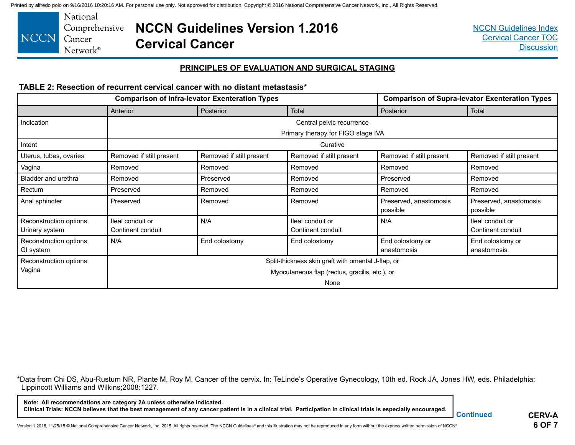<span id="page-22-0"></span>

## **NCCN Guidelines Version 1.2016 Cervical Cancer**

#### **PRINCIPLES OF EVALUATION AND SURGICAL STAGING**

#### **TABLE 2: Resection of recurrent cervical cancer with no distant metastasis\***

|                                          | <b>Comparison of Infra-levator Exenteration Types</b> |                          |                                       |                                    | <b>Comparison of Supra-levator Exenteration Types</b> |
|------------------------------------------|-------------------------------------------------------|--------------------------|---------------------------------------|------------------------------------|-------------------------------------------------------|
|                                          | Anterior                                              | Posterior                | Total                                 | Posterior                          | Total                                                 |
| Indication                               |                                                       |                          | Central pelvic recurrence             |                                    |                                                       |
|                                          |                                                       |                          | Primary therapy for FIGO stage IVA    |                                    |                                                       |
| Intent                                   |                                                       |                          | Curative                              |                                    |                                                       |
| Uterus, tubes, ovaries                   | Removed if still present                              | Removed if still present | Removed if still present              | Removed if still present           | Removed if still present                              |
| Vagina                                   | Removed                                               | Removed                  | Removed                               | Removed                            | Removed                                               |
| Bladder and urethra                      | Removed                                               | Preserved                | Removed                               | Preserved                          | Removed                                               |
| Rectum                                   | Preserved                                             | Removed                  | Removed                               | Removed                            | Removed                                               |
| Anal sphincter                           | Preserved                                             | Removed                  | Removed                               | Preserved, anastomosis<br>possible | Preserved, anastomosis<br>possible                    |
| Reconstruction options<br>Urinary system | lleal conduit or<br>Continent conduit                 | N/A                      | lleal conduit or<br>Continent conduit | N/A                                | Ileal conduit or<br>Continent conduit                 |
| Reconstruction options<br>GI system      | N/A                                                   | End colostomy            | End colostomy                         | End colostomy or<br>anastomosis    | End colostomy or<br>anastomosis                       |
| Reconstruction options                   | Split-thickness skin graft with omental J-flap, or    |                          |                                       |                                    |                                                       |
| Vagina                                   | Myocutaneous flap (rectus, gracilis, etc.), or        |                          |                                       |                                    |                                                       |
|                                          | None                                                  |                          |                                       |                                    |                                                       |

\*Data from Chi DS, Abu-Rustum NR, Plante M, Roy M. Cancer of the cervix. In: TeLinde's Operative Gynecology, 10th ed. Rock JA, Jones HW, eds. Philadelphia: Lippincott Williams and Wilkins;2008:1227.

**Note: All recommendations are category 2A unless otherwise indicated. Clinical Trials: NCCN believes that the best management of any cancer patient is in a clinical trial. Participation in clinical trials is especially encouraged.**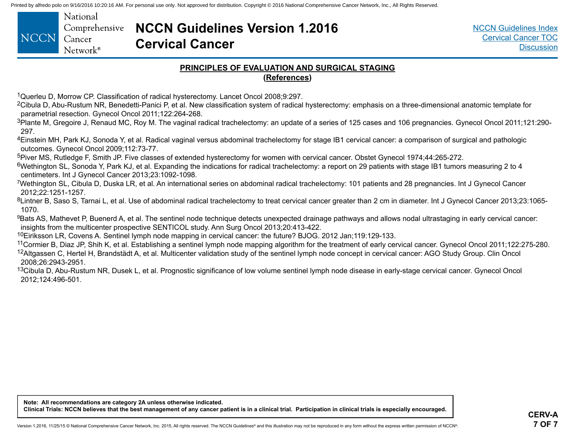<span id="page-23-0"></span>

|       | National          |
|-------|-------------------|
|       | Comprehensive     |
| NCCN. | Cancer            |
|       | $Network^{\circ}$ |

## **NCCN Guidelines Version 1.2016 Cervical Cancer**

#### **PRINCIPLES OF EVALUATION AND SURGICAL STAGING (References)**

<sup>1</sup>Querleu D, Morrow CP. Classification of radical hysterectomy. Lancet Oncol 2008;9:297.

<sup>2</sup>Cibula D, Abu-Rustum NR, Benedetti-Panici P, et al. New classification system of radical hysterectomy: emphasis on a three-dimensional anatomic template for parametrial resection. Gynecol Oncol 2011;122:264-268.

3Plante M, Gregoire J, Renaud MC, Roy M. The vaginal radical trachelectomy: an update of a series of 125 cases and 106 pregnancies. Gynecol Oncol 2011;121:290-297.

<sup>4</sup>Einstein MH, Park KJ, Sonoda Y, et al. Radical vaginal versus abdominal trachelectomy for stage IB1 cervical cancer: a comparison of surgical and pathologic outcomes. Gynecol Oncol 2009;112:73-77.

<sup>5</sup>Piver MS, Rutledge F, Smith JP. Five classes of extended hysterectomy for women with cervical cancer. Obstet Gynecol 1974;44:265-272.

6Wethington SL, Sonoda Y, Park KJ, et al. Expanding the indications for radical trachelectomy: a report on 29 patients with stage IB1 tumors measuring 2 to 4 centimeters. Int J Gynecol Cancer 2013;23:1092-1098.

7Wethington SL, Cibula D, Duska LR, et al. An international series on abdominal radical trachelectomy: 101 patients and 28 pregnancies. Int J Gynecol Cancer 2012;22:1251-1257.

<sup>8</sup>Lintner B, Saso S, Tarnai L, et al. Use of abdominal radical trachelectomy to treat cervical cancer greater than 2 cm in diameter. Int J Gynecol Cancer 2013;23:1065-1070.

<sup>9</sup>Bats AS, Mathevet P, Buenerd A, et al. The sentinel node technique detects unexpected drainage pathways and allows nodal ultrastaging in early cervical cancer: insights from the multicenter prospective SENTICOL study. Ann Surg Oncol 2013;20:413-422.

10Eiriksson LR, Covens A. Sentinel lymph node mapping in cervical cancer: the future? BJOG. 2012 Jan;119:129-133.

<sup>11</sup>Cormier B, Diaz JP, Shih K, et al. Establishing a sentinel lymph node mapping algorithm for the treatment of early cervical cancer. Gynecol Oncol 2011;122:275-280. <sup>12</sup>Altgassen C, Hertel H, Brandstädt A, et al. Multicenter validation study of the sentinel lymph node concept in cervical cancer: AGO Study Group. Clin Oncol 2008;26:2943-2951.

<sup>13</sup>Cibula D, Abu-Rustum NR, Dusek L, et al. Prognostic significance of low volume sentinel lymph node disease in early-stage cervical cancer. Gynecol Oncol 2012;124:496-501.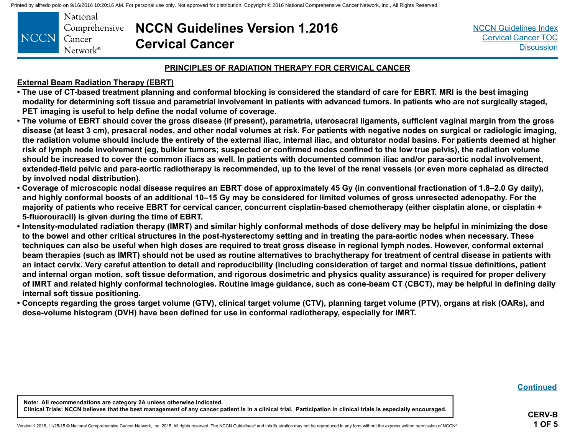<span id="page-24-0"></span>

|      | National          |
|------|-------------------|
|      | Comprehensive     |
| NCCN | Cancer            |
|      | $Network^{\circ}$ |

**NCCN Guidelines Version 1.2016 Cervical Cancer**

[NCCN Guidelines Index](http://www.nccn.org/professionals/physician_gls/f_guidelines.asp) [Cervical Cancer TOC](#page-2-0) **[Discussion](#page-34-0)** 

#### **PRINCIPLES OF RADIATION THERAPY FOR CERVICAL CANCER**

#### **External Beam Radiation Therapy (EBRT)**

- **The use of CT-based treatment planning and conformal blocking is considered the standard of care for EBRT. MRI is the best imaging modality for determining soft tissue and parametrial involvement in patients with advanced tumors. In patients who are not surgically staged, PET imaging is useful to help define the nodal volume of coverage.**
- **The volume of EBRT should cover the gross disease (if present), parametria, uterosacral ligaments, sufficient vaginal margin from the gross disease (at least 3 cm), presacral nodes, and other nodal volumes at risk. For patients with negative nodes on surgical or radiologic imaging, the radiation volume should include the entirety of the external iliac, internal iliac, and obturator nodal basins. For patients deemed at higher risk of lymph node involvement (eg, bulkier tumors; suspected or confirmed nodes confined to the low true pelvis), the radiation volume should be increased to cover the common iliacs as well. In patients with documented common iliac and/or para-aortic nodal involvement, extended-field pelvic and para-aortic radiotherapy is recommended, up to the level of the renal vessels (or even more cephalad as directed by involved nodal distribution).**
- **Coverage of microscopic nodal disease requires an EBRT dose of approximately 45 Gy (in conventional fractionation of 1.8–2.0 Gy daily), and highly conformal boosts of an additional 10–15 Gy may be considered for limited volumes of gross unresected adenopathy. For the majority of patients who receive EBRT for cervical cancer, concurrent cisplatin-based chemotherapy (either cisplatin alone, or cisplatin + 5-fluorouracil) is given during the time of EBRT.**
- **Intensity-modulated radiation therapy (IMRT) and similar highly conformal methods of dose delivery may be helpful in minimizing the dose to the bowel and other critical structures in the post-hysterectomy setting and in treating the para-aortic nodes when necessary. These techniques can also be useful when high doses are required to treat gross disease in regional lymph nodes. However, conformal external beam therapies (such as IMRT) should not be used as routine alternatives to brachytherapy for treatment of central disease in patients with an intact cervix. Very careful attention to detail and reproducibility (including consideration of target and normal tissue definitions, patient and internal organ motion, soft tissue deformation, and rigorous dosimetric and physics quality assurance) is required for proper delivery of IMRT and related highly conformal technologies. Routine image guidance, such as cone-beam CT (CBCT), may be helpful in defining daily internal soft tissue positioning.**
- **Concepts regarding the gross target volume (GTV), clinical target volume (CTV), planning target volume (PTV), organs at risk (OARs), and dose-volume histogram (DVH) have been defined for use in conformal radiotherapy, especially for IMRT.**

**[Continued](#page-25-0)**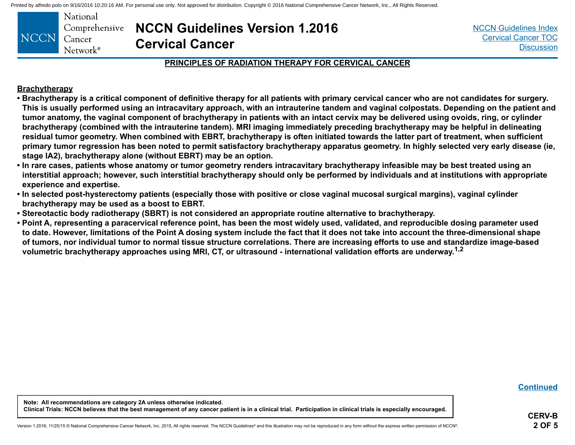<span id="page-25-0"></span>

|      | National             |
|------|----------------------|
|      | Comprehensive        |
| NCCN | Cancer               |
|      | Network <sup>®</sup> |

**NCCN Guidelines Version 1.2016 Cervical Cancer**

[NCCN Guidelines Index](http://www.nccn.org/professionals/physician_gls/f_guidelines.asp) [Cervical Cancer TOC](#page-2-0) **[Discussion](#page-34-0)** 

#### **PRINCIPLES OF RADIATION THERAPY FOR CERVICAL CANCER**

#### **Brachytherapy**

- **Brachytherapy is a critical component of definitive therapy for all patients with primary cervical cancer who are not candidates for surgery. This is usually performed using an intracavitary approach, with an intrauterine tandem and vaginal colpostats. Depending on the patient and tumor anatomy, the vaginal component of brachytherapy in patients with an intact cervix may be delivered using ovoids, ring, or cylinder brachytherapy (combined with the intrauterine tandem). MRI imaging immediately preceding brachytherapy may be helpful in delineating residual tumor geometry. When combined with EBRT, brachytherapy is often initiated towards the latter part of treatment, when sufficient primary tumor regression has been noted to permit satisfactory brachytherapy apparatus geometry. In highly selected very early disease (ie, stage IA2), brachytherapy alone (without EBRT) may be an option.**
- **In rare cases, patients whose anatomy or tumor geometry renders intracavitary brachytherapy infeasible may be best treated using an interstitial approach; however, such interstitial brachytherapy should only be performed by individuals and at institutions with appropriate experience and expertise.**
- **In selected post-hysterectomy patients (especially those with positive or close vaginal mucosal surgical margins), vaginal cylinder brachytherapy may be used as a boost to EBRT.**
- **Stereotactic body radiotherapy (SBRT) is not considered an appropriate routine alternative to brachytherapy.**
- **Point A, representing a paracervical reference point, has been the most widely used, validated, and reproducible dosing parameter used to date. However, limitations of the Point A dosing system include the fact that it does not take into account the three-dimensional shape of tumors, nor individual tumor to normal tissue structure correlations. There are increasing efforts to use and standardize image-based volumetric brachytherapy approaches using MRI, CT, or ultrasound - international validation efforts are underway.1,2**

**[Continued](#page-27-0)**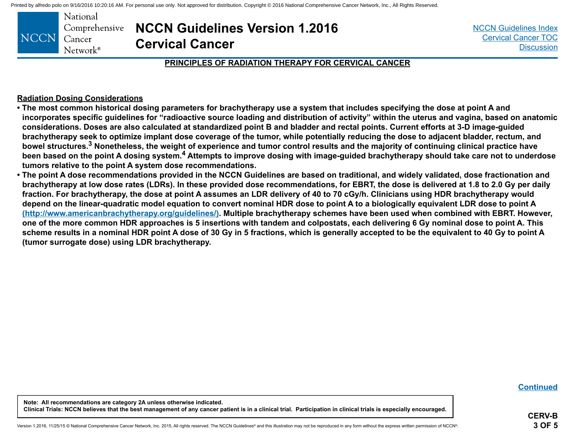|       | National          |
|-------|-------------------|
|       | Comprehensive     |
| NCCN' | Cancer            |
|       | $Network^{\circ}$ |

**NCCN Guidelines Version 1.2016 Cervical Cancer**

[NCCN Guidelines Index](http://www.nccn.org/professionals/physician_gls/f_guidelines.asp) [Cervical Cancer TOC](#page-2-0) **[Discussion](#page-34-0)** 

#### **PRINCIPLES OF RADIATION THERAPY FOR CERVICAL CANCER**

#### **Radiation Dosing Considerations**

- **The most common historical dosing parameters for brachytherapy use a system that includes specifying the dose at point A and incorporates specific guidelines for "radioactive source loading and distribution of activity" within the uterus and vagina, based on anatomic considerations. Doses are also calculated at standardized point B and bladder and rectal points. Current efforts at 3-D image-guided brachytherapy seek to optimize implant dose coverage of the tumor, while potentially reducing the dose to adjacent bladder, rectum, and bowel structures.3 Nonetheless, the weight of experience and tumor control results and the majority of continuing clinical practice have been based on the point A dosing system.4 Attempts to improve dosing with image-guided brachytherapy should take care not to underdose tumors relative to the point A system dose recommendations.**
- **The point A dose recommendations provided in the NCCN Guidelines are based on traditional, and widely validated, dose fractionation and brachytherapy at low dose rates (LDRs). In these provided dose recommendations, for EBRT, the dose is delivered at 1.8 to 2.0 Gy per daily fraction. For brachytherapy, the dose at point A assumes an LDR delivery of 40 to 70 cGy/h. Clinicians using HDR brachytherapy would depend on the linear-quadratic model equation to convert nominal HDR dose to point A to a biologically equivalent LDR dose to point A [\(http://www.americanbrachytherapy.org/guidelines/\).](http://www.americanbrachytherapy.org/guidelines/) Multiple brachytherapy schemes have been used when combined with EBRT. However, one of the more common HDR approaches is 5 insertions with tandem and colpostats, each delivering 6 Gy nominal dose to point A. This scheme results in a nominal HDR point A dose of 30 Gy in 5 fractions, which is generally accepted to be the equivalent to 40 Gy to point A (tumor surrogate dose) using LDR brachytherapy.**

**[Continued](#page-27-0)**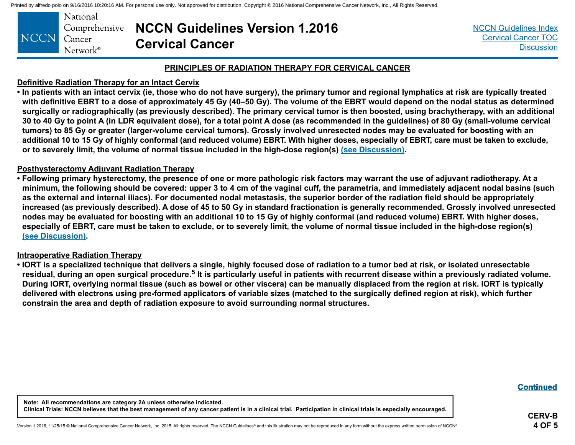<span id="page-27-0"></span>

|       | National             |  |
|-------|----------------------|--|
|       | Comprehensive        |  |
| 'NCCN | Cancer               |  |
|       | Network <sup>®</sup> |  |

## **NCCN Guidelines Version 1.2016 Cervical Cancer**

[NCCN Guidelines Index](http://www.nccn.org/professionals/physician_gls/f_guidelines.asp) [Cervical Cancer TOC](#page-2-0) **[Discussion](#page-34-0)** 

#### **PRINCIPLES OF RADIATION THERAPY FOR CERVICAL CANCER**

#### **Definitive Radiation Therapy for an Intact Cervix**

**• In patients with an intact cervix (ie, those who do not have surgery), the primary tumor and regional lymphatics at risk are typically treated with definitive EBRT to a dose of approximately 45 Gy (40–50 Gy). The volume of the EBRT would depend on the nodal status as determined surgically or radiographically (as previously described). The primary cervical tumor is then boosted, using brachytherapy, with an additional 30 to 40 Gy to point A (in LDR equivalent dose), for a total point A dose (as recommended in the guidelines) of 80 Gy (small-volume cervical tumors) to 85 Gy or greater (larger-volume cervical tumors). Grossly involved unresected nodes may be evaluated for boosting with an additional 10 to 15 Gy of highly conformal (and reduced volume) EBRT. With higher doses, especially of EBRT, care must be taken to exclude, or to severely limit, the volume of normal tissue included in the high-dose region(s) [\(see Discussion\)](#page-34-0).**

#### **Posthysterectomy Adjuvant Radiation Therapy**

**• Following primary hysterectomy, the presence of one or more pathologic risk factors may warrant the use of adjuvant radiotherapy. At a minimum, the following should be covered: upper 3 to 4 cm of the vaginal cuff, the parametria, and immediately adjacent nodal basins (such as the external and internal iliacs). For documented nodal metastasis, the superior border of the radiation field should be appropriately increased (as previously described). A dose of 45 to 50 Gy in standard fractionation is generally recommended. Grossly involved unresected nodes may be evaluated for boosting with an additional 10 to 15 Gy of highly conformal (and reduced volume) EBRT. With higher doses, especially of EBRT, care must be taken to exclude, or to severely limit, the volume of normal tissue included in the high-dose region(s) [\(see Discussion\)](#page-34-0).** 

#### **Intraoperative Radiation Therapy**

**• IORT is a specialized technique that delivers a single, highly focused dose of radiation to a tumor bed at risk, or isolated unresectable residual, during an open surgical procedure.5 It is particularly useful in patients with recurrent disease within a previously radiated volume. During IORT, overlying normal tissue (such as bowel or other viscera) can be manually displaced from the region at risk. IORT is typically delivered with electrons using pre-formed applicators of variable sizes (matched to the surgically defined region at risk), which further constrain the area and depth of radiation exposure to avoid surrounding normal structures.** 

**[ContinuedContinued](#page-28-0) Continued**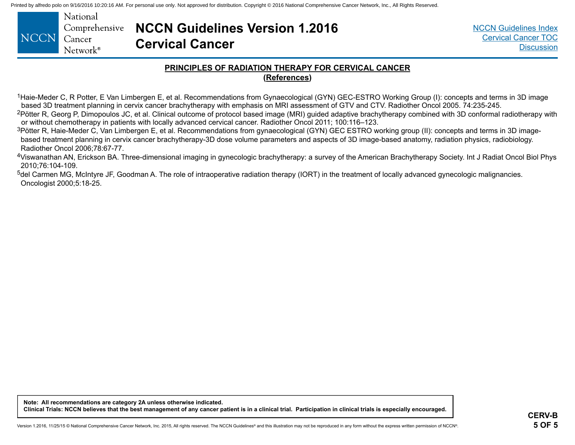<span id="page-28-0"></span>

| NCCN Cancer | National<br>Network <sup>®</sup> | <b>Comprehensive NCCN Guidelines Version 1.2016</b><br><b>Cervical Cancer</b> |
|-------------|----------------------------------|-------------------------------------------------------------------------------|
|-------------|----------------------------------|-------------------------------------------------------------------------------|

#### **PRINCIPLES OF RADIATION THERAPY FOR CERVICAL CANCER (References)**

<sup>1</sup>Haie-Meder C, R Potter, E Van Limbergen E, et al. Recommendations from Gynaecological (GYN) GEC-ESTRO Working Group (I): concepts and terms in 3D image based 3D treatment planning in cervix cancer brachytherapy with emphasis on MRI assessment of GTV and CTV. Radiother Oncol 2005. 74:235-245.

<sup>2</sup>Pötter R, Georg P, Dimopoulos JC, et al. Clinical outcome of protocol based image (MRI) guided adaptive brachytherapy combined with 3D conformal radiotherapy with or without chemotherapy in patients with locally advanced cervical cancer. Radiother Oncol 2011; 100:116–123.

<sup>3</sup>Pötter R, Haie-Meder C, Van Limbergen E, et al. Recommendations from gynaecological (GYN) GEC ESTRO working group (II): concepts and terms in 3D imagebased treatment planning in cervix cancer brachytherapy-3D dose volume parameters and aspects of 3D image-based anatomy, radiation physics, radiobiology. Radiother Oncol 2006;78:67-77.

<sup>4</sup>Viswanathan AN, Erickson BA. Three-dimensional imaging in gynecologic brachytherapy: a survey of the American Brachytherapy Society. Int J Radiat Oncol Biol Phys 2010;76:104-109.

<sup>5</sup>del Carmen MG, McIntyre JF, Goodman A. The role of intraoperative radiation therapy (IORT) in the treatment of locally advanced gynecologic malignancies. Oncologist 2000;5:18-25.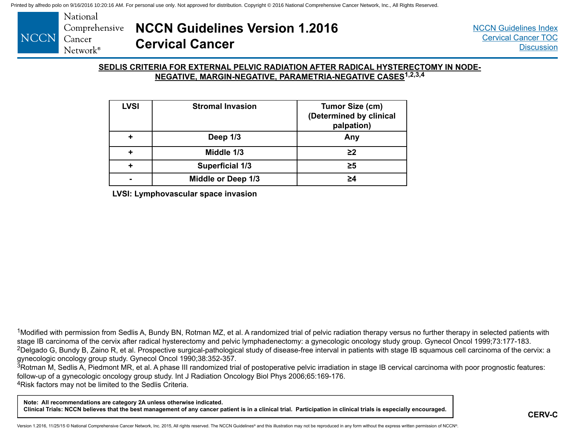<span id="page-29-0"></span>

#### **SEDLIS CRITERIA FOR EXTERNAL PELVIC RADIATION AFTER RADICAL HYSTERECTOMY IN NODE-NEGATIVE, MARGIN-NEGATIVE, PARAMETRIA-NEGATIVE CASES1,2,3,4**

| <b>LVSI</b> | <b>Stromal Invasion</b> | Tumor Size (cm)<br>(Determined by clinical<br>palpation) |
|-------------|-------------------------|----------------------------------------------------------|
|             | Deep 1/3                | Any                                                      |
|             | Middle 1/3              | $\geq$                                                   |
|             | <b>Superficial 1/3</b>  | $\geq 5$                                                 |
|             | Middle or Deep 1/3      | >4                                                       |

**LVSI: Lymphovascular space invasion**

<sup>1</sup>Modified with permission from Sedlis A, Bundy BN, Rotman MZ, et al. A randomized trial of pelvic radiation therapy versus no further therapy in selected patients with stage IB carcinoma of the cervix after radical hysterectomy and pelvic lymphadenectomy: a gynecologic oncology study group. Gynecol Oncol 1999;73:177-183. <sup>2</sup>Delgado G, Bundy B, Zaino R, et al. Prospective surgical-pathological study of disease-free interval in patients with stage IB squamous cell carcinoma of the cervix: a gynecologic oncology group study. Gynecol Oncol 1990;38:352-357.

<sup>3</sup>Rotman M, Sedlis A, Piedmont MR, et al. A phase III randomized trial of postoperative pelvic irradiation in stage IB cervical carcinoma with poor prognostic features: follow-up of a gynecologic oncology group study. Int J Radiation Oncology Biol Phys 2006;65:169-176. 4Risk factors may not be limited to the Sedlis Criteria.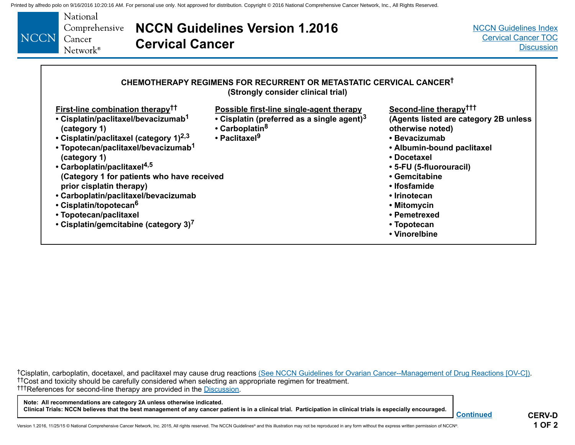<span id="page-30-0"></span>

| <b>NCCN</b> | National<br>Comprehensive<br>Cancer<br><b>Cervical Cancer</b><br>Network <sup>®</sup>                                                                                                                                                                                                                                             | <b>NCCN Guidelines Version 1.2016</b>                                                                                                                                                                                                                                        | <b>NCCN Guidelines Index</b><br><b>Cervical Cancer TOC</b><br><b>Discussion</b>                                                                                                                           |
|-------------|-----------------------------------------------------------------------------------------------------------------------------------------------------------------------------------------------------------------------------------------------------------------------------------------------------------------------------------|------------------------------------------------------------------------------------------------------------------------------------------------------------------------------------------------------------------------------------------------------------------------------|-----------------------------------------------------------------------------------------------------------------------------------------------------------------------------------------------------------|
|             | <b>First-line combination therapy<sup>††</sup></b><br>• Cisplatin/paclitaxel/bevacizumab <sup>1</sup><br>(category 1)<br>• Cisplatin/paclitaxel (category 1) $^{2,3}$<br>• Topotecan/paclitaxel/bevacizumab <sup>1</sup><br>(category 1)<br>• Carboplatin/paclitaxel <sup>4,5</sup><br>(Category 1 for patients who have received | CHEMOTHERAPY REGIMENS FOR RECURRENT OR METASTATIC CERVICAL CANCER <sup>†</sup><br>(Strongly consider clinical trial)<br>Possible first-line single-agent therapy<br>• Cisplatin (preferred as a single agent) $3$<br>• Carboplatin <sup>8</sup><br>• Paclitaxel <sup>9</sup> | Second-line therapy <sup>†††</sup><br>(Agents listed are category 2B unless<br>otherwise noted)<br>• Bevacizumab<br>• Albumin-bound paclitaxel<br>• Docetaxel<br>• 5-FU (5-fluorouracil)<br>• Gemcitabine |
|             | prior cisplatin therapy)<br>• Carboplatin/paclitaxel/bevacizumab<br>• Cisplatin/topotecan <sup>6</sup><br>• Topotecan/paclitaxel<br>• Cisplatin/gemcitabine (category 3) <sup>7</sup>                                                                                                                                             |                                                                                                                                                                                                                                                                              | • Ifosfamide<br>• Irinotecan<br>• Mitomycin<br>• Pemetrexed<br>• Topotecan<br>• Vinorelbine                                                                                                               |

†Cisplatin, carboplatin, docetaxel, and paclitaxel may cause drug reactions [\(See NCCN Guidelines for Ovarian Cancer--Management of Drug Reactions \[OV-C\]\).](http://www.nccn.org/professionals/physician_gls/pdf/ovarian.pdf)<br>††Cost and toxicity should be carefully considered when selecting a †††References for second-line therapy are provided in the [Discussion](#page-34-0).

#### **Note: All recommendations are category 2A unless otherwise indicated. Clinical Trials: NCCN believes that the best management of any cancer patient is in a clinical trial. Participation in clinical trials is especially encouraged.**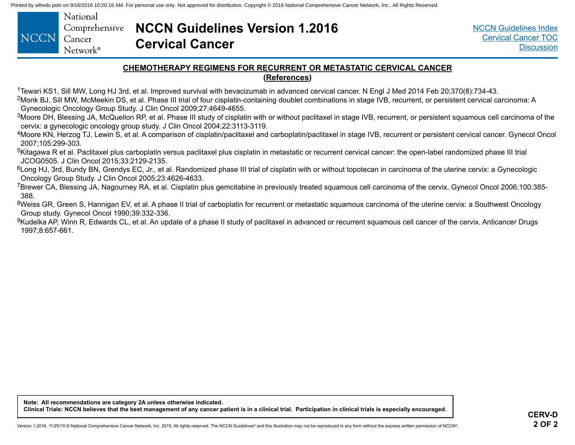<span id="page-31-0"></span>

|                    | National          |
|--------------------|-------------------|
|                    | Comprehensive     |
| <b>NCCN</b> Cancer |                   |
|                    | $Network^{\circ}$ |

## **NCCN Guidelines Version 1.2016 Cervical Cancer**

[NCCN Guidelines Index](http://www.nccn.org/professionals/physician_gls/f_guidelines.asp) [Cervical Cancer TOC](#page-2-0) **[Discussion](#page-34-0)** 

#### **CHEMOTHERAPY REGIMENS FOR RECURRENT OR METASTATIC CERVICAL CANCER (References)**

1Tewari KS1, Sill MW, Long HJ 3rd, et al. Improved survival with bevacizumab in advanced cervical cancer. N Engl J Med 2014 Feb 20;370(8):734-43.

<sup>2</sup>Monk BJ, Sill MW, McMeekin DS, et al. Phase III trial of four cisplatin-containing doublet combinations in stage IVB, recurrent, or persistent cervical carcinoma: A Gynecologic Oncology Group Study. J Clin Oncol 2009;27:4649-4655.

<sup>3</sup>Moore DH, Blessing JA, McQuellon RP, et al. Phase III study of cisplatin with or without paclitaxel in stage IVB, recurrent, or persistent squamous cell carcinoma of the cervix: a gynecologic oncology group study. J Clin Oncol 2004;22:3113-3119.

4Moore KN, Herzog TJ, Lewin S, et al. A comparison of cisplatin/paclitaxel and carboplatin/paclitaxel in stage IVB, recurrent or persistent cervical cancer. Gynecol Oncol 2007;105:299-303.

<sup>5</sup>Kitagawa R et al. Paclitaxel plus carboplatin versus paclitaxel plus cisplatin in metastatic or recurrent cervical cancer: the open-label randomized phase III trial JCOG0505. J Clin Oncol 2015;33:2129-2135.

<sup>6</sup>Long HJ, 3rd, Bundy BN, Grendys EC, Jr., et al. Randomized phase III trial of cisplatin with or without topotecan in carcinoma of the uterine cervix: a Gynecologic Oncology Group Study. J Clin Oncol 2005;23:4626-4633.

7Brewer CA, Blessing JA, Nagourney RA, et al. Cisplatin plus gemcitabine in previously treated squamous cell carcinoma of the cervix. Gynecol Oncol 2006;100:385- 388.

8Weiss GR, Green S, Hannigan EV, et al. A phase II trial of carboplatin for recurrent or metastatic squamous carcinoma of the uterine cervix: a Southwest Oncology Group study. Gynecol Oncol 1990;39:332-336.

<sup>9</sup>Kudelka AP, Winn R, Edwards CL, et al. An update of a phase II study of paclitaxel in advanced or recurrent squamous cell cancer of the cervix. Anticancer Drugs 1997;8:657-661.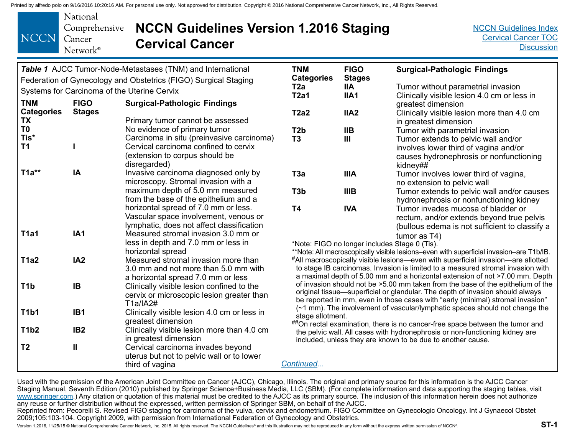<span id="page-32-0"></span>

| National<br>CCN Cancer | Comprehensive <b>NCCN Guidelines Version 1.2016 Staging</b><br><b>Cervical Cancer</b> |
|------------------------|---------------------------------------------------------------------------------------|
| $Network^{\circ}$      |                                                                                       |

[NCCN Guidelines Index](http://www.nccn.org/professionals/physician_gls/f_guidelines.asp) [Cervical Cancer TOC](#page-2-0) **[Discussion](#page-34-0)** 

|                                                                  |                 | Table 1 AJCC Tumor-Node-Metastases (TNM) and International                             | <b>TNM</b>               | <b>FIGO</b>                 | <b>Surgical-Pathologic Findings</b>                                                                                                                                 |
|------------------------------------------------------------------|-----------------|----------------------------------------------------------------------------------------|--------------------------|-----------------------------|---------------------------------------------------------------------------------------------------------------------------------------------------------------------|
|                                                                  |                 | Federation of Gynecology and Obstetrics (FIGO) Surgical Staging                        | <b>Categories</b><br>T2a | <b>Stages</b><br><b>IIA</b> | Tumor without parametrial invasion                                                                                                                                  |
|                                                                  |                 | Systems for Carcinoma of the Uterine Cervix                                            | <b>T2a1</b>              | IIA1                        | Clinically visible lesion 4.0 cm or less in                                                                                                                         |
| <b>TNM</b><br><b>FIGO</b><br><b>Surgical-Pathologic Findings</b> |                 |                                                                                        |                          |                             | greatest dimension                                                                                                                                                  |
| <b>Categories</b>                                                | <b>Stages</b>   |                                                                                        | <b>T2a2</b>              | IIA <sub>2</sub>            | Clinically visible lesion more than 4.0 cm                                                                                                                          |
| TX                                                               |                 | Primary tumor cannot be assessed                                                       |                          |                             | in greatest dimension                                                                                                                                               |
| T <sub>0</sub>                                                   |                 | No evidence of primary tumor                                                           | T <sub>2</sub> b         | <b>IIB</b>                  | Tumor with parametrial invasion                                                                                                                                     |
| Tis*                                                             |                 | Carcinoma in situ (preinvasive carcinoma)                                              | T <sub>3</sub>           | $\mathbf{III}$              | Tumor extends to pelvic wall and/or                                                                                                                                 |
| <b>T1</b>                                                        |                 | Cervical carcinoma confined to cervix                                                  |                          |                             | involves lower third of vagina and/or                                                                                                                               |
|                                                                  |                 | (extension to corpus should be                                                         |                          |                             | causes hydronephrosis or nonfunctioning                                                                                                                             |
|                                                                  |                 | disregarded)                                                                           |                          |                             | kidney##                                                                                                                                                            |
| $T1a**$                                                          | IA              | Invasive carcinoma diagnosed only by                                                   | T <sub>3</sub> a         | <b>IIIA</b>                 | Tumor involves lower third of vagina,                                                                                                                               |
|                                                                  |                 | microscopy. Stromal invasion with a                                                    |                          |                             | no extension to pelvic wall                                                                                                                                         |
|                                                                  |                 | maximum depth of 5.0 mm measured                                                       | T <sub>3</sub> b         | <b>IIIB</b>                 | Tumor extends to pelvic wall and/or causes                                                                                                                          |
|                                                                  |                 | from the base of the epithelium and a                                                  |                          |                             | hydronephrosis or nonfunctioning kidney                                                                                                                             |
|                                                                  |                 | horizontal spread of 7.0 mm or less.                                                   | <b>T4</b>                | <b>IVA</b>                  | Tumor invades mucosa of bladder or                                                                                                                                  |
|                                                                  |                 | Vascular space involvement, venous or                                                  |                          |                             | rectum, and/or extends beyond true pelvis                                                                                                                           |
|                                                                  |                 | lymphatic, does not affect classification                                              |                          |                             | (bullous edema is not sufficient to classify a                                                                                                                      |
| <b>T1a1</b>                                                      | IA <sub>1</sub> | Measured stromal invasion 3.0 mm or                                                    |                          |                             | tumor as $T4$ )                                                                                                                                                     |
|                                                                  |                 | less in depth and 7.0 mm or less in                                                    |                          |                             | *Note: FIGO no longer includes Stage 0 (Tis).                                                                                                                       |
|                                                                  |                 | horizontal spread                                                                      |                          |                             | **Note: All macroscopically visible lesions-even with superficial invasion-are T1b/IB.                                                                              |
| T1a2                                                             | IA <sub>2</sub> | Measured stromal invasion more than                                                    |                          |                             | #All macroscopically visible lesions—even with superficial invasion—are allotted<br>to stage IB carcinomas. Invasion is limited to a measured stromal invasion with |
|                                                                  |                 | 3.0 mm and not more than 5.0 mm with                                                   |                          |                             | a maximal depth of 5.00 mm and a horizontal extension of not >7.00 mm. Depth                                                                                        |
| T <sub>1</sub> b                                                 | <b>IB</b>       | a horizontal spread 7.0 mm or less                                                     |                          |                             | of invasion should not be >5.00 mm taken from the base of the epithelium of the                                                                                     |
|                                                                  |                 | Clinically visible lesion confined to the<br>cervix or microscopic lesion greater than |                          |                             | original tissue—superficial or glandular. The depth of invasion should always                                                                                       |
|                                                                  |                 | T1a/IA2#                                                                               |                          |                             | be reported in mm, even in those cases with "early (minimal) stromal invasion"                                                                                      |
| <b>T1b1</b>                                                      | IB <sub>1</sub> | Clinically visible lesion 4.0 cm or less in                                            |                          |                             | (~1 mm). The involvement of vascular/lymphatic spaces should not change the                                                                                         |
|                                                                  |                 | greatest dimension                                                                     | stage allotment.         |                             |                                                                                                                                                                     |
| <b>T1b2</b>                                                      | IB <sub>2</sub> | Clinically visible lesion more than 4.0 cm                                             |                          |                             | ##On rectal examination, there is no cancer-free space between the tumor and                                                                                        |
|                                                                  |                 | in greatest dimension                                                                  |                          |                             | the pelvic wall. All cases with hydronephrosis or non-functioning kidney are<br>included, unless they are known to be due to another cause.                         |
| T <sub>2</sub>                                                   | Ш               | Cervical carcinoma invades beyond                                                      |                          |                             |                                                                                                                                                                     |
|                                                                  |                 | uterus but not to pelvic wall or to lower                                              |                          |                             |                                                                                                                                                                     |
|                                                                  |                 | third of vagina                                                                        | Continued                |                             |                                                                                                                                                                     |

Used with the permission of the American Joint Committee on Cancer (AJCC), Chicago, Illinois. The original and primary source for this information is the AJCC Cancer Staging Manual, Seventh Edition (2010) published by Springer Science+Business Media, LLC (SBM). (For complete information and data supporting the staging tables, visit [www.springer.com.](http://www.springer.com/?SGWID=0-102-0-0-0)) Any citation or quotation of this material must be credited to the AJCC as its primary source. The inclusion of this information herein does not authorize any reuse or further distribution without the expressed, written permission of Springer SBM, on behalf of the AJCC.

Reprinted from: Pecorelli S. Revised FIGO staging for carcinoma of the vulva, cervix and endometrium. FIGO Committee on Gynecologic Oncology. Int J Gynaecol Obstet 2009;105:103-104. Copyright 2009, with permission from International Federation of Gynecology and Obstetrics.

Version 1.2016, 11/25/15 © National Comprehensive Cancer Network, Inc. 2015, All rights reserved. The NCCN Guidelines® and this illustration may not be reproduced in any form without the express written permission of NCCN®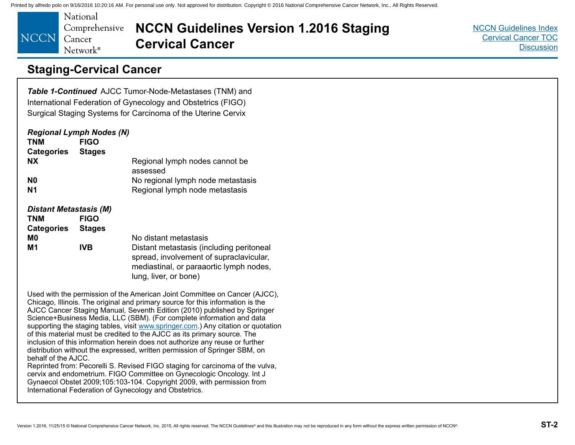<span id="page-33-0"></span>National Comprehensive **NCCN** Cancer Network<sup>®</sup>

**NCCN Guidelines Version 1.2016 Staging Cervical Cancer**

[NCCN Guidelines Index](http://www.nccn.org/professionals/physician_gls/f_guidelines.asp) [Cervical Cancer TOC](#page-2-0) **[Discussion](#page-34-0)** 

## **Staging-Cervical Cancer**

*Table 1-Continued* AJCC Tumor-Node-Metastases (TNM) and International Federation of Gynecology and Obstetrics (FIGO) Surgical Staging Systems for Carcinoma of the Uterine Cervix

| <b>TNM</b><br><b>Categories</b>             | <b>Regional Lymph Nodes (N)</b><br><b>FIGO</b><br><b>Stages</b> |                                                                                                                                                         |
|---------------------------------------------|-----------------------------------------------------------------|---------------------------------------------------------------------------------------------------------------------------------------------------------|
| <b>NX</b>                                   |                                                                 | Regional lymph nodes cannot be<br>assessed                                                                                                              |
| N <sub>0</sub>                              |                                                                 | No regional lymph node metastasis                                                                                                                       |
| N <sub>1</sub>                              |                                                                 | Regional lymph node metastasis                                                                                                                          |
| <b>Distant Metastasis (M)</b><br><b>TNM</b> | <b>FIGO</b>                                                     |                                                                                                                                                         |
| <b>Categories</b>                           | <b>Stages</b>                                                   |                                                                                                                                                         |
| M <sub>0</sub>                              |                                                                 | No distant metastasis                                                                                                                                   |
| M1                                          | <b>IVB</b>                                                      | Distant metastasis (including peritoneal<br>spread, involvement of supraclavicular,<br>mediastinal, or paraaortic lymph nodes,<br>lung, liver, or bone) |

Used with the permission of the American Joint Committee on Cancer (AJCC), Chicago, Illinois. The original and primary source for this information is the AJCC Cancer Staging Manual, Seventh Edition (2010) published by Springer Science+Business Media, LLC (SBM). (For complete information and data supporting the staging tables, visit <www.springer.com>.) Any citation or quotation of this material must be credited to the AJCC as its primary source. The inclusion of this information herein does not authorize any reuse or further distribution without the expressed, written permission of Springer SBM, on behalf of the AJCC. Reprinted from: Pecorelli S. Revised FIGO staging for carcinoma of the vulva,

cervix and endometrium. FIGO Committee on Gynecologic Oncology. Int J Gynaecol Obstet 2009;105:103-104. Copyright 2009, with permission from International Federation of Gynecology and Obstetrics.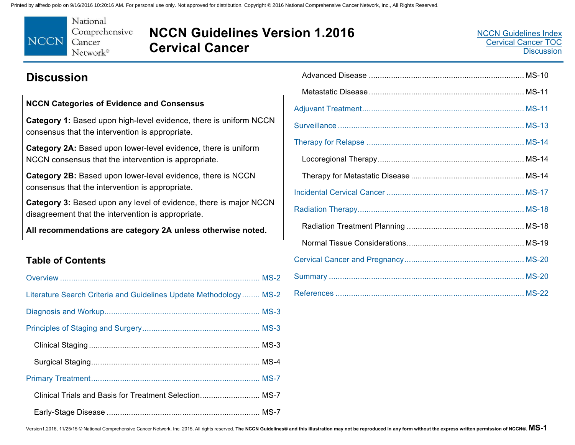<span id="page-34-0"></span>

## **NCCN Guidelines Version 1.2016 Cervical Cancer**

## **Discussion**

#### **NCCN Categories of Evidence and Consensus**

**Category 1:** Based upon high-level evidence, there is uniform NCCN consensus that the intervention is appropriate.

**Category 2A:** Based upon lower-level evidence, there is uniform NCCN consensus that the intervention is appropriate.

**Category 2B:** Based upon lower-level evidence, there is NCCN consensus that the intervention is appropriate.

**Category 3:** Based upon any level of evidence, there is major NCCN disagreement that the intervention is appropriate.

**All recommendations are category 2A unless otherwise noted.** 

### **Table of Contents**

| Literature Search Criteria and Guidelines Update Methodology MS-2 |
|-------------------------------------------------------------------|
|                                                                   |
|                                                                   |
|                                                                   |
|                                                                   |
|                                                                   |
| Clinical Trials and Basis for Treatment Selection MS-7            |
|                                                                   |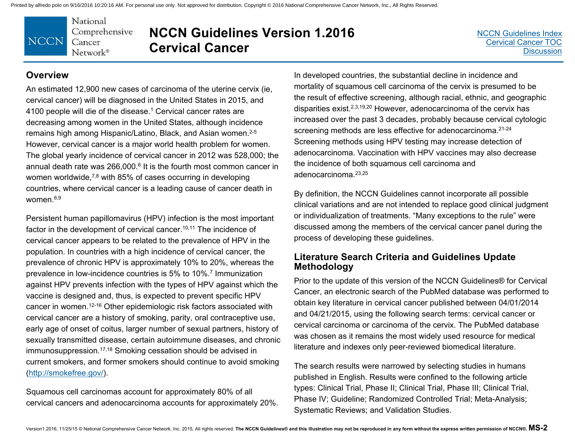

## **NCCN Guidelines Version 1.2016 Cervical Cancer**

[NCCN Guidelines Inde](http://www.nccn.org/professionals/physician_gls/f_guidelines.asp)x[Cervical Cancer TOC](#page-2-0)**[Discussion](#page-34-0)** 

#### **Overview**

An estimated 12,900 new cases of carcinoma of the uterine cervix (ie, cervical cancer) will be diagnosed in the United States in 2015, and 4100 people will die of the disease.<sup>1</sup> Cervical cancer rates are decreasing among women in the United States, although incidence remains high among Hispanic/Latino, Black, and Asian women.<sup>2-5</sup> However, cervical cancer is a major world health problem for women. The global yearly incidence of cervical cancer in 2012 was 528,000; the annual death rate was 266,000.<sup>6</sup> It is the fourth most common cancer in women worldwide,<sup>7,8</sup> with 85% of cases occurring in developing countries, where cervical cancer is a leading cause of cancer death in women $6,9$ 

Persistent human papillomavirus (HPV) infection is the most important factor in the development of cervical cancer.<sup>10,11</sup> The incidence of cervical cancer appears to be related to the prevalence of HPV in the population. In countries with a high incidence of cervical cancer, the prevalence of chronic HPV is approximately 10% to 20%, whereas the prevalence in low-incidence countries is 5% to 10%.7 Immunization against HPV prevents infection with the types of HPV against which the vaccine is designed and, thus, is expected to prevent specific HPV cancer in women.12-16 Other epidemiologic risk factors associated with cervical cancer are a history of smoking, parity, oral contraceptive use, early age of onset of coitus, larger number of sexual partners, history of sexually transmitted disease, certain autoimmune diseases, and chronic immunosuppression.<sup>17,18</sup> Smoking cessation should be advised in current smokers, and former smokers should continue to avoid smoking (http://smokefree.gov/).

Squamous cell carcinomas account for approximately 80% of all cervical cancers and adenocarcinoma accounts for approximately 20%.

In developed countries, the substantial decline in incidence and mortality of squamous cell carcinoma of the cervix is presumed to be the result of effective screening, although racial, ethnic, and geographic disparities exist.2,3,19,20 However, adenocarcinoma of the cervix has increased over the past 3 decades, probably because cervical cytologic screening methods are less effective for adenocarcinoma.<sup>21-24</sup> Screening methods using HPV testing may increase detection of adenocarcinoma. Vaccination with HPV vaccines may also decrease the incidence of both squamous cell carcinoma and adenocarcinoma.23,25

By definition, the NCCN Guidelines cannot incorporate all possible clinical variations and are not intended to replace good clinical judgment or individualization of treatments. "Many exceptions to the rule" were discussed among the members of the cervical cancer panel during the process of developing these guidelines.

#### **Literature Search Criteria and Guidelines Update Methodology**

Prior to the update of this version of the NCCN Guidelines® for Cervical Cancer, an electronic search of the PubMed database was performed to obtain key literature in cervical cancer published between 04/01/2014 and 04/21/2015, using the following search terms: cervical cancer or cervical carcinoma or carcinoma of the cervix. The PubMed database was chosen as it remains the most widely used resource for medical literature and indexes only peer-reviewed biomedical literature.

The search results were narrowed by selecting studies in humans published in English. Results were confined to the following article types: Clinical Trial, Phase II; Clinical Trial, Phase III; Clinical Trial, Phase IV; Guideline; Randomized Controlled Trial; Meta-Analysis; Systematic Reviews; and Validation Studies.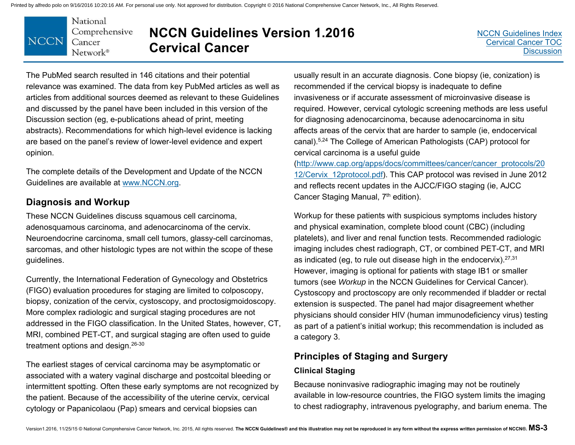

# **NCCN Guidelines Version 1.2016 Cervical Cancer**

The PubMed search resulted in 146 citations and their potential relevance was examined. The data from key PubMed articles as well as articles from additional sources deemed as relevant to these Guidelines and discussed by the panel have been included in this version of the Discussion section (eg, e-publications ahead of print, meeting abstracts). Recommendations for which high-level evidence is lacking are based on the panel's review of lower-level evidence and expert opinion.

The complete details of the Development and Update of the NCCN Guidelines are available at www.NCCN.org.

### **Diagnosis and Workup**

These NCCN Guidelines discuss squamous cell carcinoma, adenosquamous carcinoma, and adenocarcinoma of the cervix. Neuroendocrine carcinoma, small cell tumors, glassy-cell carcinomas, sarcomas, and other histologic types are not within the scope of these guidelines.

Currently, the International Federation of Gynecology and Obstetrics (FIGO) evaluation procedures for staging are limited to colposcopy, biopsy, conization of the cervix, cystoscopy, and proctosigmoidoscopy. More complex radiologic and surgical staging procedures are not addressed in the FIGO classification. In the United States, however, CT, MRI, combined PET-CT, and surgical staging are often used to guide treatment options and design.26-30

The earliest stages of cervical carcinoma may be asymptomatic or associated with a watery vaginal discharge and postcoital bleeding or intermittent spotting. Often these early symptoms are not recognized by the patient. Because of the accessibility of the uterine cervix, cervical cytology or Papanicolaou (Pap) smears and cervical biopsies can

usually result in an accurate diagnosis. Cone biopsy (ie, conization) is recommended if the cervical biopsy is inadequate to define invasiveness or if accurate assessment of microinvasive disease is required. However, cervical cytologic screening methods are less useful for diagnosing adenocarcinoma, because adenocarcinoma in situ affects areas of the cervix that are harder to sample (ie, endocervical canal).5,24 The College of American Pathologists (CAP) protocol for cervical carcinoma is a useful guide

(http://www.cap.org/apps/docs/committees/cancer/cancer\_protocols/20 12/Cervix\_12protocol.pdf). This CAP protocol was revised in June 2012 and reflects recent updates in the AJCC/FIGO staging (ie, AJCC Cancer Staging Manual, 7<sup>th</sup> edition).

Workup for these patients with suspicious symptoms includes history and physical examination, complete blood count (CBC) (including platelets), and liver and renal function tests. Recommended radiologic imaging includes chest radiograph, CT, or combined PET-CT, and MRI as indicated (eg, to rule out disease high in the endocervix).27,31 However, imaging is optional for patients with stage IB1 or smaller tumors (see *Workup* in the NCCN Guidelines for Cervical Cancer). Cystoscopy and proctoscopy are only recommended if bladder or rectal extension is suspected. The panel had major disagreement whether physicians should consider HIV (human immunodeficiency virus) testing as part of a patient's initial workup; this recommendation is included as a category 3.

### **Principles of Staging and Surgery**

#### **Clinical Staging**

Because noninvasive radiographic imaging may not be routinely available in low-resource countries, the FIGO system limits the imaging to chest radiography, intravenous pyelography, and barium enema. The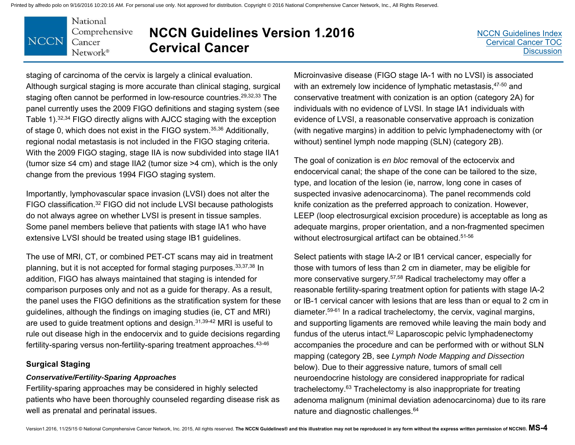#### National Comprehensive **NCCN** Cancer Network®

# **NCCN Guidelines Version 1.2016 Cervical Cancer**

staging of carcinoma of the cervix is largely a clinical evaluation. Although surgical staging is more accurate than clinical staging, surgical staging often cannot be performed in low-resource countries.29,32,33 The panel currently uses the 2009 FIGO definitions and staging system (see Table 1).32,34 FIGO directly aligns with AJCC staging with the exception of stage 0, which does not exist in the FIGO system.35,36 Additionally, regional nodal metastasis is not included in the FIGO staging criteria. With the 2009 FIGO staging, stage IIA is now subdivided into stage IIA1 (tumor size ≤4 cm) and stage IIA2 (tumor size >4 cm), which is the only change from the previous 1994 FIGO staging system.

Importantly, lymphovascular space invasion (LVSI) does not alter the FIGO classification.32 FIGO did not include LVSI because pathologists do not always agree on whether LVSI is present in tissue samples. Some panel members believe that patients with stage IA1 who have extensive LVSI should be treated using stage IB1 guidelines.

The use of MRI, CT, or combined PET-CT scans may aid in treatment planning, but it is not accepted for formal staging purposes.33,37,38 In addition, FIGO has always maintained that staging is intended for comparison purposes only and not as a guide for therapy. As a result, the panel uses the FIGO definitions as the stratification system for these guidelines, although the findings on imaging studies (ie, CT and MRI) are used to guide treatment options and design.31,39-42 MRI is useful to rule out disease high in the endocervix and to guide decisions regarding fertility-sparing versus non-fertility-sparing treatment approaches.<sup>43-46</sup>

#### **Surgical Staging**

#### *Conservative/Fertility-Sparing Approaches*

Fertility-sparing approaches may be considered in highly selected patients who have been thoroughly counseled regarding disease risk as well as prenatal and perinatal issues.

Microinvasive disease (FIGO stage IA-1 with no LVSI) is associated with an extremely low incidence of lymphatic metastasis, 47-50 and conservative treatment with conization is an option (category 2A) for individuals with no evidence of LVSI. In stage IA1 individuals with evidence of LVSI, a reasonable conservative approach is conization (with negative margins) in addition to pelvic lymphadenectomy with (or without) sentinel lymph node mapping (SLN) (category 2B).

The goal of conization is *en bloc* removal of the ectocervix and endocervical canal; the shape of the cone can be tailored to the size, type, and location of the lesion (ie, narrow, long cone in cases of suspected invasive adenocarcinoma). The panel recommends cold knife conization as the preferred approach to conization. However, LEEP (loop electrosurgical excision procedure) is acceptable as long as adequate margins, proper orientation, and a non-fragmented specimen without electrosurgical artifact can be obtained.<sup>51-56</sup>

Select patients with stage IA-2 or IB1 cervical cancer, especially for those with tumors of less than 2 cm in diameter, may be eligible for more conservative surgery.57,58 Radical trachelectomy may offer a reasonable fertility-sparing treatment option for patients with stage IA-2 or IB-1 cervical cancer with lesions that are less than or equal to 2 cm in diameter.59-61 In a radical trachelectomy, the cervix, vaginal margins, and supporting ligaments are removed while leaving the main body and fundus of the uterus intact.62 Laparoscopic pelvic lymphadenectomy accompanies the procedure and can be performed with or without SLN mapping (category 2B, see *Lymph Node Mapping and Dissection* below). Due to their aggressive nature, tumors of small cell neuroendocrine histology are considered inappropriate for radical trachelectomy.63 Trachelectomy is also inappropriate for treating adenoma malignum (minimal deviation adenocarcinoma) due to its rare nature and diagnostic challenges.64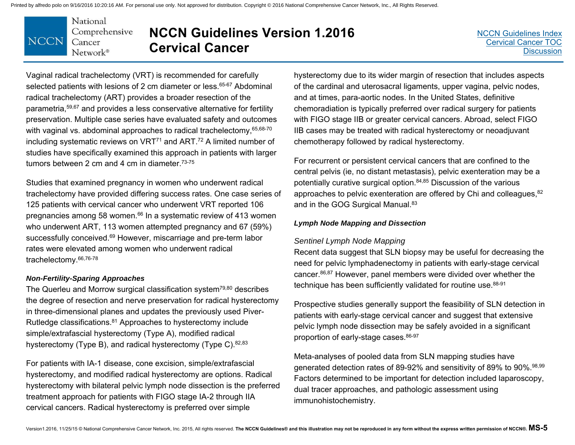#### National Comprehensive **NCCN** Cancer Network®

# **NCCN Guidelines Version 1.2016 Cervical Cancer**

Vaginal radical trachelectomy (VRT) is recommended for carefully selected patients with lesions of 2 cm diameter or less.<sup>65-67</sup> Abdominal radical trachelectomy (ART) provides a broader resection of the parametria,59,67 and provides a less conservative alternative for fertility preservation. Multiple case series have evaluated safety and outcomes with vaginal vs. abdominal approaches to radical trachelectomy, 65,68-70 including systematic reviews on  $VRT<sup>71</sup>$  and ART.<sup>72</sup> A limited number of studies have specifically examined this approach in patients with larger tumors between 2 cm and 4 cm in diameter.73-75

Studies that examined pregnancy in women who underwent radical trachelectomy have provided differing success rates. One case series of 125 patients with cervical cancer who underwent VRT reported 106 pregnancies among 58 women.<sup>66</sup> In a systematic review of 413 women who underwent ART, 113 women attempted pregnancy and 67 (59%) successfully conceived.<sup>69</sup> However, miscarriage and pre-term labor rates were elevated among women who underwent radical trachelectomy.66,76-78

#### *Non-Fertility-Sparing Approaches*

The Querleu and Morrow surgical classification system79,80 describes the degree of resection and nerve preservation for radical hysterectomy in three-dimensional planes and updates the previously used Piver-Rutledge classifications.81 Approaches to hysterectomy include simple/extrafascial hysterectomy (Type A), modified radical hysterectomy (Type B), and radical hysterectomy (Type C). 82,83

For patients with IA-1 disease, cone excision, simple/extrafascial hysterectomy, and modified radical hysterectomy are options. Radical hysterectomy with bilateral pelvic lymph node dissection is the preferred treatment approach for patients with FIGO stage IA-2 through IIA cervical cancers. Radical hysterectomy is preferred over simple

hysterectomy due to its wider margin of resection that includes aspects of the cardinal and uterosacral ligaments, upper vagina, pelvic nodes, and at times, para-aortic nodes. In the United States, definitive chemoradiation is typically preferred over radical surgery for patients with FIGO stage IIB or greater cervical cancers. Abroad, select FIGO IIB cases may be treated with radical hysterectomy or neoadjuvant chemotherapy followed by radical hysterectomy.

For recurrent or persistent cervical cancers that are confined to the central pelvis (ie, no distant metastasis), pelvic exenteration may be a potentially curative surgical option.84,85 Discussion of the various approaches to pelvic exenteration are offered by Chi and colleagues, <sup>82</sup> and in the GOG Surgical Manual.<sup>83</sup>

#### *Lymph Node Mapping and Dissection*

#### *Sentinel Lymph Node Mapping*

Recent data suggest that SLN biopsy may be useful for decreasing the need for pelvic lymphadenectomy in patients with early-stage cervical cancer.86,87 However, panel members were divided over whether the technique has been sufficiently validated for routine use. 88-91

Prospective studies generally support the feasibility of SLN detection in patients with early-stage cervical cancer and suggest that extensive pelvic lymph node dissection may be safely avoided in a significant proportion of early-stage cases. 86-97

Meta-analyses of pooled data from SLN mapping studies have generated detection rates of 89-92% and sensitivity of 89% to 90%.98,99 Factors determined to be important for detection included laparoscopy, dual tracer approaches, and pathologic assessment using immunohistochemistry.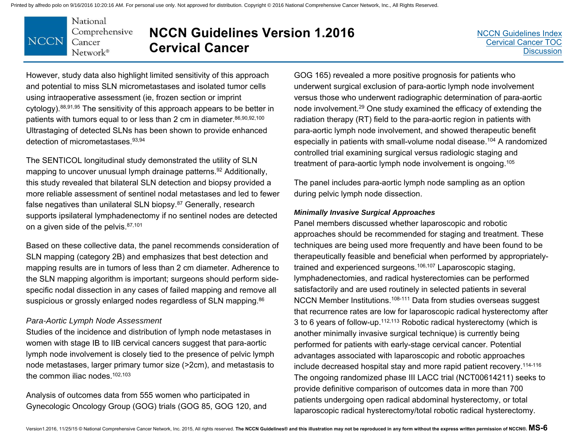#### National Comprehensive **NCCN** Cancer Network®

# **NCCN Guidelines Version 1.2016 Cervical Cancer**

[NCCN Guidelines Index](http://www.nccn.org/professionals/physician_gls/f_guidelines.asp)[Cervical Cancer TOC](#page-2-0)**[Discussion](#page-34-0)** 

However, study data also highlight limited sensitivity of this approach and potential to miss SLN micrometastases and isolated tumor cells using intraoperative assessment (ie, frozen section or imprint cytology).88,91,95 The sensitivity of this approach appears to be better in patients with tumors equal to or less than 2 cm in diameter.86,90,92,100 Ultrastaging of detected SLNs has been shown to provide enhanced detection of micrometastases.93,94

The SENTICOL longitudinal study demonstrated the utility of SLN mapping to uncover unusual lymph drainage patterns.<sup>92</sup> Additionally, this study revealed that bilateral SLN detection and biopsy provided a more reliable assessment of sentinel nodal metastases and led to fewer false negatives than unilateral SLN biopsy.87 Generally, research supports ipsilateral lymphadenectomy if no sentinel nodes are detected on a given side of the pelvis. 87,101

Based on these collective data, the panel recommends consideration of SLN mapping (category 2B) and emphasizes that best detection and mapping results are in tumors of less than 2 cm diameter. Adherence to the SLN mapping algorithm is important; surgeons should perform sidespecific nodal dissection in any cases of failed mapping and remove all suspicious or grossly enlarged nodes regardless of SLN mapping.<sup>86</sup>

#### *Para-Aortic Lymph Node Assessment*

Studies of the incidence and distribution of lymph node metastases in women with stage IB to IIB cervical cancers suggest that para-aortic lymph node involvement is closely tied to the presence of pelvic lymph node metastases, larger primary tumor size (>2cm), and metastasis to the common iliac nodes.  $102,103$ 

Analysis of outcomes data from 555 women who participated in Gynecologic Oncology Group (GOG) trials (GOG 85, GOG 120, and

GOG 165) revealed a more positive prognosis for patients who underwent surgical exclusion of para-aortic lymph node involvement versus those who underwent radiographic determination of para-aortic node involvement.29 One study examined the efficacy of extending the radiation therapy (RT) field to the para-aortic region in patients with para-aortic lymph node involvement, and showed therapeutic benefit especially in patients with small-volume nodal disease.<sup>104</sup> A randomized controlled trial examining surgical versus radiologic staging and treatment of para-aortic lymph node involvement is ongoing.105

The panel includes para-aortic lymph node sampling as an option during pelvic lymph node dissection.

#### *Minimally Invasive Surgical Approaches*

Panel members discussed whether laparoscopic and robotic approaches should be recommended for staging and treatment. These techniques are being used more frequently and have been found to be therapeutically feasible and beneficial when performed by appropriatelytrained and experienced surgeons.<sup>106,107</sup> Laparoscopic staging, lymphadenectomies, and radical hysterectomies can be performed satisfactorily and are used routinely in selected patients in several NCCN Member Institutions.108-111 Data from studies overseas suggest that recurrence rates are low for laparoscopic radical hysterectomy after 3 to 6 years of follow-up.112,113 Robotic radical hysterectomy (which is another minimally invasive surgical technique) is currently being performed for patients with early-stage cervical cancer. Potential advantages associated with laparoscopic and robotic approaches include decreased hospital stay and more rapid patient recovery.114-116 The ongoing randomized phase III LACC trial (NCT00614211) seeks to provide definitive comparison of outcomes data in more than 700 patients undergoing open radical abdominal hysterectomy, or total laparoscopic radical hysterectomy/total robotic radical hysterectomy.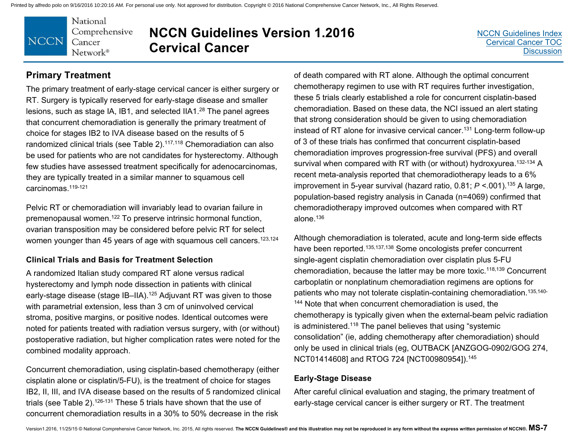

# **NCCN Guidelines Version 1.2016 Cervical Cancer**

[NCCN Guidelines Index](http://www.nccn.org/professionals/physician_gls/f_guidelines.asp)[Cervical Cancer TOC](#page-2-0)**[Discussion](#page-34-0)** 

### **Primary Treatment**

The primary treatment of early-stage cervical cancer is either surgery or RT. Surgery is typically reserved for early-stage disease and smaller lesions, such as stage IA, IB1, and selected IIA1.28 The panel agrees that concurrent chemoradiation is generally the primary treatment of choice for stages IB2 to IVA disease based on the results of 5 randomized clinical trials (see Table 2).<sup>117,118</sup> Chemoradiation can also be used for patients who are not candidates for hysterectomy. Although few studies have assessed treatment specifically for adenocarcinomas, they are typically treated in a similar manner to squamous cell carcinomas.119-121

Pelvic RT or chemoradiation will invariably lead to ovarian failure in premenopausal women.122 To preserve intrinsic hormonal function, ovarian transposition may be considered before pelvic RT for select women younger than 45 years of age with squamous cell cancers.<sup>123,124</sup>

#### **Clinical Trials and Basis for Treatment Selection**

A randomized Italian study compared RT alone versus radical hysterectomy and lymph node dissection in patients with clinical early-stage disease (stage IB–IIA).125 Adjuvant RT was given to those with parametrial extension, less than 3 cm of uninvolved cervical stroma, positive margins, or positive nodes. Identical outcomes were noted for patients treated with radiation versus surgery, with (or without) postoperative radiation, but higher complication rates were noted for the combined modality approach.

Concurrent chemoradiation, using cisplatin-based chemotherapy (either cisplatin alone or cisplatin/5-FU), is the treatment of choice for stages IB2, II, III, and IVA disease based on the results of 5 randomized clinical trials (see Table 2).<sup>126-131</sup> These 5 trials have shown that the use of concurrent chemoradiation results in a 30% to 50% decrease in the risk

of death compared with RT alone. Although the optimal concurrent chemotherapy regimen to use with RT requires further investigation, these 5 trials clearly established a role for concurrent cisplatin-based chemoradiation. Based on these data, the NCI issued an alert stating that strong consideration should be given to using chemoradiation instead of RT alone for invasive cervical cancer.131 Long-term follow-up of 3 of these trials has confirmed that concurrent cisplatin-based chemoradiation improves progression-free survival (PFS) and overall survival when compared with RT with (or without) hydroxyurea.<sup>132-134</sup> A recent meta-analysis reported that chemoradiotherapy leads to a 6% improvement in 5-year survival (hazard ratio, 0.81; *P* <.001).135 A large, population-based registry analysis in Canada (n=4069) confirmed that chemoradiotherapy improved outcomes when compared with RT alone.136

Although chemoradiation is tolerated, acute and long-term side effects have been reported.<sup>135,137,138</sup> Some oncologists prefer concurrent single-agent cisplatin chemoradiation over cisplatin plus 5-FU chemoradiation, because the latter may be more toxic.118,139 Concurrent carboplatin or nonplatinum chemoradiation regimens are options for patients who may not tolerate cisplatin-containing chemoradiation.135,140- <sup>144</sup> Note that when concurrent chemoradiation is used, the chemotherapy is typically given when the external-beam pelvic radiation is administered.118 The panel believes that using "systemic consolidation" (ie, adding chemotherapy after chemoradiation) should only be used in clinical trials (eg, OUTBACK [ANZGOG-0902/GOG 274, NCT01414608] and RTOG 724 [NCT00980954]).145

#### **Early-Stage Disease**

After careful clinical evaluation and staging, the primary treatment of early-stage cervical cancer is either surgery or RT. The treatment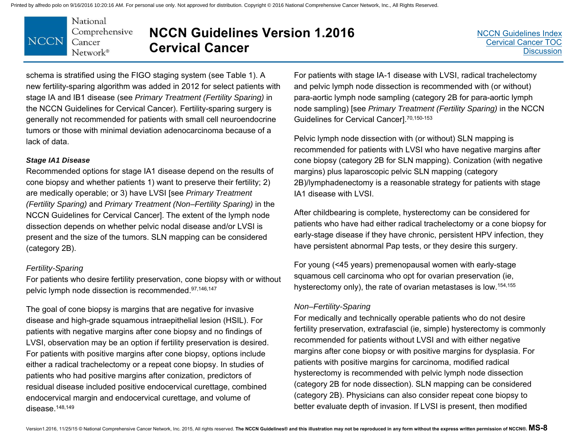

## **NCCN Guidelines Version 1.2016 Cervical Cancer**

schema is stratified using the FIGO staging system (see Table 1). A new fertility-sparing algorithm was added in 2012 for select patients with stage IA and IB1 disease (see *Primary Treatment (Fertility Sparing)* in the NCCN Guidelines for Cervical Cancer). Fertility-sparing surgery is generally not recommended for patients with small cell neuroendocrine tumors or those with minimal deviation adenocarcinoma because of a lack of data.

#### *Stage IA1 Disease*

Recommended options for stage IA1 disease depend on the results of cone biopsy and whether patients 1) want to preserve their fertility; 2) are medically operable; or 3) have LVSI [see *Primary Treatment (Fertility Sparing)* and *Primary Treatment (Non–Fertility Sparing)* in the NCCN Guidelines for Cervical Cancer]. The extent of the lymph node dissection depends on whether pelvic nodal disease and/or LVSI is present and the size of the tumors. SLN mapping can be considered (category 2B).

#### *Fertility-Sparing*

For patients who desire fertility preservation, cone biopsy with or without pelvic lymph node dissection is recommended.97,146,147

The goal of cone biopsy is margins that are negative for invasive disease and high-grade squamous intraepithelial lesion (HSIL). For patients with negative margins after cone biopsy and no findings of LVSI, observation may be an option if fertility preservation is desired. For patients with positive margins after cone biopsy, options include either a radical trachelectomy or a repeat cone biopsy. In studies of patients who had positive margins after conization, predictors of residual disease included positive endocervical curettage, combined endocervical margin and endocervical curettage, and volume of disease. $148,149$ 

For patients with stage IA-1 disease with LVSI, radical trachelectomy and pelvic lymph node dissection is recommended with (or without) para-aortic lymph node sampling (category 2B for para-aortic lymph node sampling) [see *Primary Treatment (Fertility Sparing)* in the NCCN Guidelines for Cervical Cancer].70,150-153

Pelvic lymph node dissection with (or without) SLN mapping is recommended for patients with LVSI who have negative margins after cone biopsy (category 2B for SLN mapping). Conization (with negative margins) plus laparoscopic pelvic SLN mapping (category 2B)/lymphadenectomy is a reasonable strategy for patients with stage IA1 disease with LVSI.

After childbearing is complete, hysterectomy can be considered for patients who have had either radical trachelectomy or a cone biopsy for early-stage disease if they have chronic, persistent HPV infection, they have persistent abnormal Pap tests, or they desire this surgery.

For young (<45 years) premenopausal women with early-stage squamous cell carcinoma who opt for ovarian preservation (ie, hysterectomy only), the rate of ovarian metastases is low.154,155

#### *Non–Fertility-Sparing*

For medically and technically operable patients who do not desire fertility preservation, extrafascial (ie, simple) hysterectomy is commonly recommended for patients without LVSI and with either negative margins after cone biopsy or with positive margins for dysplasia. For patients with positive margins for carcinoma, modified radical hysterectomy is recommended with pelvic lymph node dissection (category 2B for node dissection). SLN mapping can be considered (category 2B). Physicians can also consider repeat cone biopsy to better evaluate depth of invasion. If LVSI is present, then modified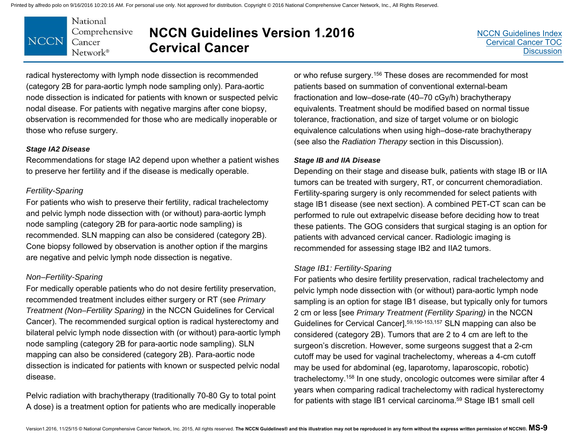

### **NCCN Guidelines Version 1.2016 Cervical Cancer**

radical hysterectomy with lymph node dissection is recommended (category 2B for para-aortic lymph node sampling only). Para-aortic node dissection is indicated for patients with known or suspected pelvic nodal disease. For patients with negative margins after cone biopsy, observation is recommended for those who are medically inoperable or those who refuse surgery.

#### *Stage IA2 Disease*

Recommendations for stage IA2 depend upon whether a patient wishes to preserve her fertility and if the disease is medically operable.

#### *Fertility-Sparing*

For patients who wish to preserve their fertility, radical trachelectomy and pelvic lymph node dissection with (or without) para-aortic lymph node sampling (category 2B for para-aortic node sampling) is recommended. SLN mapping can also be considered (category 2B). Cone biopsy followed by observation is another option if the margins are negative and pelvic lymph node dissection is negative.

#### *Non–Fertility-Sparing*

For medically operable patients who do not desire fertility preservation, recommended treatment includes either surgery or RT (see *Primary Treatment (Non–Fertility Sparing)* in the NCCN Guidelines for Cervical Cancer). The recommended surgical option is radical hysterectomy and bilateral pelvic lymph node dissection with (or without) para-aortic lymph node sampling (category 2B for para-aortic node sampling). SLN mapping can also be considered (category 2B). Para-aortic node dissection is indicated for patients with known or suspected pelvic nodal disease.

Pelvic radiation with brachytherapy (traditionally 70-80 Gy to total point A dose) is a treatment option for patients who are medically inoperable

or who refuse surgery.156 These doses are recommended for most patients based on summation of conventional external-beam fractionation and low–dose-rate (40–70 cGy/h) brachytherapy equivalents. Treatment should be modified based on normal tissue tolerance, fractionation, and size of target volume or on biologic equivalence calculations when using high–dose-rate brachytherapy (see also the *Radiation Therapy* section in this Discussion).

#### *Stage IB and IIA Disease*

Depending on their stage and disease bulk, patients with stage IB or IIA tumors can be treated with surgery, RT, or concurrent chemoradiation. Fertility-sparing surgery is only recommended for select patients with stage IB1 disease (see next section). A combined PET-CT scan can be performed to rule out extrapelvic disease before deciding how to treat these patients. The GOG considers that surgical staging is an option for patients with advanced cervical cancer. Radiologic imaging is recommended for assessing stage IB2 and IIA2 tumors.

#### *Stage IB1: Fertility-Sparing*

For patients who desire fertility preservation, radical trachelectomy and pelvic lymph node dissection with (or without) para-aortic lymph node sampling is an option for stage IB1 disease, but typically only for tumors 2 cm or less [see *Primary Treatment (Fertility Sparing)* in the NCCN Guidelines for Cervical Cancer].59,150-153,157 SLN mapping can also be considered (category 2B). Tumors that are 2 to 4 cm are left to the surgeon's discretion. However, some surgeons suggest that a 2-cm cutoff may be used for vaginal trachelectomy, whereas a 4-cm cutoff may be used for abdominal (eg, laparotomy, laparoscopic, robotic) trachelectomy.158 In one study, oncologic outcomes were similar after 4 years when comparing radical trachelectomy with radical hysterectomy for patients with stage IB1 cervical carcinoma.59 Stage IB1 small cell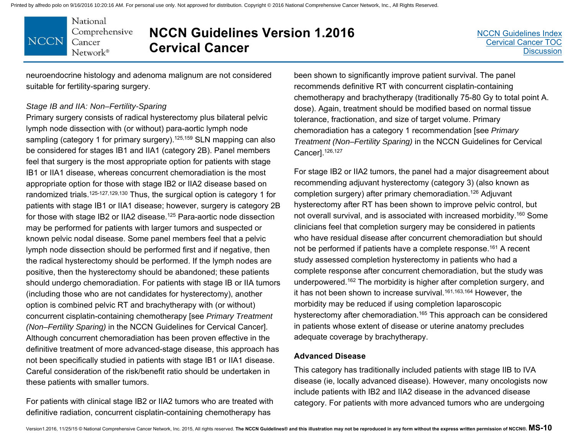National Comprehensive **NCCN** Cancer Network<sup>®</sup>

# **NCCN Guidelines Version 1.2016 Cervical Cancer**

neuroendocrine histology and adenoma malignum are not considered suitable for fertility-sparing surgery.

#### *Stage IB and IIA: Non–Fertility-Sparing*

Primary surgery consists of radical hysterectomy plus bilateral pelvic lymph node dissection with (or without) para-aortic lymph node sampling (category 1 for primary surgery).<sup>125,159</sup> SLN mapping can also be considered for stages IB1 and IIA1 (category 2B). Panel members feel that surgery is the most appropriate option for patients with stage IB1 or IIA1 disease, whereas concurrent chemoradiation is the most appropriate option for those with stage IB2 or IIA2 disease based on randomized trials.<sup>125-127,129,130</sup> Thus, the surgical option is category 1 for patients with stage IB1 or IIA1 disease; however, surgery is category 2B for those with stage IB2 or IIA2 disease.125 Para-aortic node dissection may be performed for patients with larger tumors and suspected or known pelvic nodal disease. Some panel members feel that a pelvic lymph node dissection should be performed first and if negative, then the radical hysterectomy should be performed. If the lymph nodes are positive, then the hysterectomy should be abandoned; these patients should undergo chemoradiation. For patients with stage IB or IIA tumors (including those who are not candidates for hysterectomy), another option is combined pelvic RT and brachytherapy with (or without) concurrent cisplatin-containing chemotherapy [see *Primary Treatment (Non–Fertility Sparing)* in the NCCN Guidelines for Cervical Cancer]. Although concurrent chemoradiation has been proven effective in the definitive treatment of more advanced-stage disease, this approach has not been specifically studied in patients with stage IB1 or IIA1 disease. Careful consideration of the risk/benefit ratio should be undertaken in these patients with smaller tumors.

For patients with clinical stage IB2 or IIA2 tumors who are treated with definitive radiation, concurrent cisplatin-containing chemotherapy has

been shown to significantly improve patient survival. The panel recommends definitive RT with concurrent cisplatin-containing chemotherapy and brachytherapy (traditionally 75-80 Gy to total point A. dose). Again, treatment should be modified based on normal tissue tolerance, fractionation, and size of target volume. Primary chemoradiation has a category 1 recommendation [see *Primary Treatment (Non–Fertility Sparing)* in the NCCN Guidelines for Cervical Cancer].126,127

For stage IB2 or IIA2 tumors, the panel had a major disagreement about recommending adjuvant hysterectomy (category 3) (also known as completion surgery) after primary chemoradiation.126 Adjuvant hysterectomy after RT has been shown to improve pelvic control, but not overall survival, and is associated with increased morbidity.160 Some clinicians feel that completion surgery may be considered in patients who have residual disease after concurrent chemoradiation but should not be performed if patients have a complete response.161 A recent study assessed completion hysterectomy in patients who had a complete response after concurrent chemoradiation, but the study was underpowered.162 The morbidity is higher after completion surgery, and it has not been shown to increase survival.<sup>161,163,164</sup> However, the morbidity may be reduced if using completion laparoscopic hysterectomy after chemoradiation.<sup>165</sup> This approach can be considered in patients whose extent of disease or uterine anatomy precludes adequate coverage by brachytherapy.

#### **Advanced Disease**

This category has traditionally included patients with stage IIB to IVA disease (ie, locally advanced disease). However, many oncologists now include patients with IB2 and IIA2 disease in the advanced disease category. For patients with more advanced tumors who are undergoing

[NCCN Guidelines Index](http://www.nccn.org/professionals/physician_gls/f_guidelines.asp)[Cervical Cancer TOC](#page-2-0)**[Discussion](#page-34-0)**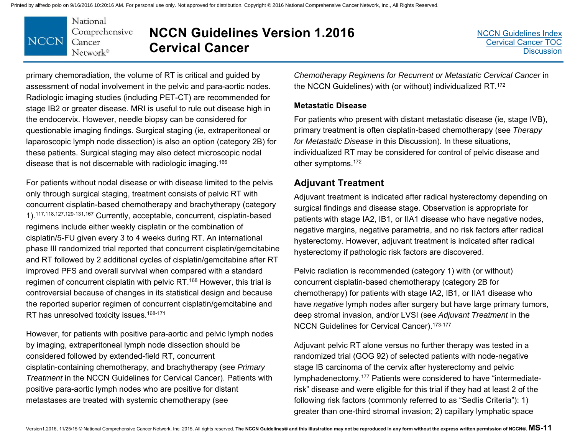

# **NCCN Guidelines Version 1.2016 Cervical Cancer**

primary chemoradiation, the volume of RT is critical and guided by assessment of nodal involvement in the pelvic and para-aortic nodes. Radiologic imaging studies (including PET-CT) are recommended for stage IB2 or greater disease. MRI is useful to rule out disease high in the endocervix. However, needle biopsy can be considered for questionable imaging findings. Surgical staging (ie, extraperitoneal or laparoscopic lymph node dissection) is also an option (category 2B) for these patients. Surgical staging may also detect microscopic nodal disease that is not discernable with radiologic imaging.166

For patients without nodal disease or with disease limited to the pelvis only through surgical staging, treatment consists of pelvic RT with concurrent cisplatin-based chemotherapy and brachytherapy (category 1).117,118,127,129-131,167 Currently, acceptable, concurrent, cisplatin-based regimens include either weekly cisplatin or the combination of cisplatin/5-FU given every 3 to 4 weeks during RT. An international phase III randomized trial reported that concurrent cisplatin/gemcitabine and RT followed by 2 additional cycles of cisplatin/gemcitabine after RT improved PFS and overall survival when compared with a standard regimen of concurrent cisplatin with pelvic RT.168 However, this trial is controversial because of changes in its statistical design and because the reported superior regimen of concurrent cisplatin/gemcitabine and RT has unresolved toxicity issues.<sup>168-171</sup>

However, for patients with positive para-aortic and pelvic lymph nodes by imaging, extraperitoneal lymph node dissection should be considered followed by extended-field RT, concurrent cisplatin-containing chemotherapy, and brachytherapy (see *Primary Treatment* in the NCCN Guidelines for Cervical Cancer). Patients with positive para-aortic lymph nodes who are positive for distant metastases are treated with systemic chemotherapy (see

*Chemotherapy Regimens for Recurrent or Metastatic Cervical Cancer* in the NCCN Guidelines) with (or without) individualized RT.172

#### **Metastatic Disease**

For patients who present with distant metastatic disease (ie, stage IVB), primary treatment is often cisplatin-based chemotherapy (see *Therapy for Metastatic Disease* in this Discussion). In these situations, individualized RT may be considered for control of pelvic disease and other symptoms.172

### **Adjuvant Treatment**

Adjuvant treatment is indicated after radical hysterectomy depending on surgical findings and disease stage. Observation is appropriate for patients with stage IA2, IB1, or IIA1 disease who have negative nodes, negative margins, negative parametria, and no risk factors after radical hysterectomy. However, adjuvant treatment is indicated after radical hysterectomy if pathologic risk factors are discovered.

Pelvic radiation is recommended (category 1) with (or without) concurrent cisplatin-based chemotherapy (category 2B for chemotherapy) for patients with stage IA2, IB1, or IIA1 disease who have *negative* lymph nodes after surgery but have large primary tumors, deep stromal invasion, and/or LVSI (see *Adjuvant Treatment* in the NCCN Guidelines for Cervical Cancer).<sup>173-177</sup>

Adjuvant pelvic RT alone versus no further therapy was tested in a randomized trial (GOG 92) of selected patients with node-negative stage IB carcinoma of the cervix after hysterectomy and pelvic lymphadenectomy.177 Patients were considered to have "intermediaterisk" disease and were eligible for this trial if they had at least 2 of the following risk factors (commonly referred to as "Sedlis Criteria"): 1) greater than one-third stromal invasion; 2) capillary lymphatic space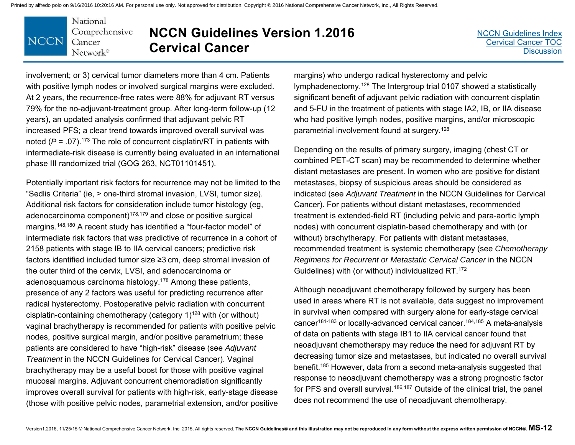

## **NCCN Guidelines Version 1.2016 Cervical Cancer**

involvement; or 3) cervical tumor diameters more than 4 cm. Patients with positive lymph nodes or involved surgical margins were excluded. At 2 years, the recurrence-free rates were 88% for adjuvant RT versus 79% for the no-adjuvant-treatment group. After long-term follow-up (12 years), an updated analysis confirmed that adjuvant pelvic RT increased PFS; a clear trend towards improved overall survival was noted  $(P = .07)$ .<sup>173</sup> The role of concurrent cisplatin/RT in patients with intermediate-risk disease is currently being evaluated in an international phase III randomized trial (GOG 263, NCT01101451).

Potentially important risk factors for recurrence may not be limited to the "Sedlis Criteria" (ie, > one-third stromal invasion, LVSI, tumor size). Additional risk factors for consideration include tumor histology (eg, adenocarcinoma component)178,179 and close or positive surgical margins.148,180 A recent study has identified a "four-factor model" of intermediate risk factors that was predictive of recurrence in a cohort of 2158 patients with stage IB to IIA cervical cancers; predictive risk factors identified included tumor size ≥3 cm, deep stromal invasion of the outer third of the cervix, LVSI, and adenocarcinoma or adenosquamous carcinoma histology.178 Among these patients, presence of any 2 factors was useful for predicting recurrence after radical hysterectomy. Postoperative pelvic radiation with concurrent cisplatin-containing chemotherapy (category 1)128 with (or without) vaginal brachytherapy is recommended for patients with positive pelvic nodes, positive surgical margin, and/or positive parametrium; these patients are considered to have "high-risk" disease (see *Adjuvant Treatment* in the NCCN Guidelines for Cervical Cancer). Vaginal brachytherapy may be a useful boost for those with positive vaginal mucosal margins. Adjuvant concurrent chemoradiation significantly improves overall survival for patients with high-risk, early-stage disease (those with positive pelvic nodes, parametrial extension, and/or positive

margins) who undergo radical hysterectomy and pelvic lymphadenectomy.128 The Intergroup trial 0107 showed a statistically significant benefit of adjuvant pelvic radiation with concurrent cisplatin and 5-FU in the treatment of patients with stage IA2, IB, or IIA disease who had positive lymph nodes, positive margins, and/or microscopic parametrial involvement found at surgery.128

Depending on the results of primary surgery, imaging (chest CT or combined PET-CT scan) may be recommended to determine whether distant metastases are present. In women who are positive for distant metastases, biopsy of suspicious areas should be considered as indicated (see *Adjuvant Treatment* in the NCCN Guidelines for Cervical Cancer). For patients without distant metastases, recommended treatment is extended-field RT (including pelvic and para-aortic lymph nodes) with concurrent cisplatin-based chemotherapy and with (or without) brachytherapy. For patients with distant metastases, recommended treatment is systemic chemotherapy (see *Chemotherapy Regimens for Recurrent or Metastatic Cervical Cancer* in the NCCN Guidelines) with (or without) individualized RT.172

Although neoadjuvant chemotherapy followed by surgery has been used in areas where RT is not available, data suggest no improvement in survival when compared with surgery alone for early-stage cervical cancer181-183 or locally-advanced cervical cancer.184,185 A meta-analysis of data on patients with stage IB1 to IIA cervical cancer found that neoadjuvant chemotherapy may reduce the need for adjuvant RT by decreasing tumor size and metastases, but indicated no overall survival benefit.185 However, data from a second meta-analysis suggested that response to neoadjuvant chemotherapy was a strong prognostic factor for PFS and overall survival.<sup>186,187</sup> Outside of the clinical trial, the panel does not recommend the use of neoadjuvant chemotherapy.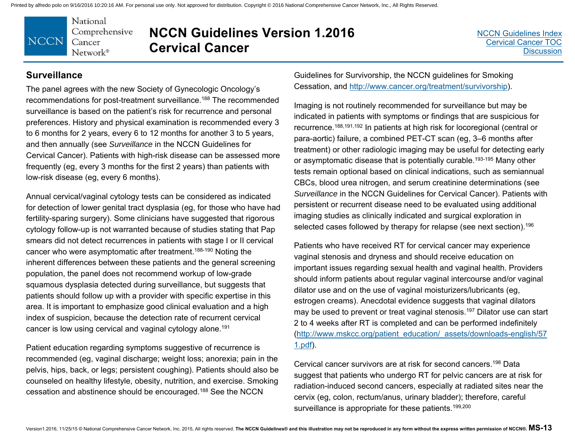

### **NCCN Guidelines Version 1.2016 Cervical Cancer**

#### **Surveillance**

The panel agrees with the new Society of Gynecologic Oncology's recommendations for post-treatment surveillance.188 The recommended surveillance is based on the patient's risk for recurrence and personal preferences. History and physical examination is recommended every 3 to 6 months for 2 years, every 6 to 12 months for another 3 to 5 years, and then annually (see *Surveillance* in the NCCN Guidelines for Cervical Cancer). Patients with high-risk disease can be assessed more frequently (eg, every 3 months for the first 2 years) than patients with low-risk disease (eg, every 6 months).

Annual cervical/vaginal cytology tests can be considered as indicated for detection of lower genital tract dysplasia (eg, for those who have had fertility-sparing surgery). Some clinicians have suggested that rigorous cytology follow-up is not warranted because of studies stating that Pap smears did not detect recurrences in patients with stage I or II cervical cancer who were asymptomatic after treatment.188-190 Noting the inherent differences between these patients and the general screening population, the panel does not recommend workup of low-grade squamous dysplasia detected during surveillance, but suggests that patients should follow up with a provider with specific expertise in this area. It is important to emphasize good clinical evaluation and a high index of suspicion, because the detection rate of recurrent cervical cancer is low using cervical and vaginal cytology alone.191

Patient education regarding symptoms suggestive of recurrence is recommended (eg, vaginal discharge; weight loss; anorexia; pain in the pelvis, hips, back, or legs; persistent coughing). Patients should also be counseled on healthy lifestyle, obesity, nutrition, and exercise. Smoking cessation and abstinence should be encouraged.188 See the NCCN

Guidelines for Survivorship, the NCCN guidelines for Smoking Cessation, and http://www.cancer.org/treatment/survivorship).

Imaging is not routinely recommended for surveillance but may be indicated in patients with symptoms or findings that are suspicious for recurrence.188,191,192 In patients at high risk for locoregional (central or para-aortic) failure, a combined PET-CT scan (eg, 3–6 months after treatment) or other radiologic imaging may be useful for detecting early or asymptomatic disease that is potentially curable.<sup>193-195</sup> Many other tests remain optional based on clinical indications, such as semiannual CBCs, blood urea nitrogen, and serum creatinine determinations (see *Surveillance* in the NCCN Guidelines for Cervical Cancer). Patients with persistent or recurrent disease need to be evaluated using additional imaging studies as clinically indicated and surgical exploration in selected cases followed by therapy for relapse (see next section).<sup>196</sup>

Patients who have received RT for cervical cancer may experience vaginal stenosis and dryness and should receive education on important issues regarding sexual health and vaginal health. Providers should inform patients about regular vaginal intercourse and/or vaginal dilator use and on the use of vaginal moisturizers/lubricants (eg, estrogen creams). Anecdotal evidence suggests that vaginal dilators may be used to prevent or treat vaginal stenosis.<sup>197</sup> Dilator use can start 2 to 4 weeks after RT is completed and can be performed indefinitely (http://www.mskcc.org/patient\_education/\_assets/downloads-english/57 1.pdf).

Cervical cancer survivors are at risk for second cancers.198 Data suggest that patients who undergo RT for pelvic cancers are at risk for radiation-induced second cancers, especially at radiated sites near the cervix (eg, colon, rectum/anus, urinary bladder); therefore, careful surveillance is appropriate for these patients.<sup>199,200</sup>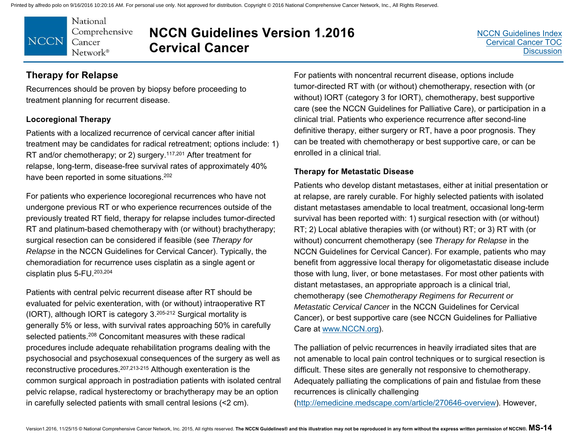National Comprehensive **NCCN** Cancer Network®

# **NCCN Guidelines Version 1.2016 Cervical Cancer**

### **Therapy for Relapse**

Recurrences should be proven by biopsy before proceeding to treatment planning for recurrent disease.

#### **Locoregional Therapy**

Patients with a localized recurrence of cervical cancer after initial treatment may be candidates for radical retreatment; options include: 1) RT and/or chemotherapy; or 2) surgery.<sup>117,201</sup> After treatment for relapse, long-term, disease-free survival rates of approximately 40% have been reported in some situations.<sup>202</sup>

For patients who experience locoregional recurrences who have not undergone previous RT or who experience recurrences outside of the previously treated RT field, therapy for relapse includes tumor-directed RT and platinum-based chemotherapy with (or without) brachytherapy; surgical resection can be considered if feasible (see *Therapy for Relapse* in the NCCN Guidelines for Cervical Cancer). Typically, the chemoradiation for recurrence uses cisplatin as a single agent or cisplatin plus 5-FU.203,204

Patients with central pelvic recurrent disease after RT should be evaluated for pelvic exenteration, with (or without) intraoperative RT (IORT), although IORT is category 3.205-212 Surgical mortality is generally 5% or less, with survival rates approaching 50% in carefully selected patients.<sup>208</sup> Concomitant measures with these radical procedures include adequate rehabilitation programs dealing with the psychosocial and psychosexual consequences of the surgery as well as reconstructive procedures.207,213-215 Although exenteration is the common surgical approach in postradiation patients with isolated central pelvic relapse, radical hysterectomy or brachytherapy may be an option in carefully selected patients with small central lesions (<2 cm).

For patients with noncentral recurrent disease, options include tumor-directed RT with (or without) chemotherapy, resection with (or without) IORT (category 3 for IORT), chemotherapy, best supportive care (see the NCCN Guidelines for Palliative Care), or participation in a clinical trial. Patients who experience recurrence after second-line definitive therapy, either surgery or RT, have a poor prognosis. They can be treated with chemotherapy or best supportive care, or can be enrolled in a clinical trial.

#### **Therapy for Metastatic Disease**

Patients who develop distant metastases, either at initial presentation or at relapse, are rarely curable. For highly selected patients with isolated distant metastases amendable to local treatment, occasional long-term survival has been reported with: 1) surgical resection with (or without) RT; 2) Local ablative therapies with (or without) RT; or 3) RT with (or without) concurrent chemotherapy (see *Therapy for Relapse* in the NCCN Guidelines for Cervical Cancer). For example, patients who may benefit from aggressive local therapy for oligometastatic disease include those with lung, liver, or bone metastases. For most other patients with distant metastases, an appropriate approach is a clinical trial, chemotherapy (see *Chemotherapy Regimens for Recurrent or Metastatic Cervical Cancer* in the NCCN Guidelines for Cervical Cancer), or best supportive care (see NCCN Guidelines for Palliative Care at www.NCCN.org).

The palliation of pelvic recurrences in heavily irradiated sites that are not amenable to local pain control techniques or to surgical resection is difficult. These sites are generally not responsive to chemotherapy. Adequately palliating the complications of pain and fistulae from these recurrences is clinically challenging

(http://emedicine.medscape.com/article/270646-overview). However,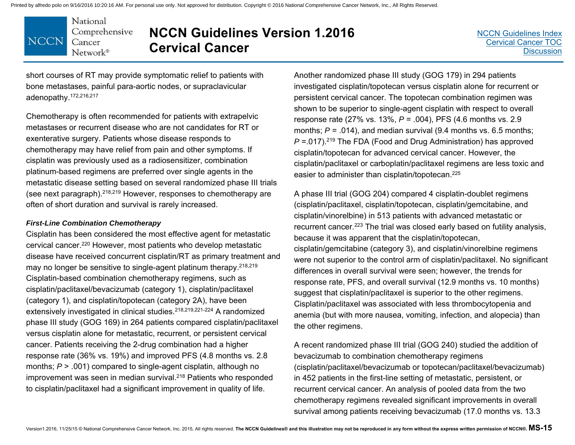National Comprehensive **NCCN** Cancer Network®

# **NCCN Guidelines Version 1.2016 Cervical Cancer**

[NCCN Guidelines Index](http://www.nccn.org/professionals/physician_gls/f_guidelines.asp)[Cervical Cancer TOC](#page-2-0)**[Discussion](#page-34-0)** 

short courses of RT may provide symptomatic relief to patients with bone metastases, painful para-aortic nodes, or supraclavicular adenopathy.172,216,217

Chemotherapy is often recommended for patients with extrapelvic metastases or recurrent disease who are not candidates for RT or exenterative surgery. Patients whose disease responds to chemotherapy may have relief from pain and other symptoms. If cisplatin was previously used as a radiosensitizer, combination platinum-based regimens are preferred over single agents in the metastatic disease setting based on several randomized phase III trials (see next paragraph).218,219 However, responses to chemotherapy are often of short duration and survival is rarely increased.

#### *First-Line Combination Chemotherapy*

Cisplatin has been considered the most effective agent for metastatic cervical cancer.220 However, most patients who develop metastatic disease have received concurrent cisplatin/RT as primary treatment and may no longer be sensitive to single-agent platinum therapy.<sup>218,219</sup> Cisplatin-based combination chemotherapy regimens, such as cisplatin/paclitaxel/bevacizumab (category 1), cisplatin/paclitaxel (category 1), and cisplatin/topotecan (category 2A), have been extensively investigated in clinical studies.218,219,221-224 A randomized phase III study (GOG 169) in 264 patients compared cisplatin/paclitaxel versus cisplatin alone for metastatic, recurrent, or persistent cervical cancer. Patients receiving the 2-drug combination had a higher response rate (36% vs. 19%) and improved PFS (4.8 months vs. 2.8 months;  $P > 0.001$ ) compared to single-agent cisplatin, although no improvement was seen in median survival.<sup>218</sup> Patients who responded to cisplatin/paclitaxel had a significant improvement in quality of life.

Another randomized phase III study (GOG 179) in 294 patients investigated cisplatin/topotecan versus cisplatin alone for recurrent or persistent cervical cancer. The topotecan combination regimen was shown to be superior to single-agent cisplatin with respect to overall response rate (27% vs. 13%, *P* = .004), PFS (4.6 months vs. 2.9 months;  $P = .014$ ), and median survival (9.4 months vs. 6.5 months; *P* = 017).<sup>219</sup> The FDA (Food and Drug Administration) has approved cisplatin/topotecan for advanced cervical cancer. However, the cisplatin/paclitaxel or carboplatin/paclitaxel regimens are less toxic and easier to administer than cisplatin/topotecan.<sup>225</sup>

A phase III trial (GOG 204) compared 4 cisplatin-doublet regimens (cisplatin/paclitaxel, cisplatin/topotecan, cisplatin/gemcitabine, and cisplatin/vinorelbine) in 513 patients with advanced metastatic or recurrent cancer.223 The trial was closed early based on futility analysis, because it was apparent that the cisplatin/topotecan, cisplatin/gemcitabine (category 3), and cisplatin/vinorelbine regimens were not superior to the control arm of cisplatin/paclitaxel. No significant differences in overall survival were seen; however, the trends for response rate, PFS, and overall survival (12.9 months vs. 10 months) suggest that cisplatin/paclitaxel is superior to the other regimens. Cisplatin/paclitaxel was associated with less thrombocytopenia and anemia (but with more nausea, vomiting, infection, and alopecia) than the other regimens.

A recent randomized phase III trial (GOG 240) studied the addition of bevacizumab to combination chemotherapy regimens (cisplatin/paclitaxel/bevacizumab or topotecan/paclitaxel/bevacizumab) in 452 patients in the first-line setting of metastatic, persistent, or recurrent cervical cancer. An analysis of pooled data from the two chemotherapy regimens revealed significant improvements in overall survival among patients receiving bevacizumab (17.0 months vs. 13.3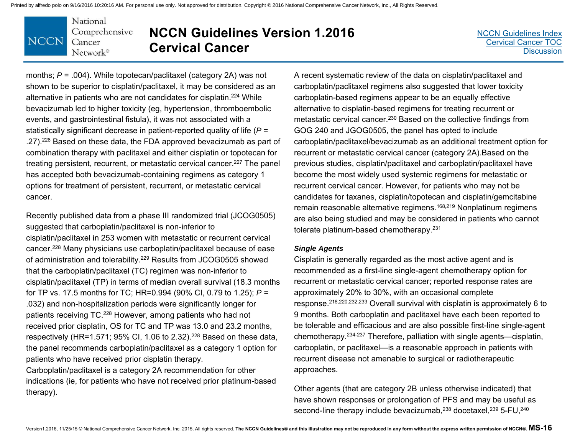#### National Comprehensive **NCCN** Cancer Network®

# **NCCN Guidelines Version 1.2016 Cervical Cancer**

[NCCN Guidelines Index](http://www.nccn.org/professionals/physician_gls/f_guidelines.asp)[Cervical Cancer TOC](#page-2-0)**[Discussion](#page-34-0)** 

months; *P* = .004). While topotecan/paclitaxel (category 2A) was not shown to be superior to cisplatin/paclitaxel, it may be considered as an alternative in patients who are not candidates for cisplatin.224 While bevacizumab led to higher toxicity (eg, hypertension, thromboembolic events, and gastrointestinal fistula), it was not associated with a statistically significant decrease in patient-reported quality of life (*P* <sup>=</sup> .27).226 Based on these data, the FDA approved bevacizumab as part of combination therapy with paclitaxel and either cisplatin or topotecan for treating persistent, recurrent, or metastatic cervical cancer.<sup>227</sup> The panel has accepted both bevacizumab-containing regimens as category 1 options for treatment of persistent, recurrent, or metastatic cervical cancer.

Recently published data from a phase III randomized trial (JCOG0505) suggested that carboplatin/paclitaxel is non-inferior to cisplatin/paclitaxel in 253 women with metastatic or recurrent cervical cancer.228 Many physicians use carboplatin/paclitaxel because of ease of administration and tolerability.229 Results from JCOG0505 showed that the carboplatin/paclitaxel (TC) regimen was non-inferior to cisplatin/paclitaxel (TP) in terms of median overall survival (18.3 months for TP vs. 17.5 months for TC; HR=0.994 (90% CI, 0.79 to 1.25); *P* <sup>=</sup> .032) and non-hospitalization periods were significantly longer for patients receiving TC.228 However, among patients who had not received prior cisplatin, OS for TC and TP was 13.0 and 23.2 months, respectively (HR=1.571; 95% CI, 1.06 to 2.32).<sup>228</sup> Based on these data, the panel recommends carboplatin/paclitaxel as a category 1 option for patients who have received prior cisplatin therapy.

Carboplatin/paclitaxel is a category 2A recommendation for other indications (ie, for patients who have not received prior platinum-based therapy).

A recent systematic review of the data on cisplatin/paclitaxel and carboplatin/paclitaxel regimens also suggested that lower toxicity carboplatin-based regimens appear to be an equally effective alternative to cisplatin-based regimens for treating recurrent or metastatic cervical cancer.230 Based on the collective findings from GOG 240 and JGOG0505, the panel has opted to include carboplatin/paclitaxel/bevacizumab as an additional treatment option for recurrent or metastatic cervical cancer (category 2A).Based on the previous studies, cisplatin/paclitaxel and carboplatin/paclitaxel have become the most widely used systemic regimens for metastatic or recurrent cervical cancer. However, for patients who may not be candidates for taxanes, cisplatin/topotecan and cisplatin/gemcitabine remain reasonable alternative regimens.168,219 Nonplatinum regimens are also being studied and may be considered in patients who cannot tolerate platinum-based chemotherapy.231

#### *Single Agents*

Cisplatin is generally regarded as the most active agent and is recommended as a first-line single-agent chemotherapy option for recurrent or metastatic cervical cancer; reported response rates are approximately 20% to 30%, with an occasional complete response.218,220,232,233 Overall survival with cisplatin is approximately 6 to 9 months. Both carboplatin and paclitaxel have each been reported to be tolerable and efficacious and are also possible first-line single-agent chemotherapy.234-237 Therefore, palliation with single agents—cisplatin, carboplatin, or paclitaxel—is a reasonable approach in patients with recurrent disease not amenable to surgical or radiotherapeutic approaches.

Other agents (that are category 2B unless otherwise indicated) that have shown responses or prolongation of PFS and may be useful as second-line therapy include bevacizumab,<sup>238</sup> docetaxel,<sup>239</sup> 5-FU,<sup>240</sup>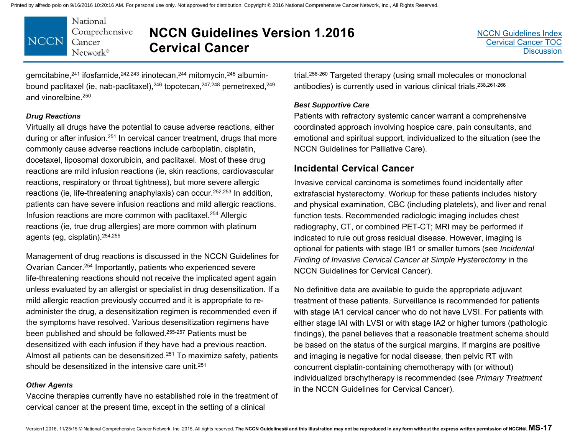

### **NCCN Guidelines Version 1.2016 Cervical Cancer**

gemcitabine,241 ifosfamide,242,243 irinotecan,244 mitomycin,245 albuminbound paclitaxel (ie, nab-paclitaxel),<sup>246</sup> topotecan,<sup>247,248</sup> pemetrexed,<sup>249</sup> and vinorelbine.250

#### *Drug Reactions*

Virtually all drugs have the potential to cause adverse reactions, either during or after infusion.251 In cervical cancer treatment, drugs that more commonly cause adverse reactions include carboplatin, cisplatin, docetaxel, liposomal doxorubicin, and paclitaxel. Most of these drug reactions are mild infusion reactions (ie, skin reactions, cardiovascular reactions, respiratory or throat tightness), but more severe allergic reactions (ie, life-threatening anaphylaxis) can occur.252,253 In addition, patients can have severe infusion reactions and mild allergic reactions. Infusion reactions are more common with paclitaxel.254 Allergic reactions (ie, true drug allergies) are more common with platinum agents (eg, cisplatin).254,255

Management of drug reactions is discussed in the NCCN Guidelines for Ovarian Cancer.254 Importantly, patients who experienced severe life-threatening reactions should not receive the implicated agent again unless evaluated by an allergist or specialist in drug desensitization. If a mild allergic reaction previously occurred and it is appropriate to readminister the drug, a desensitization regimen is recommended even if the symptoms have resolved. Various desensitization regimens have been published and should be followed.255-257 Patients must be desensitized with each infusion if they have had a previous reaction. Almost all patients can be desensitized.251 To maximize safety, patients should be desensitized in the intensive care unit.<sup>251</sup>

#### *Other Agents*

Vaccine therapies currently have no established role in the treatment of cervical cancer at the present time, except in the setting of a clinical

trial.258-260 Targeted therapy (using small molecules or monoclonal antibodies) is currently used in various clinical trials.<sup>238,261-266</sup>

#### *Best Supportive Care*

Patients with refractory systemic cancer warrant a comprehensive coordinated approach involving hospice care, pain consultants, and emotional and spiritual support, individualized to the situation (see the NCCN Guidelines for Palliative Care).

#### **Incidental Cervical Cancer**

Invasive cervical carcinoma is sometimes found incidentally after extrafascial hysterectomy. Workup for these patients includes history and physical examination, CBC (including platelets), and liver and renal function tests. Recommended radiologic imaging includes chest radiography, CT, or combined PET-CT; MRI may be performed if indicated to rule out gross residual disease. However, imaging is optional for patients with stage IB1 or smaller tumors (see *Incidental Finding of Invasive Cervical Cancer at Simple Hysterectomy* in the NCCN Guidelines for Cervical Cancer).

No definitive data are available to guide the appropriate adjuvant treatment of these patients. Surveillance is recommended for patients with stage IA1 cervical cancer who do not have LVSI. For patients with either stage IAI with LVSI or with stage IA2 or higher tumors (pathologic findings), the panel believes that a reasonable treatment schema should be based on the status of the surgical margins. If margins are positive and imaging is negative for nodal disease, then pelvic RT with concurrent cisplatin-containing chemotherapy with (or without) individualized brachytherapy is recommended (see *Primary Treatment* in the NCCN Guidelines for Cervical Cancer).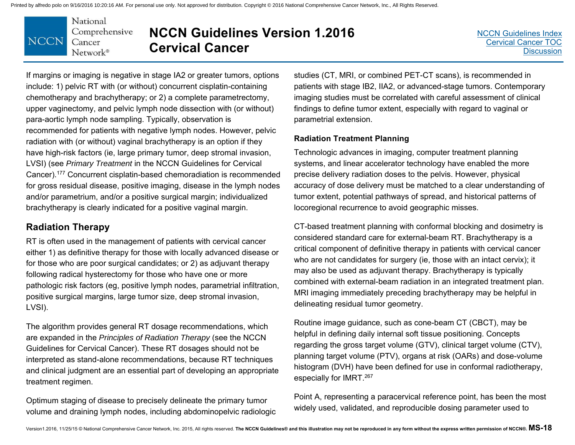

# **NCCN Guidelines Version 1.2016 Cervical Cancer**

If margins or imaging is negative in stage IA2 or greater tumors, options include: 1) pelvic RT with (or without) concurrent cisplatin-containing chemotherapy and brachytherapy; or 2) a complete parametrectomy, upper vaginectomy, and pelvic lymph node dissection with (or without) para-aortic lymph node sampling. Typically, observation is recommended for patients with negative lymph nodes. However, pelvic radiation with (or without) vaginal brachytherapy is an option if they have high-risk factors (ie, large primary tumor, deep stromal invasion, LVSI) (see *Primary Treatment* in the NCCN Guidelines for Cervical Cancer).177 Concurrent cisplatin-based chemoradiation is recommended for gross residual disease, positive imaging, disease in the lymph nodes and/or parametrium, and/or a positive surgical margin; individualized brachytherapy is clearly indicated for a positive vaginal margin.

### **Radiation Therapy**

RT is often used in the management of patients with cervical cancer either 1) as definitive therapy for those with locally advanced disease or for those who are poor surgical candidates; or 2) as adjuvant therapy following radical hysterectomy for those who have one or more pathologic risk factors (eg, positive lymph nodes, parametrial infiltration, positive surgical margins, large tumor size, deep stromal invasion, LVSI).

The algorithm provides general RT dosage recommendations, which are expanded in the *Principles of Radiation Therapy* (see the NCCN Guidelines for Cervical Cancer). These RT dosages should not be interpreted as stand-alone recommendations, because RT techniques and clinical judgment are an essential part of developing an appropriate treatment regimen.

Optimum staging of disease to precisely delineate the primary tumor volume and draining lymph nodes, including abdominopelvic radiologic studies (CT, MRI, or combined PET-CT scans), is recommended in patients with stage IB2, IIA2, or advanced-stage tumors. Contemporary imaging studies must be correlated with careful assessment of clinical findings to define tumor extent, especially with regard to vaginal or parametrial extension.

#### **Radiation Treatment Planning**

Technologic advances in imaging, computer treatment planning systems, and linear accelerator technology have enabled the more precise delivery radiation doses to the pelvis. However, physical accuracy of dose delivery must be matched to a clear understanding of tumor extent, potential pathways of spread, and historical patterns of locoregional recurrence to avoid geographic misses.

CT-based treatment planning with conformal blocking and dosimetry is considered standard care for external-beam RT. Brachytherapy is a critical component of definitive therapy in patients with cervical cancer who are not candidates for surgery (ie, those with an intact cervix); it may also be used as adjuvant therapy. Brachytherapy is typically combined with external-beam radiation in an integrated treatment plan. MRI imaging immediately preceding brachytherapy may be helpful in delineating residual tumor geometry.

Routine image guidance, such as cone-beam CT (CBCT), may be helpful in defining daily internal soft tissue positioning. Concepts regarding the gross target volume (GTV), clinical target volume (CTV), planning target volume (PTV), organs at risk (OARs) and dose-volume histogram (DVH) have been defined for use in conformal radiotherapy, especially for IMRT.267

Point A, representing a paracervical reference point, has been the most widely used, validated, and reproducible dosing parameter used to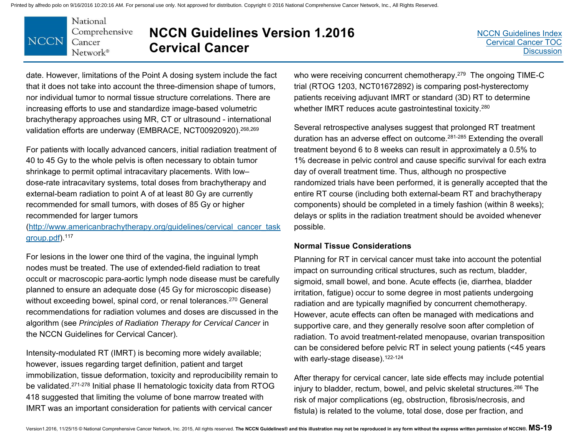

# **NCCN Guidelines Version 1.2016 Cervical Cancer**

date. However, limitations of the Point A dosing system include the fact that it does not take into account the three-dimension shape of tumors, nor individual tumor to normal tissue structure correlations. There are increasing efforts to use and standardize image-based volumetric brachytherapy approaches using MR, CT or ultrasound - international validation efforts are underway (EMBRACE, NCT00920920).268,269

For patients with locally advanced cancers, initial radiation treatment of 40 to 45 Gy to the whole pelvis is often necessary to obtain tumor shrinkage to permit optimal intracavitary placements. With low– dose-rate intracavitary systems, total doses from brachytherapy and external-beam radiation to point A of at least 80 Gy are currently recommended for small tumors, with doses of 85 Gy or higher recommended for larger tumors

(http://www.americanbrachytherapy.org/guidelines/cervical\_cancer\_task group.pdf).117

For lesions in the lower one third of the vagina, the inguinal lymph nodes must be treated. The use of extended-field radiation to treat occult or macroscopic para-aortic lymph node disease must be carefully planned to ensure an adequate dose (45 Gy for microscopic disease) without exceeding bowel, spinal cord, or renal tolerances.<sup>270</sup> General recommendations for radiation volumes and doses are discussed in the algorithm (see *Principles of Radiation Therapy for Cervical Cancer* in the NCCN Guidelines for Cervical Cancer).

Intensity-modulated RT (IMRT) is becoming more widely available; however, issues regarding target definition, patient and target immobilization, tissue deformation, toxicity and reproducibility remain to be validated.271-278 Initial phase II hematologic toxicity data from RTOG 418 suggested that limiting the volume of bone marrow treated with IMRT was an important consideration for patients with cervical cancer

who were receiving concurrent chemotherapy.<sup>279</sup> The ongoing TIME-C trial (RTOG 1203, NCT01672892) is comparing post-hysterectomy patients receiving adjuvant IMRT or standard (3D) RT to determine whether IMRT reduces acute gastrointestinal toxicity.<sup>280</sup>

Several retrospective analyses suggest that prolonged RT treatment duration has an adverse effect on outcome.281-285 Extending the overall treatment beyond 6 to 8 weeks can result in approximately a 0.5% to 1% decrease in pelvic control and cause specific survival for each extra day of overall treatment time. Thus, although no prospective randomized trials have been performed, it is generally accepted that the entire RT course (including both external-beam RT and brachytherapy components) should be completed in a timely fashion (within 8 weeks); delays or splits in the radiation treatment should be avoided whenever possible.

#### **Normal Tissue Considerations**

Planning for RT in cervical cancer must take into account the potential impact on surrounding critical structures, such as rectum, bladder, sigmoid, small bowel, and bone. Acute effects (ie, diarrhea, bladder irritation, fatigue) occur to some degree in most patients undergoing radiation and are typically magnified by concurrent chemotherapy. However, acute effects can often be managed with medications and supportive care, and they generally resolve soon after completion of radiation. To avoid treatment-related menopause, ovarian transposition can be considered before pelvic RT in select young patients (<45 years with early-stage disease). $122-124$ 

After therapy for cervical cancer, late side effects may include potential injury to bladder, rectum, bowel, and pelvic skeletal structures.<sup>286</sup> The risk of major complications (eg, obstruction, fibrosis/necrosis, and fistula) is related to the volume, total dose, dose per fraction, and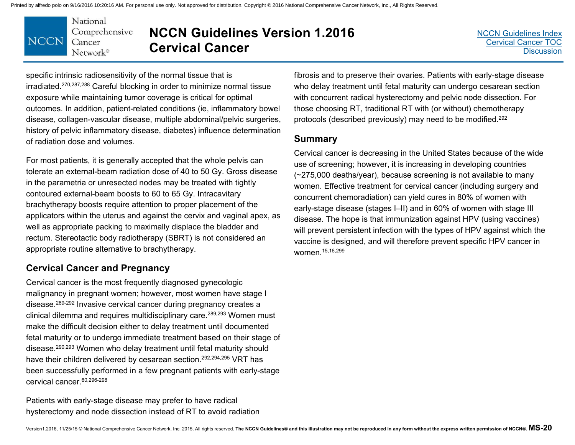

# **NCCN Guidelines Version 1.2016 Cervical Cancer**

specific intrinsic radiosensitivity of the normal tissue that is irradiated.270,287,288 Careful blocking in order to minimize normal tissue exposure while maintaining tumor coverage is critical for optimal outcomes. In addition, patient-related conditions (ie, inflammatory bowel disease, collagen-vascular disease, multiple abdominal/pelvic surgeries, history of pelvic inflammatory disease, diabetes) influence determination of radiation dose and volumes.

For most patients, it is generally accepted that the whole pelvis can tolerate an external-beam radiation dose of 40 to 50 Gy. Gross disease in the parametria or unresected nodes may be treated with tightly contoured external-beam boosts to 60 to 65 Gy. Intracavitary brachytherapy boosts require attention to proper placement of the applicators within the uterus and against the cervix and vaginal apex, as well as appropriate packing to maximally displace the bladder and rectum. Stereotactic body radiotherapy (SBRT) is not considered an appropriate routine alternative to brachytherapy.

### **Cervical Cancer and Pregnancy**

Cervical cancer is the most frequently diagnosed gynecologic malignancy in pregnant women; however, most women have stage I disease.289-292 Invasive cervical cancer during pregnancy creates a clinical dilemma and requires multidisciplinary care.289,293 Women must make the difficult decision either to delay treatment until documented fetal maturity or to undergo immediate treatment based on their stage of disease.290,293 Women who delay treatment until fetal maturity should have their children delivered by cesarean section.<sup>292,294,295</sup> VRT has been successfully performed in a few pregnant patients with early-stage cervical cancer.60,296-298

Patients with early-stage disease may prefer to have radical hysterectomy and node dissection instead of RT to avoid radiation fibrosis and to preserve their ovaries. Patients with early-stage disease who delay treatment until fetal maturity can undergo cesarean section with concurrent radical hysterectomy and pelvic node dissection. For those choosing RT, traditional RT with (or without) chemotherapy protocols (described previously) may need to be modified.292

### **Summary**

Cervical cancer is decreasing in the United States because of the wide use of screening; however, it is increasing in developing countries (~275,000 deaths/year), because screening is not available to many women. Effective treatment for cervical cancer (including surgery and concurrent chemoradiation) can yield cures in 80% of women with early-stage disease (stages I–II) and in 60% of women with stage III disease. The hope is that immunization against HPV (using vaccines) will prevent persistent infection with the types of HPV against which the vaccine is designed, and will therefore prevent specific HPV cancer in women.15,16,299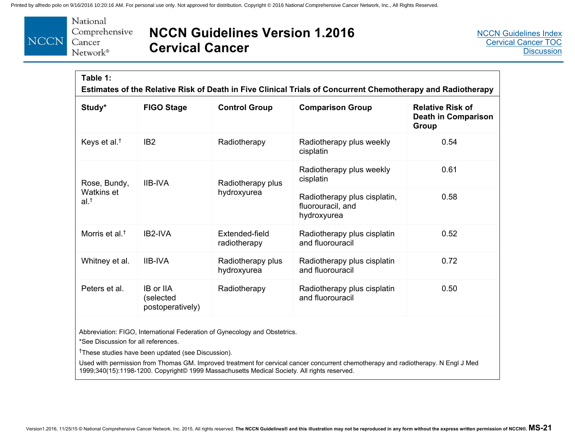

### **NCCN Guidelines Version 1.2016 Cervical Cancer**

| Table 1:<br>Estimates of the Relative Risk of Death in Five Clinical Trials of Concurrent Chemotherapy and Radiotherapy |                                            |                                  |                                                                  |                                                                |
|-------------------------------------------------------------------------------------------------------------------------|--------------------------------------------|----------------------------------|------------------------------------------------------------------|----------------------------------------------------------------|
| Study*                                                                                                                  | <b>FIGO Stage</b>                          | <b>Control Group</b>             | <b>Comparison Group</b>                                          | <b>Relative Risk of</b><br><b>Death in Comparison</b><br>Group |
| Keys et al. <sup>†</sup>                                                                                                | IB <sub>2</sub>                            | Radiotherapy                     | Radiotherapy plus weekly<br>cisplatin                            | 0.54                                                           |
| Rose, Bundy,<br>Watkins et<br>$al.$ <sup>†</sup>                                                                        | <b>IIB-IVA</b>                             | Radiotherapy plus<br>hydroxyurea | Radiotherapy plus weekly<br>cisplatin                            | 0.61                                                           |
|                                                                                                                         |                                            |                                  | Radiotherapy plus cisplatin,<br>fluorouracil, and<br>hydroxyurea | 0.58                                                           |
| Morris et al. <sup>†</sup>                                                                                              | IB2-IVA                                    | Extended-field<br>radiotherapy   | Radiotherapy plus cisplatin<br>and fluorouracil                  | 0.52                                                           |
| Whitney et al.                                                                                                          | <b>IIB-IVA</b>                             | Radiotherapy plus<br>hydroxyurea | Radiotherapy plus cisplatin<br>and fluorouracil                  | 0.72                                                           |
| Peters et al.                                                                                                           | IB or IIA<br>(selected<br>postoperatively) | Radiotherapy                     | Radiotherapy plus cisplatin<br>and fluorouracil                  | 0.50                                                           |

Abbreviation: FIGO, International Federation of Gynecology and Obstetrics.

\*See Discussion for all references.

†These studies have been updated (see Discussion).

Used with permission from Thomas GM. Improved treatment for cervical cancer concurrent chemotherapy and radiotherapy. N Engl J Med 1999;340(15):1198-1200. Copyright© 1999 Massachusetts Medical Society. All rights reserved.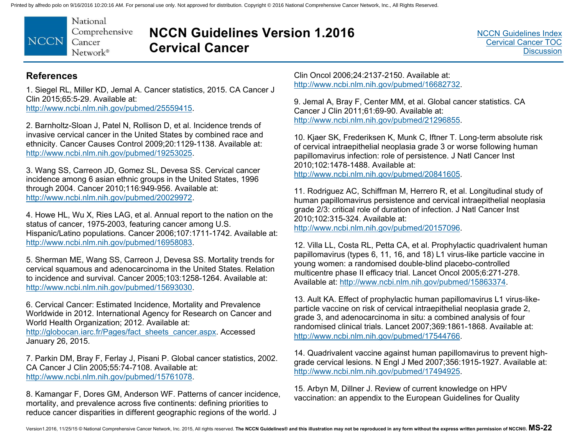National Comprehensive **NCCN** Cancer  $Network^*$ 

# **NCCN Guidelines Version 1.2016 Cervical Cancer**

[NCCN Guidelines Index](http://www.nccn.org/professionals/physician_gls/f_guidelines.asp) [Cervical Cancer TOC](#page-2-0) **[Discussion](#page-34-0)** 

#### **References**

1. Siegel RL, Miller KD, Jemal A. Cancer statistics, 2015. CA Cancer J Clin 2015;65:5-29. Available at:

http://www.ncbi.nlm.nih.gov/pubmed/25559415.

2. Barnholtz-Sloan J, Patel N, Rollison D, et al. Incidence trends of invasive cervical cancer in the United States by combined race and ethnicity. Cancer Causes Control 2009;20:1129-1138. Available at: http://www.ncbi.nlm.nih.gov/pubmed/19253025.

3. Wang SS, Carreon JD, Gomez SL, Devesa SS. Cervical cancer incidence among 6 asian ethnic groups in the United States, 1996 through 2004. Cancer 2010;116:949-956. Available at: http://www.ncbi.nlm.nih.gov/pubmed/20029972.

4. Howe HL, Wu X, Ries LAG, et al. Annual report to the nation on the status of cancer, 1975-2003, featuring cancer among U.S. Hispanic/Latino populations. Cancer 2006;107:1711-1742. Available at: http://www.ncbi.nlm.nih.gov/pubmed/16958083.

5. Sherman ME, Wang SS, Carreon J, Devesa SS. Mortality trends for cervical squamous and adenocarcinoma in the United States. Relation to incidence and survival. Cancer 2005;103:1258-1264. Available at: http://www.ncbi.nlm.nih.gov/pubmed/15693030.

6. Cervical Cancer: Estimated Incidence, Mortality and Prevalence Worldwide in 2012. International Agency for Research on Cancer and World Health Organization; 2012. Available at: http://globocan.iarc.fr/Pages/fact\_sheets\_cancer.aspx. Accessed January 26, 2015.

7. Parkin DM, Bray F, Ferlay J, Pisani P. Global cancer statistics, 2002. CA Cancer J Clin 2005;55:74-7108. Available at: http://www.ncbi.nlm.nih.gov/pubmed/15761078.

8. Kamangar F, Dores GM, Anderson WF. Patterns of cancer incidence, mortality, and prevalence across five continents: defining priorities to reduce cancer disparities in different geographic regions of the world. J

Clin Oncol 2006;24:2137-2150. Available at: http://www.ncbi.nlm.nih.gov/pubmed/16682732.

9. Jemal A, Bray F, Center MM, et al. Global cancer statistics. CA Cancer J Clin 2011;61:69-90. Available at: http://www.ncbi.nlm.nih.gov/pubmed/21296855.

10. Kjaer SK, Frederiksen K, Munk C, Iftner T. Long-term absolute risk of cervical intraepithelial neoplasia grade 3 or worse following human papillomavirus infection: role of persistence. J Natl Cancer Inst 2010;102:1478-1488. Available at: http://www.ncbi.nlm.nih.gov/pubmed/20841605.

11. Rodriguez AC, Schiffman M, Herrero R, et al. Longitudinal study of human papillomavirus persistence and cervical intraepithelial neoplasia grade 2/3: critical role of duration of infection. J Natl Cancer Inst 2010;102:315-324. Available at:

http://www.ncbi.nlm.nih.gov/pubmed/20157096.

12. Villa LL, Costa RL, Petta CA, et al. Prophylactic quadrivalent human papillomavirus (types 6, 11, 16, and 18) L1 virus-like particle vaccine in young women: a randomised double-blind placebo-controlled multicentre phase II efficacy trial. Lancet Oncol 2005;6:271-278. Available at: http://www.ncbi.nlm.nih.gov/pubmed/15863374.

13. Ault KA. Effect of prophylactic human papillomavirus L1 virus-likeparticle vaccine on risk of cervical intraepithelial neoplasia grade 2, grade 3, and adenocarcinoma in situ: a combined analysis of four randomised clinical trials. Lancet 2007;369:1861-1868. Available at: http://www.ncbi.nlm.nih.gov/pubmed/17544766.

14. Quadrivalent vaccine against human papillomavirus to prevent highgrade cervical lesions. N Engl J Med 2007;356:1915-1927. Available at: http://www.ncbi.nlm.nih.gov/pubmed/17494925.

15. Arbyn M, Dillner J. Review of current knowledge on HPV vaccination: an appendix to the European Guidelines for Quality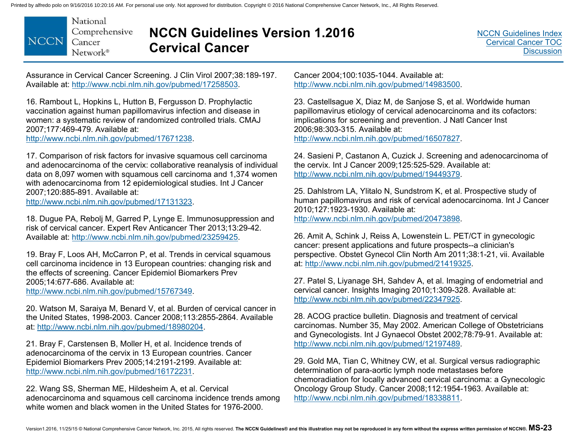

## **NCCN Guidelines Version 1.2016 Cervical Cancer**

Assurance in Cervical Cancer Screening. J Clin Virol 2007;38:189-197. Available at: http://www.ncbi.nlm.nih.gov/pubmed/17258503.

16. Rambout L, Hopkins L, Hutton B, Fergusson D. Prophylactic vaccination against human papillomavirus infection and disease in women: a systematic review of randomized controlled trials. CMAJ 2007;177:469-479. Available at: http://www.ncbi.nlm.nih.gov/pubmed/17671238.

17. Comparison of risk factors for invasive squamous cell carcinoma and adenocarcinoma of the cervix: collaborative reanalysis of individual data on 8,097 women with squamous cell carcinoma and 1,374 women with adenocarcinoma from 12 epidemiological studies. Int J Cancer 2007;120:885-891. Available at:

http://www.ncbi.nlm.nih.gov/pubmed/17131323.

18. Dugue PA, Rebolj M, Garred P, Lynge E. Immunosuppression and risk of cervical cancer. Expert Rev Anticancer Ther 2013;13:29-42. Available at: http://www.ncbi.nlm.nih.gov/pubmed/23259425.

19. Bray F, Loos AH, McCarron P, et al. Trends in cervical squamous cell carcinoma incidence in 13 European countries: changing risk and the effects of screening. Cancer Epidemiol Biomarkers Prev 2005;14:677-686. Available at:

http://www.ncbi.nlm.nih.gov/pubmed/15767349.

20. Watson M, Saraiya M, Benard V, et al. Burden of cervical cancer in the United States, 1998-2003. Cancer 2008;113:2855-2864. Available at: http://www.ncbi.nlm.nih.gov/pubmed/18980204.

21. Bray F, Carstensen B, Moller H, et al. Incidence trends of adenocarcinoma of the cervix in 13 European countries. Cancer Epidemiol Biomarkers Prev 2005;14:2191-2199. Available at: http://www.ncbi.nlm.nih.gov/pubmed/16172231.

22. Wang SS, Sherman ME, Hildesheim A, et al. Cervical adenocarcinoma and squamous cell carcinoma incidence trends among white women and black women in the United States for 1976-2000.

Cancer 2004;100:1035-1044. Available at: http://www.ncbi.nlm.nih.gov/pubmed/14983500.

23. Castellsague X, Diaz M, de Sanjose S, et al. Worldwide human papillomavirus etiology of cervical adenocarcinoma and its cofactors: implications for screening and prevention. J Natl Cancer Inst 2006;98:303-315. Available at: http://www.ncbi.nlm.nih.gov/pubmed/16507827.

24. Sasieni P, Castanon A, Cuzick J. Screening and adenocarcinoma of the cervix. Int J Cancer 2009;125:525-529. Available at: http://www.ncbi.nlm.nih.gov/pubmed/19449379.

25. Dahlstrom LA, Ylitalo N, Sundstrom K, et al. Prospective study of human papillomavirus and risk of cervical adenocarcinoma. Int J Cancer 2010;127:1923-1930. Available at: http://www.ncbi.nlm.nih.gov/pubmed/20473898.

26. Amit A, Schink J, Reiss A, Lowenstein L. PET/CT in gynecologic cancer: present applications and future prospects--a clinician's perspective. Obstet Gynecol Clin North Am 2011;38:1-21, vii. Available at: http://www.ncbi.nlm.nih.gov/pubmed/21419325.

27. Patel S, Liyanage SH, Sahdev A, et al. Imaging of endometrial and cervical cancer. Insights Imaging 2010;1:309-328. Available at: http://www.ncbi.nlm.nih.gov/pubmed/22347925.

28. ACOG practice bulletin. Diagnosis and treatment of cervical carcinomas. Number 35, May 2002. American College of Obstetricians and Gynecologists. Int J Gynaecol Obstet 2002;78:79-91. Available at: http://www.ncbi.nlm.nih.gov/pubmed/12197489.

29. Gold MA, Tian C, Whitney CW, et al. Surgical versus radiographic determination of para-aortic lymph node metastases before chemoradiation for locally advanced cervical carcinoma: a Gynecologic Oncology Group Study. Cancer 2008;112:1954-1963. Available at: http://www.ncbi.nlm.nih.gov/pubmed/18338811.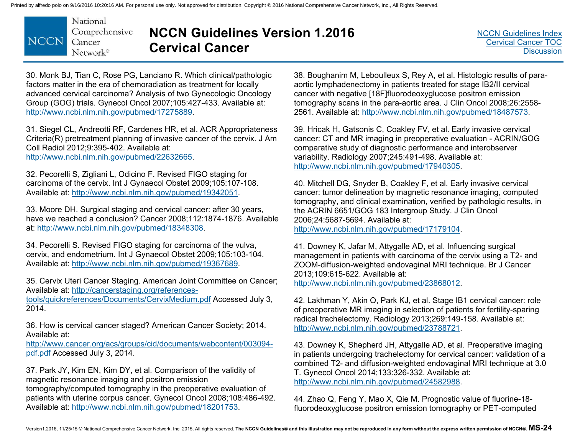

# **NCCN Guidelines Version 1.2016 Cervical Cancer**

30. Monk BJ, Tian C, Rose PG, Lanciano R. Which clinical/pathologic factors matter in the era of chemoradiation as treatment for locally advanced cervical carcinoma? Analysis of two Gynecologic Oncology Group (GOG) trials. Gynecol Oncol 2007;105:427-433. Available at: http://www.ncbi.nlm.nih.gov/pubmed/17275889.

31. Siegel CL, Andreotti RF, Cardenes HR, et al. ACR Appropriateness Criteria(R) pretreatment planning of invasive cancer of the cervix. J Am Coll Radiol 2012;9:395-402. Available at:

http://www.ncbi.nlm.nih.gov/pubmed/22632665.

32. Pecorelli S, Zigliani L, Odicino F. Revised FIGO staging for carcinoma of the cervix. Int J Gynaecol Obstet 2009;105:107-108. Available at: http://www.ncbi.nlm.nih.gov/pubmed/19342051.

33. Moore DH. Surgical staging and cervical cancer: after 30 years, have we reached a conclusion? Cancer 2008;112:1874-1876. Available at: http://www.ncbi.nlm.nih.gov/pubmed/18348308.

34. Pecorelli S. Revised FIGO staging for carcinoma of the vulva, cervix, and endometrium. Int J Gynaecol Obstet 2009;105:103-104. Available at: http://www.ncbi.nlm.nih.gov/pubmed/19367689.

35. Cervix Uteri Cancer Staging. American Joint Committee on Cancer; Available at: http://cancerstaging.org/references-

tools/quickreferences/Documents/CervixMedium.pdf Accessed July 3, 2014.

36. How is cervical cancer staged? American Cancer Society; 2014. Available at:

http://www.cancer.org/acs/groups/cid/documents/webcontent/003094 pdf.pdf Accessed July 3, 2014.

37. Park JY, Kim EN, Kim DY, et al. Comparison of the validity of magnetic resonance imaging and positron emission tomography/computed tomography in the preoperative evaluation of patients with uterine corpus cancer. Gynecol Oncol 2008;108:486-492. Available at: http://www.ncbi.nlm.nih.gov/pubmed/18201753.

38. Boughanim M, Leboulleux S, Rey A, et al. Histologic results of paraaortic lymphadenectomy in patients treated for stage IB2/II cervical cancer with negative [18F]fluorodeoxyglucose positron emission tomography scans in the para-aortic area. J Clin Oncol 2008;26:2558- 2561. Available at: http://www.ncbi.nlm.nih.gov/pubmed/18487573.

39. Hricak H, Gatsonis C, Coakley FV, et al. Early invasive cervical cancer: CT and MR imaging in preoperative evaluation - ACRIN/GOG comparative study of diagnostic performance and interobserver variability. Radiology 2007;245:491-498. Available at: http://www.ncbi.nlm.nih.gov/pubmed/17940305.

40. Mitchell DG, Snyder B, Coakley F, et al. Early invasive cervical cancer: tumor delineation by magnetic resonance imaging, computed tomography, and clinical examination, verified by pathologic results, in the ACRIN 6651/GOG 183 Intergroup Study. J Clin Oncol 2006;24:5687-5694. Available at:

http://www.ncbi.nlm.nih.gov/pubmed/17179104.

41. Downey K, Jafar M, Attygalle AD, et al. Influencing surgical management in patients with carcinoma of the cervix using a T2- and ZOOM-diffusion-weighted endovaginal MRI technique. Br J Cancer 2013;109:615-622. Available at: http://www.ncbi.nlm.nih.gov/pubmed/23868012.

42. Lakhman Y, Akin O, Park KJ, et al. Stage IB1 cervical cancer: role of preoperative MR imaging in selection of patients for fertility-sparing radical trachelectomy. Radiology 2013;269:149-158. Available at: http://www.ncbi.nlm.nih.gov/pubmed/23788721.

43. Downey K, Shepherd JH, Attygalle AD, et al. Preoperative imaging in patients undergoing trachelectomy for cervical cancer: validation of a combined T2- and diffusion-weighted endovaginal MRI technique at 3.0 T. Gynecol Oncol 2014;133:326-332. Available at: http://www.ncbi.nlm.nih.gov/pubmed/24582988.

44. Zhao Q, Feng Y, Mao X, Qie M. Prognostic value of fluorine-18 fluorodeoxyglucose positron emission tomography or PET-computed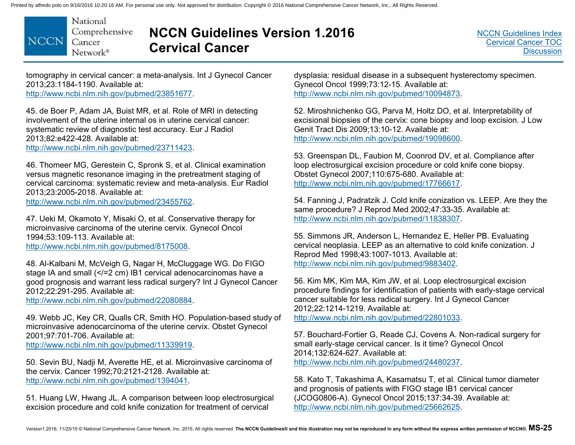

### **NCCN Guidelines Version 1.2016 Cervical Cancer**

tomography in cervical cancer: a meta-analysis. Int J Gynecol Cancer 2013;23:1184-1190. Available at: http://www.ncbi.nlm.nih.gov/pubmed/23851677.

45. de Boer P, Adam JA, Buist MR, et al. Role of MRI in detecting involvement of the uterine internal os in uterine cervical cancer: systematic review of diagnostic test accuracy. Eur J Radiol 2013;82:e422-428. Available at: http://www.ncbi.nlm.nih.gov/pubmed/23711423.

46. Thomeer MG, Gerestein C, Spronk S, et al. Clinical examination versus magnetic resonance imaging in the pretreatment staging of cervical carcinoma: systematic review and meta-analysis. Eur Radiol 2013;23:2005-2018. Available at:

http://www.ncbi.nlm.nih.gov/pubmed/23455762.

47. Ueki M, Okamoto Y, Misaki O, et al. Conservative therapy for microinvasive carcinoma of the uterine cervix. Gynecol Oncol 1994;53:109-113. Available at: http://www.ncbi.nlm.nih.gov/pubmed/8175008.

48. Al-Kalbani M, McVeigh G, Nagar H, McCluggage WG. Do FIGO stage IA and small (</=2 cm) IB1 cervical adenocarcinomas have a good prognosis and warrant less radical surgery? Int J Gynecol Cancer 2012;22:291-295. Available at:

http://www.ncbi.nlm.nih.gov/pubmed/22080884.

49. Webb JC, Key CR, Qualls CR, Smith HO. Population-based study of microinvasive adenocarcinoma of the uterine cervix. Obstet Gynecol 2001;97:701-706. Available at: http://www.ncbi.nlm.nih.gov/pubmed/11339919.

50. Sevin BU, Nadji M, Averette HE, et al. Microinvasive carcinoma of the cervix. Cancer 1992;70:2121-2128. Available at: http://www.ncbi.nlm.nih.gov/pubmed/1394041.

51. Huang LW, Hwang JL. A comparison between loop electrosurgical excision procedure and cold knife conization for treatment of cervical

dysplasia: residual disease in a subsequent hysterectomy specimen. Gynecol Oncol 1999;73:12-15. Available at: http://www.ncbi.nlm.nih.gov/pubmed/10094873.

52. Miroshnichenko GG, Parva M, Holtz DO, et al. Interpretability of excisional biopsies of the cervix: cone biopsy and loop excision. J Low Genit Tract Dis 2009;13:10-12. Available at: http://www.ncbi.nlm.nih.gov/pubmed/19098600.

53. Greenspan DL, Faubion M, Coonrod DV, et al. Compliance after loop electrosurgical excision procedure or cold knife cone biopsy. Obstet Gynecol 2007;110:675-680. Available at: http://www.ncbi.nlm.nih.gov/pubmed/17766617.

54. Fanning J, Padratzik J. Cold knife conization vs. LEEP. Are they the same procedure? J Reprod Med 2002;47:33-35. Available at: http://www.ncbi.nlm.nih.gov/pubmed/11838307.

55. Simmons JR, Anderson L, Hernandez E, Heller PB. Evaluating cervical neoplasia. LEEP as an alternative to cold knife conization. J Reprod Med 1998;43:1007-1013. Available at: http://www.ncbi.nlm.nih.gov/pubmed/9883402.

56. Kim MK, Kim MA, Kim JW, et al. Loop electrosurgical excision procedure findings for identification of patients with early-stage cervical cancer suitable for less radical surgery. Int J Gynecol Cancer 2012;22:1214-1219. Available at: http://www.ncbi.nlm.nih.gov/pubmed/22801033.

57. Bouchard-Fortier G, Reade CJ, Covens A. Non-radical surgery for small early-stage cervical cancer. Is it time? Gynecol Oncol 2014;132:624-627. Available at: http://www.ncbi.nlm.nih.gov/pubmed/24480237.

58. Kato T, Takashima A, Kasamatsu T, et al. Clinical tumor diameter and prognosis of patients with FIGO stage IB1 cervical cancer (JCOG0806-A). Gynecol Oncol 2015;137:34-39. Available at: http://www.ncbi.nlm.nih.gov/pubmed/25662625.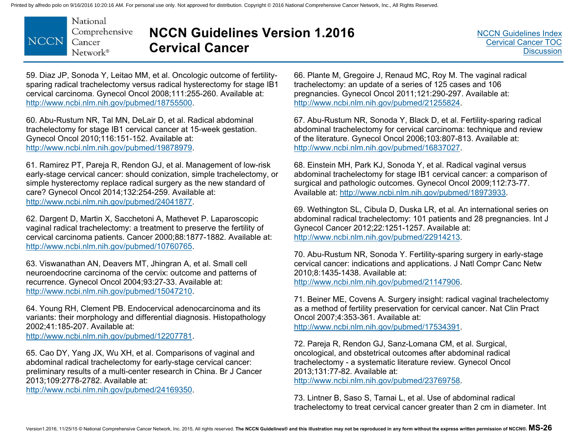

# **NCCN Guidelines Version 1.2016 Cervical Cancer**

59. Diaz JP, Sonoda Y, Leitao MM, et al. Oncologic outcome of fertilitysparing radical trachelectomy versus radical hysterectomy for stage IB1 cervical carcinoma. Gynecol Oncol 2008;111:255-260. Available at: http://www.ncbi.nlm.nih.gov/pubmed/18755500.

60. Abu-Rustum NR, Tal MN, DeLair D, et al. Radical abdominal trachelectomy for stage IB1 cervical cancer at 15-week gestation. Gynecol Oncol 2010;116:151-152. Available at: http://www.ncbi.nlm.nih.gov/pubmed/19878979.

61. Ramirez PT, Pareja R, Rendon GJ, et al. Management of low-risk early-stage cervical cancer: should conization, simple trachelectomy, or simple hysterectomy replace radical surgery as the new standard of care? Gynecol Oncol 2014;132:254-259. Available at: http://www.ncbi.nlm.nih.gov/pubmed/24041877.

62. Dargent D, Martin X, Sacchetoni A, Mathevet P. Laparoscopic vaginal radical trachelectomy: a treatment to preserve the fertility of cervical carcinoma patients. Cancer 2000;88:1877-1882. Available at: http://www.ncbi.nlm.nih.gov/pubmed/10760765.

63. Viswanathan AN, Deavers MT, Jhingran A, et al. Small cell neuroendocrine carcinoma of the cervix: outcome and patterns of recurrence. Gynecol Oncol 2004;93:27-33. Available at: http://www.ncbi.nlm.nih.gov/pubmed/15047210.

64. Young RH, Clement PB. Endocervical adenocarcinoma and its variants: their morphology and differential diagnosis. Histopathology 2002;41:185-207. Available at: http://www.ncbi.nlm.nih.gov/pubmed/12207781.

65. Cao DY, Yang JX, Wu XH, et al. Comparisons of vaginal and abdominal radical trachelectomy for early-stage cervical cancer: preliminary results of a multi-center research in China. Br J Cancer 2013;109:2778-2782. Available at:

http://www.ncbi.nlm.nih.gov/pubmed/24169350.

66. Plante M, Gregoire J, Renaud MC, Roy M. The vaginal radical trachelectomy: an update of a series of 125 cases and 106 pregnancies. Gynecol Oncol 2011;121:290-297. Available at: http://www.ncbi.nlm.nih.gov/pubmed/21255824.

67. Abu-Rustum NR, Sonoda Y, Black D, et al. Fertility-sparing radical abdominal trachelectomy for cervical carcinoma: technique and review of the literature. Gynecol Oncol 2006;103:807-813. Available at: http://www.ncbi.nlm.nih.gov/pubmed/16837027.

68. Einstein MH, Park KJ, Sonoda Y, et al. Radical vaginal versus abdominal trachelectomy for stage IB1 cervical cancer: a comparison of surgical and pathologic outcomes. Gynecol Oncol 2009;112:73-77. Available at: http://www.ncbi.nlm.nih.gov/pubmed/18973933.

69. Wethington SL, Cibula D, Duska LR, et al. An international series on abdominal radical trachelectomy: 101 patients and 28 pregnancies. Int J Gynecol Cancer 2012;22:1251-1257. Available at: http://www.ncbi.nlm.nih.gov/pubmed/22914213.

70. Abu-Rustum NR, Sonoda Y. Fertility-sparing surgery in early-stage cervical cancer: indications and applications. J Natl Compr Canc Netw 2010;8:1435-1438. Available at: http://www.ncbi.nlm.nih.gov/pubmed/21147906.

71. Beiner ME, Covens A. Surgery insight: radical vaginal trachelectomy as a method of fertility preservation for cervical cancer. Nat Clin Pract Oncol 2007;4:353-361. Available at: http://www.ncbi.nlm.nih.gov/pubmed/17534391.

72. Pareja R, Rendon GJ, Sanz-Lomana CM, et al. Surgical, oncological, and obstetrical outcomes after abdominal radical trachelectomy - a systematic literature review. Gynecol Oncol 2013;131:77-82. Available at:

http://www.ncbi.nlm.nih.gov/pubmed/23769758.

73. Lintner B, Saso S, Tarnai L, et al. Use of abdominal radical trachelectomy to treat cervical cancer greater than 2 cm in diameter. Int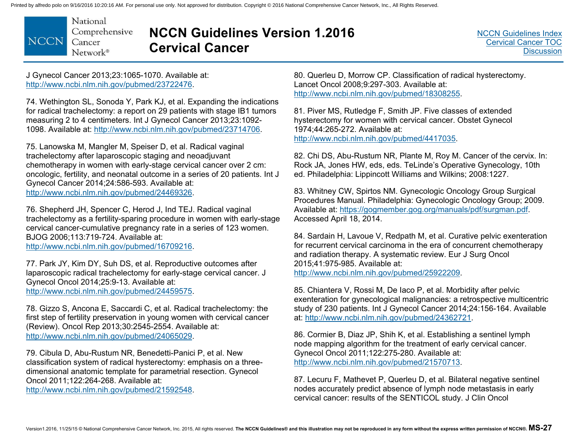National Comprehensive **NCCN** Cancer  $Network^*$ 

# **NCCN Guidelines Version 1.2016 Cervical Cancer**

J Gynecol Cancer 2013;23:1065-1070. Available at: http://www.ncbi.nlm.nih.gov/pubmed/23722476.

74. Wethington SL, Sonoda Y, Park KJ, et al. Expanding the indications for radical trachelectomy: a report on 29 patients with stage IB1 tumors measuring 2 to 4 centimeters. Int J Gynecol Cancer 2013;23:1092- 1098. Available at: http://www.ncbi.nlm.nih.gov/pubmed/23714706.

75. Lanowska M, Mangler M, Speiser D, et al. Radical vaginal trachelectomy after laparoscopic staging and neoadjuvant chemotherapy in women with early-stage cervical cancer over 2 cm: oncologic, fertility, and neonatal outcome in a series of 20 patients. Int J Gynecol Cancer 2014;24:586-593. Available at: http://www.ncbi.nlm.nih.gov/pubmed/24469326.

76. Shepherd JH, Spencer C, Herod J, Ind TEJ. Radical vaginal trachelectomy as a fertility-sparing procedure in women with early-stage cervical cancer-cumulative pregnancy rate in a series of 123 women. BJOG 2006;113:719-724. Available at: http://www.ncbi.nlm.nih.gov/pubmed/16709216.

77. Park JY, Kim DY, Suh DS, et al. Reproductive outcomes after laparoscopic radical trachelectomy for early-stage cervical cancer. J Gynecol Oncol 2014;25:9-13. Available at: http://www.ncbi.nlm.nih.gov/pubmed/24459575.

78. Gizzo S, Ancona E, Saccardi C, et al. Radical trachelectomy: the first step of fertility preservation in young women with cervical cancer (Review). Oncol Rep 2013;30:2545-2554. Available at: http://www.ncbi.nlm.nih.gov/pubmed/24065029.

79. Cibula D, Abu-Rustum NR, Benedetti-Panici P, et al. New classification system of radical hysterectomy: emphasis on a threedimensional anatomic template for parametrial resection. Gynecol Oncol 2011;122:264-268. Available at:

http://www.ncbi.nlm.nih.gov/pubmed/21592548.

80. Querleu D, Morrow CP. Classification of radical hysterectomy. Lancet Oncol 2008;9:297-303. Available at: http://www.ncbi.nlm.nih.gov/pubmed/18308255.

81. Piver MS, Rutledge F, Smith JP. Five classes of extended hysterectomy for women with cervical cancer. Obstet Gynecol 1974;44:265-272. Available at: http://www.ncbi.nlm.nih.gov/pubmed/4417035.

82. Chi DS, Abu-Rustum NR, Plante M, Roy M. Cancer of the cervix. In: Rock JA, Jones HW, eds, eds. TeLinde's Operative Gynecology, 10th ed. Philadelphia: Lippincott Williams and Wilkins; 2008:1227.

83. Whitney CW, Spirtos NM. Gynecologic Oncology Group Surgical Procedures Manual. Philadelphia: Gynecologic Oncology Group; 2009. Available at: https://gogmember.gog.org/manuals/pdf/surgman.pdf. Accessed April 18, 2014.

84. Sardain H, Lavoue V, Redpath M, et al. Curative pelvic exenteration for recurrent cervical carcinoma in the era of concurrent chemotherapy and radiation therapy. A systematic review. Eur J Surg Oncol 2015;41:975-985. Available at: http://www.ncbi.nlm.nih.gov/pubmed/25922209.

85. Chiantera V, Rossi M, De Iaco P, et al. Morbidity after pelvic exenteration for gynecological malignancies: a retrospective multicentric study of 230 patients. Int J Gynecol Cancer 2014;24:156-164. Available at: http://www.ncbi.nlm.nih.gov/pubmed/24362721.

86. Cormier B, Diaz JP, Shih K, et al. Establishing a sentinel lymph node mapping algorithm for the treatment of early cervical cancer. Gynecol Oncol 2011;122:275-280. Available at: http://www.ncbi.nlm.nih.gov/pubmed/21570713.

87. Lecuru F, Mathevet P, Querleu D, et al. Bilateral negative sentinel nodes accurately predict absence of lymph node metastasis in early cervical cancer: results of the SENTICOL study. J Clin Oncol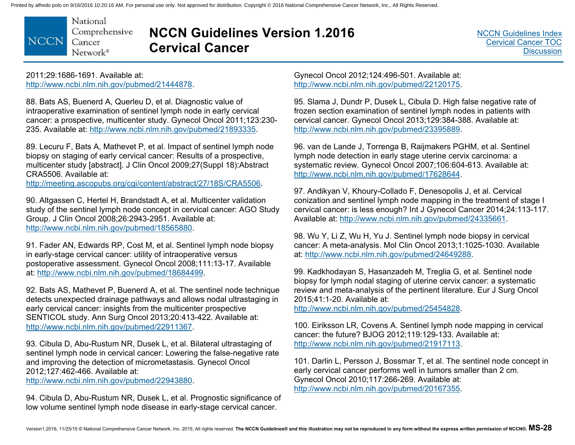National Comprehensive **NCCN** Cancer Network®

# **NCCN Guidelines Version 1.2016 Cervical Cancer**

[NCCN Guidelines Index](http://www.nccn.org/professionals/physician_gls/f_guidelines.asp) [Cervical Cancer TOC](#page-2-0) **[Discussion](#page-34-0)** 

2011;29:1686-1691. Available at: http://www.ncbi.nlm.nih.gov/pubmed/21444878.

88. Bats AS, Buenerd A, Querleu D, et al. Diagnostic value of intraoperative examination of sentinel lymph node in early cervical cancer: a prospective, multicenter study. Gynecol Oncol 2011;123:230- 235. Available at: http://www.ncbi.nlm.nih.gov/pubmed/21893335.

89. Lecuru F, Bats A, Mathevet P, et al. Impact of sentinel lymph node biopsy on staging of early cervical cancer: Results of a prospective, multicenter study [abstract]. J Clin Oncol 2009;27(Suppl 18):Abstract CRA5506. Available at:

http://meeting.ascopubs.org/cgi/content/abstract/27/18S/CRA5506.

90. Altgassen C, Hertel H, Brandstadt A, et al. Multicenter validation study of the sentinel lymph node concept in cervical cancer: AGO Study Group. J Clin Oncol 2008;26:2943-2951. Available at: http://www.ncbi.nlm.nih.gov/pubmed/18565880.

91. Fader AN, Edwards RP, Cost M, et al. Sentinel lymph node biopsy in early-stage cervical cancer: utility of intraoperative versus postoperative assessment. Gynecol Oncol 2008;111:13-17. Available at: http://www.ncbi.nlm.nih.gov/pubmed/18684499.

92. Bats AS, Mathevet P, Buenerd A, et al. The sentinel node technique detects unexpected drainage pathways and allows nodal ultrastaging in early cervical cancer: insights from the multicenter prospective SENTICOL study. Ann Surg Oncol 2013;20:413-422. Available at: http://www.ncbi.nlm.nih.gov/pubmed/22911367.

93. Cibula D, Abu-Rustum NR, Dusek L, et al. Bilateral ultrastaging of sentinel lymph node in cervical cancer: Lowering the false-negative rate and improving the detection of micrometastasis. Gynecol Oncol 2012;127:462-466. Available at:

http://www.ncbi.nlm.nih.gov/pubmed/22943880.

94. Cibula D, Abu-Rustum NR, Dusek L, et al. Prognostic significance of low volume sentinel lymph node disease in early-stage cervical cancer.

Gynecol Oncol 2012;124:496-501. Available at: http://www.ncbi.nlm.nih.gov/pubmed/22120175.

95. Slama J, Dundr P, Dusek L, Cibula D. High false negative rate of frozen section examination of sentinel lymph nodes in patients with cervical cancer. Gynecol Oncol 2013;129:384-388. Available at: http://www.ncbi.nlm.nih.gov/pubmed/23395889.

96. van de Lande J, Torrenga B, Raijmakers PGHM, et al. Sentinel lymph node detection in early stage uterine cervix carcinoma: a systematic review. Gynecol Oncol 2007;106:604-613. Available at: http://www.ncbi.nlm.nih.gov/pubmed/17628644.

97. Andikyan V, Khoury-Collado F, Denesopolis J, et al. Cervical conization and sentinel lymph node mapping in the treatment of stage I cervical cancer: is less enough? Int J Gynecol Cancer 2014;24:113-117. Available at: http://www.ncbi.nlm.nih.gov/pubmed/24335661.

98. Wu Y, Li Z, Wu H, Yu J. Sentinel lymph node biopsy in cervical cancer: A meta-analysis. Mol Clin Oncol 2013;1:1025-1030. Available at: http://www.ncbi.nlm.nih.gov/pubmed/24649288.

99. Kadkhodayan S, Hasanzadeh M, Treglia G, et al. Sentinel node biopsy for lymph nodal staging of uterine cervix cancer: a systematic review and meta-analysis of the pertinent literature. Eur J Surg Oncol 2015;41:1-20. Available at:

http://www.ncbi.nlm.nih.gov/pubmed/25454828.

100. Eiriksson LR, Covens A. Sentinel lymph node mapping in cervical cancer: the future? BJOG 2012;119:129-133. Available at: http://www.ncbi.nlm.nih.gov/pubmed/21917113.

101. Darlin L, Persson J, Bossmar T, et al. The sentinel node concept in early cervical cancer performs well in tumors smaller than 2 cm. Gynecol Oncol 2010;117:266-269. Available at: http://www.ncbi.nlm.nih.gov/pubmed/20167355.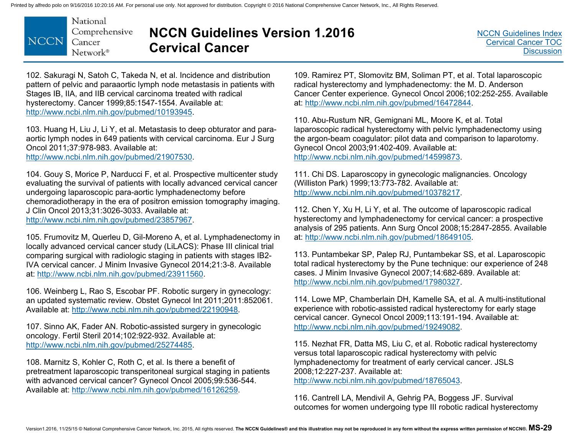

# **NCCN Guidelines Version 1.2016 Cervical Cancer**

102. Sakuragi N, Satoh C, Takeda N, et al. Incidence and distribution pattern of pelvic and paraaortic lymph node metastasis in patients with Stages IB, IIA, and IIB cervical carcinoma treated with radical hysterectomy. Cancer 1999;85:1547-1554. Available at: http://www.ncbi.nlm.nih.gov/pubmed/10193945.

103. Huang H, Liu J, Li Y, et al. Metastasis to deep obturator and paraaortic lymph nodes in 649 patients with cervical carcinoma. Eur J Surg Oncol 2011;37:978-983. Available at:

http://www.ncbi.nlm.nih.gov/pubmed/21907530.

104. Gouy S, Morice P, Narducci F, et al. Prospective multicenter study evaluating the survival of patients with locally advanced cervical cancer undergoing laparoscopic para-aortic lymphadenectomy before chemoradiotherapy in the era of positron emission tomography imaging. J Clin Oncol 2013;31:3026-3033. Available at: http://www.ncbi.nlm.nih.gov/pubmed/23857967.

105. Frumovitz M, Querleu D, Gil-Moreno A, et al. Lymphadenectomy in locally advanced cervical cancer study (LiLACS): Phase III clinical trial comparing surgical with radiologic staging in patients with stages IB2- IVA cervical cancer. J Minim Invasive Gynecol 2014;21:3-8. Available at: http://www.ncbi.nlm.nih.gov/pubmed/23911560.

106. Weinberg L, Rao S, Escobar PF. Robotic surgery in gynecology: an updated systematic review. Obstet Gynecol Int 2011;2011:852061. Available at: http://www.ncbi.nlm.nih.gov/pubmed/22190948.

107. Sinno AK, Fader AN. Robotic-assisted surgery in gynecologic oncology. Fertil Steril 2014;102:922-932. Available at: http://www.ncbi.nlm.nih.gov/pubmed/25274485.

108. Marnitz S, Kohler C, Roth C, et al. Is there a benefit of pretreatment laparoscopic transperitoneal surgical staging in patients with advanced cervical cancer? Gynecol Oncol 2005;99:536-544. Available at: http://www.ncbi.nlm.nih.gov/pubmed/16126259.

109. Ramirez PT, Slomovitz BM, Soliman PT, et al. Total laparoscopic radical hysterectomy and lymphadenectomy: the M. D. Anderson Cancer Center experience. Gynecol Oncol 2006;102:252-255. Available at: http://www.ncbi.nlm.nih.gov/pubmed/16472844.

110. Abu-Rustum NR, Gemignani ML, Moore K, et al. Total laparoscopic radical hysterectomy with pelvic lymphadenectomy using the argon-beam coagulator: pilot data and comparison to laparotomy. Gynecol Oncol 2003;91:402-409. Available at: http://www.ncbi.nlm.nih.gov/pubmed/14599873.

111. Chi DS. Laparoscopy in gynecologic malignancies. Oncology (Williston Park) 1999;13:773-782. Available at: http://www.ncbi.nlm.nih.gov/pubmed/10378217.

112. Chen Y, Xu H, Li Y, et al. The outcome of laparoscopic radical hysterectomy and lymphadenectomy for cervical cancer: a prospective analysis of 295 patients. Ann Surg Oncol 2008;15:2847-2855. Available at: http://www.ncbi.nlm.nih.gov/pubmed/18649105.

113. Puntambekar SP, Palep RJ, Puntambekar SS, et al. Laparoscopic total radical hysterectomy by the Pune technique: our experience of 248 cases. J Minim Invasive Gynecol 2007;14:682-689. Available at: http://www.ncbi.nlm.nih.gov/pubmed/17980327.

114. Lowe MP, Chamberlain DH, Kamelle SA, et al. A multi-institutional experience with robotic-assisted radical hysterectomy for early stage cervical cancer. Gynecol Oncol 2009;113:191-194. Available at: http://www.ncbi.nlm.nih.gov/pubmed/19249082.

115. Nezhat FR, Datta MS, Liu C, et al. Robotic radical hysterectomy versus total laparoscopic radical hysterectomy with pelvic lymphadenectomy for treatment of early cervical cancer. JSLS 2008;12:227-237. Available at:

http://www.ncbi.nlm.nih.gov/pubmed/18765043.

116. Cantrell LA, Mendivil A, Gehrig PA, Boggess JF. Survival outcomes for women undergoing type III robotic radical hysterectomy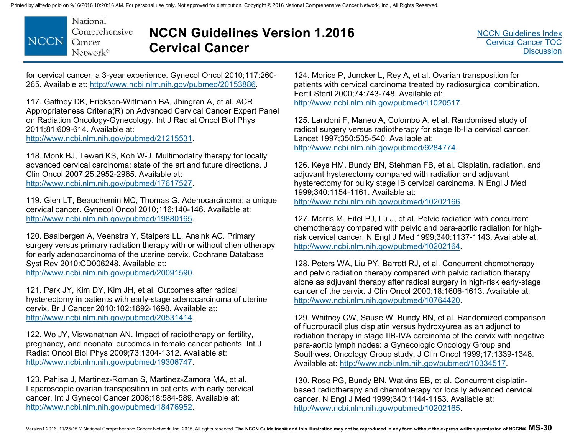

# **NCCN Guidelines Version 1.2016 Cervical Cancer**

for cervical cancer: a 3-year experience. Gynecol Oncol 2010;117:260- 265. Available at: http://www.ncbi.nlm.nih.gov/pubmed/20153886.

117. Gaffney DK, Erickson-Wittmann BA, Jhingran A, et al. ACR Appropriateness Criteria(R) on Advanced Cervical Cancer Expert Panel on Radiation Oncology-Gynecology. Int J Radiat Oncol Biol Phys 2011;81:609-614. Available at: http://www.ncbi.nlm.nih.gov/pubmed/21215531.

118. Monk BJ, Tewari KS, Koh W-J. Multimodality therapy for locally advanced cervical carcinoma: state of the art and future directions. J Clin Oncol 2007;25:2952-2965. Available at: http://www.ncbi.nlm.nih.gov/pubmed/17617527.

119. Gien LT, Beauchemin MC, Thomas G. Adenocarcinoma: a unique cervical cancer. Gynecol Oncol 2010;116:140-146. Available at: http://www.ncbi.nlm.nih.gov/pubmed/19880165.

120. Baalbergen A, Veenstra Y, Stalpers LL, Ansink AC. Primary surgery versus primary radiation therapy with or without chemotherapy for early adenocarcinoma of the uterine cervix. Cochrane Database Syst Rev 2010:CD006248. Available at: http://www.ncbi.nlm.nih.gov/pubmed/20091590.

121. Park JY, Kim DY, Kim JH, et al. Outcomes after radical hysterectomy in patients with early-stage adenocarcinoma of uterine cervix. Br J Cancer 2010;102:1692-1698. Available at: http://www.ncbi.nlm.nih.gov/pubmed/20531414.

122. Wo JY, Viswanathan AN. Impact of radiotherapy on fertility, pregnancy, and neonatal outcomes in female cancer patients. Int J Radiat Oncol Biol Phys 2009;73:1304-1312. Available at: http://www.ncbi.nlm.nih.gov/pubmed/19306747.

123. Pahisa J, Martinez-Roman S, Martinez-Zamora MA, et al. Laparoscopic ovarian transposition in patients with early cervical cancer. Int J Gynecol Cancer 2008;18:584-589. Available at: http://www.ncbi.nlm.nih.gov/pubmed/18476952.

124. Morice P, Juncker L, Rey A, et al. Ovarian transposition for patients with cervical carcinoma treated by radiosurgical combination. Fertil Steril 2000;74:743-748. Available at: http://www.ncbi.nlm.nih.gov/pubmed/11020517.

125. Landoni F, Maneo A, Colombo A, et al. Randomised study of radical surgery versus radiotherapy for stage Ib-IIa cervical cancer. Lancet 1997;350:535-540. Available at: http://www.ncbi.nlm.nih.gov/pubmed/9284774.

126. Keys HM, Bundy BN, Stehman FB, et al. Cisplatin, radiation, and adjuvant hysterectomy compared with radiation and adjuvant hysterectomy for bulky stage IB cervical carcinoma. N Engl J Med 1999;340:1154-1161. Available at:

http://www.ncbi.nlm.nih.gov/pubmed/10202166.

127. Morris M, Eifel PJ, Lu J, et al. Pelvic radiation with concurrent chemotherapy compared with pelvic and para-aortic radiation for highrisk cervical cancer. N Engl J Med 1999;340:1137-1143. Available at: http://www.ncbi.nlm.nih.gov/pubmed/10202164.

128. Peters WA, Liu PY, Barrett RJ, et al. Concurrent chemotherapy and pelvic radiation therapy compared with pelvic radiation therapy alone as adjuvant therapy after radical surgery in high-risk early-stage cancer of the cervix. J Clin Oncol 2000;18:1606-1613. Available at: http://www.ncbi.nlm.nih.gov/pubmed/10764420.

129. Whitney CW, Sause W, Bundy BN, et al. Randomized comparison of fluorouracil plus cisplatin versus hydroxyurea as an adjunct to radiation therapy in stage IIB-IVA carcinoma of the cervix with negative para-aortic lymph nodes: a Gynecologic Oncology Group and Southwest Oncology Group study. J Clin Oncol 1999;17:1339-1348. Available at: http://www.ncbi.nlm.nih.gov/pubmed/10334517.

130. Rose PG, Bundy BN, Watkins EB, et al. Concurrent cisplatinbased radiotherapy and chemotherapy for locally advanced cervical cancer. N Engl J Med 1999;340:1144-1153. Available at: http://www.ncbi.nlm.nih.gov/pubmed/10202165.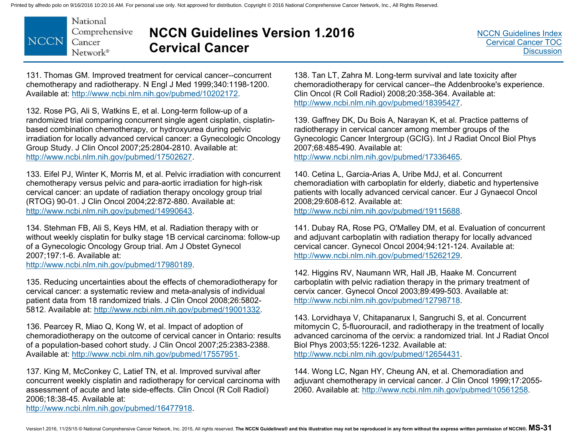

# **NCCN Guidelines Version 1.2016 Cervical Cancer**

131. Thomas GM. Improved treatment for cervical cancer--concurrent chemotherapy and radiotherapy. N Engl J Med 1999;340:1198-1200. Available at: http://www.ncbi.nlm.nih.gov/pubmed/10202172.

132. Rose PG, Ali S, Watkins E, et al. Long-term follow-up of a randomized trial comparing concurrent single agent cisplatin, cisplatinbased combination chemotherapy, or hydroxyurea during pelvic irradiation for locally advanced cervical cancer: a Gynecologic Oncology Group Study. J Clin Oncol 2007;25:2804-2810. Available at: http://www.ncbi.nlm.nih.gov/pubmed/17502627.

133. Eifel PJ, Winter K, Morris M, et al. Pelvic irradiation with concurrent chemotherapy versus pelvic and para-aortic irradiation for high-risk cervical cancer: an update of radiation therapy oncology group trial (RTOG) 90-01. J Clin Oncol 2004;22:872-880. Available at: http://www.ncbi.nlm.nih.gov/pubmed/14990643.

134. Stehman FB, Ali S, Keys HM, et al. Radiation therapy with or without weekly cisplatin for bulky stage 1B cervical carcinoma: follow-up of a Gynecologic Oncology Group trial. Am J Obstet Gynecol 2007;197:1-6. Available at: http://www.ncbi.nlm.nih.gov/pubmed/17980189.

135. Reducing uncertainties about the effects of chemoradiotherapy for cervical cancer: a systematic review and meta-analysis of individual patient data from 18 randomized trials. J Clin Oncol 2008;26:5802- 5812. Available at: http://www.ncbi.nlm.nih.gov/pubmed/19001332.

136. Pearcey R, Miao Q, Kong W, et al. Impact of adoption of chemoradiotherapy on the outcome of cervical cancer in Ontario: results of a population-based cohort study. J Clin Oncol 2007;25:2383-2388. Available at: http://www.ncbi.nlm.nih.gov/pubmed/17557951.

137. King M, McConkey C, Latief TN, et al. Improved survival after concurrent weekly cisplatin and radiotherapy for cervical carcinoma with assessment of acute and late side-effects. Clin Oncol (R Coll Radiol) 2006;18:38-45. Available at: http://www.ncbi.nlm.nih.gov/pubmed/16477918.

138. Tan LT, Zahra M. Long-term survival and late toxicity after chemoradiotherapy for cervical cancer--the Addenbrooke's experience. Clin Oncol (R Coll Radiol) 2008;20:358-364. Available at: http://www.ncbi.nlm.nih.gov/pubmed/18395427.

139. Gaffney DK, Du Bois A, Narayan K, et al. Practice patterns of radiotherapy in cervical cancer among member groups of the Gynecologic Cancer Intergroup (GCIG). Int J Radiat Oncol Biol Phys 2007;68:485-490. Available at:

http://www.ncbi.nlm.nih.gov/pubmed/17336465.

140. Cetina L, Garcia-Arias A, Uribe MdJ, et al. Concurrent chemoradiation with carboplatin for elderly, diabetic and hypertensive patients with locally advanced cervical cancer. Eur J Gynaecol Oncol 2008;29:608-612. Available at: http://www.ncbi.nlm.nih.gov/pubmed/19115688.

141. Dubay RA, Rose PG, O'Malley DM, et al. Evaluation of concurrent and adjuvant carboplatin with radiation therapy for locally advanced cervical cancer. Gynecol Oncol 2004;94:121-124. Available at: http://www.ncbi.nlm.nih.gov/pubmed/15262129.

142. Higgins RV, Naumann WR, Hall JB, Haake M. Concurrent carboplatin with pelvic radiation therapy in the primary treatment of cervix cancer. Gynecol Oncol 2003;89:499-503. Available at: http://www.ncbi.nlm.nih.gov/pubmed/12798718.

143. Lorvidhaya V, Chitapanarux I, Sangruchi S, et al. Concurrent mitomycin C, 5-fluorouracil, and radiotherapy in the treatment of locally advanced carcinoma of the cervix: a randomized trial. Int J Radiat Oncol Biol Phys 2003;55:1226-1232. Available at: http://www.ncbi.nlm.nih.gov/pubmed/12654431.

144. Wong LC, Ngan HY, Cheung AN, et al. Chemoradiation and adjuvant chemotherapy in cervical cancer. J Clin Oncol 1999;17:2055- 2060. Available at: http://www.ncbi.nlm.nih.gov/pubmed/10561258.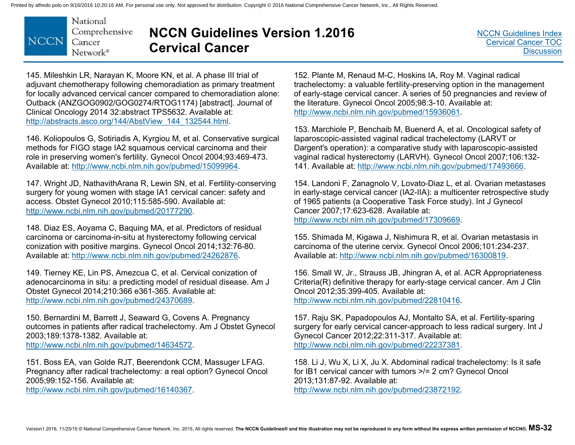

# **NCCN Guidelines Version 1.2016 Cervical Cancer**

145. Mileshkin LR, Narayan K, Moore KN, et al. A phase III trial of adjuvant chemotherapy following chemoradiation as primary treatment for locally advanced cervical cancer compared to chemoradiation alone: Outback (ANZGOG0902/GOG0274/RTOG1174) [abstract]. Journal of Clinical Oncology 2014 32:abstract TPS5632. Available at: http://abstracts.asco.org/144/AbstView\_144\_132544.html.

146. Koliopoulos G, Sotiriadis A, Kyrgiou M, et al. Conservative surgical methods for FIGO stage IA2 squamous cervical carcinoma and their role in preserving women's fertility. Gynecol Oncol 2004;93:469-473. Available at: http://www.ncbi.nlm.nih.gov/pubmed/15099964.

147. Wright JD, NathavithArana R, Lewin SN, et al. Fertility-conserving surgery for young women with stage IA1 cervical cancer: safety and access. Obstet Gynecol 2010;115:585-590. Available at: http://www.ncbi.nlm.nih.gov/pubmed/20177290.

148. Diaz ES, Aoyama C, Baquing MA, et al. Predictors of residual carcinoma or carcinoma-in-situ at hysterectomy following cervical conization with positive margins. Gynecol Oncol 2014;132:76-80. Available at: http://www.ncbi.nlm.nih.gov/pubmed/24262876.

149. Tierney KE, Lin PS, Amezcua C, et al. Cervical conization of adenocarcinoma in situ: a predicting model of residual disease. Am J Obstet Gynecol 2014;210:366 e361-365. Available at: http://www.ncbi.nlm.nih.gov/pubmed/24370689.

150. Bernardini M, Barrett J, Seaward G, Covens A. Pregnancy outcomes in patients after radical trachelectomy. Am J Obstet Gynecol 2003;189:1378-1382. Available at: http://www.ncbi.nlm.nih.gov/pubmed/14634572.

151. Boss EA, van Golde RJT, Beerendonk CCM, Massuger LFAG. Pregnancy after radical trachelectomy: a real option? Gynecol Oncol 2005;99:152-156. Available at:

http://www.ncbi.nlm.nih.gov/pubmed/16140367.

152. Plante M, Renaud M-C, Hoskins IA, Roy M. Vaginal radical trachelectomy: a valuable fertility-preserving option in the management of early-stage cervical cancer. A series of 50 pregnancies and review of the literature. Gynecol Oncol 2005;98:3-10. Available at: http://www.ncbi.nlm.nih.gov/pubmed/15936061.

153. Marchiole P, Benchaib M, Buenerd A, et al. Oncological safety of laparoscopic-assisted vaginal radical trachelectomy (LARVT or Dargent's operation): a comparative study with laparoscopic-assisted vaginal radical hysterectomy (LARVH). Gynecol Oncol 2007;106:132- 141. Available at: http://www.ncbi.nlm.nih.gov/pubmed/17493666.

154. Landoni F, Zanagnolo V, Lovato-Diaz L, et al. Ovarian metastases in early-stage cervical cancer (IA2-IIA): a multicenter retrospective study of 1965 patients (a Cooperative Task Force study). Int J Gynecol Cancer 2007;17:623-628. Available at: http://www.ncbi.nlm.nih.gov/pubmed/17309669.

155. Shimada M, Kigawa J, Nishimura R, et al. Ovarian metastasis in carcinoma of the uterine cervix. Gynecol Oncol 2006;101:234-237.

Available at: http://www.ncbi.nlm.nih.gov/pubmed/16300819.

156. Small W, Jr., Strauss JB, Jhingran A, et al. ACR Appropriateness Criteria(R) definitive therapy for early-stage cervical cancer. Am J Clin Oncol 2012;35:399-405. Available at:

http://www.ncbi.nlm.nih.gov/pubmed/22810416.

157. Raju SK, Papadopoulos AJ, Montalto SA, et al. Fertility-sparing surgery for early cervical cancer-approach to less radical surgery. Int J Gynecol Cancer 2012;22:311-317. Available at: http://www.ncbi.nlm.nih.gov/pubmed/22237381.

158. Li J, Wu X, Li X, Ju X. Abdominal radical trachelectomy: Is it safe for IB1 cervical cancer with tumors >/= 2 cm? Gynecol Oncol 2013;131:87-92. Available at: http://www.ncbi.nlm.nih.gov/pubmed/23872192.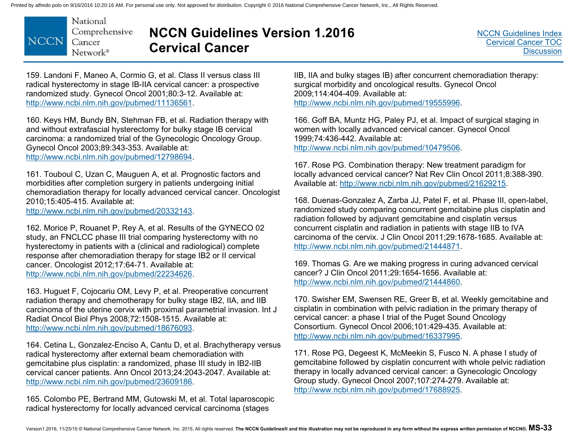

# **NCCN Guidelines Version 1.2016 Cervical Cancer**

159. Landoni F, Maneo A, Cormio G, et al. Class II versus class III radical hysterectomy in stage IB-IIA cervical cancer: a prospective randomized study. Gynecol Oncol 2001;80:3-12. Available at: http://www.ncbi.nlm.nih.gov/pubmed/11136561.

160. Keys HM, Bundy BN, Stehman FB, et al. Radiation therapy with and without extrafascial hysterectomy for bulky stage IB cervical carcinoma: a randomized trial of the Gynecologic Oncology Group. Gynecol Oncol 2003;89:343-353. Available at: http://www.ncbi.nlm.nih.gov/pubmed/12798694.

161. Touboul C, Uzan C, Mauguen A, et al. Prognostic factors and morbidities after completion surgery in patients undergoing initial chemoradiation therapy for locally advanced cervical cancer. Oncologist 2010;15:405-415. Available at:

http://www.ncbi.nlm.nih.gov/pubmed/20332143.

162. Morice P, Rouanet P, Rey A, et al. Results of the GYNECO 02 study, an FNCLCC phase III trial comparing hysterectomy with no hysterectomy in patients with a (clinical and radiological) complete response after chemoradiation therapy for stage IB2 or II cervical cancer. Oncologist 2012;17:64-71. Available at: http://www.ncbi.nlm.nih.gov/pubmed/22234626.

163. Huguet F, Cojocariu OM, Levy P, et al. Preoperative concurrent radiation therapy and chemotherapy for bulky stage IB2, IIA, and IIB carcinoma of the uterine cervix with proximal parametrial invasion. Int J Radiat Oncol Biol Phys 2008;72:1508-1515. Available at: http://www.ncbi.nlm.nih.gov/pubmed/18676093.

164. Cetina L, Gonzalez-Enciso A, Cantu D, et al. Brachytherapy versus radical hysterectomy after external beam chemoradiation with gemcitabine plus cisplatin: a randomized, phase III study in IB2-IIB cervical cancer patients. Ann Oncol 2013;24:2043-2047. Available at: http://www.ncbi.nlm.nih.gov/pubmed/23609186.

165. Colombo PE, Bertrand MM, Gutowski M, et al. Total laparoscopic radical hysterectomy for locally advanced cervical carcinoma (stages

IIB, IIA and bulky stages IB) after concurrent chemoradiation therapy: surgical morbidity and oncological results. Gynecol Oncol 2009;114:404-409. Available at: http://www.ncbi.nlm.nih.gov/pubmed/19555996.

166. Goff BA, Muntz HG, Paley PJ, et al. Impact of surgical staging in women with locally advanced cervical cancer. Gynecol Oncol 1999;74:436-442. Available at: http://www.ncbi.nlm.nih.gov/pubmed/10479506.

167. Rose PG. Combination therapy: New treatment paradigm for locally advanced cervical cancer? Nat Rev Clin Oncol 2011;8:388-390. Available at: http://www.ncbi.nlm.nih.gov/pubmed/21629215.

168. Duenas-Gonzalez A, Zarba JJ, Patel F, et al. Phase III, open-label, randomized study comparing concurrent gemcitabine plus cisplatin and radiation followed by adjuvant gemcitabine and cisplatin versus concurrent cisplatin and radiation in patients with stage IIB to IVA carcinoma of the cervix. J Clin Oncol 2011;29:1678-1685. Available at: http://www.ncbi.nlm.nih.gov/pubmed/21444871.

169. Thomas G. Are we making progress in curing advanced cervical cancer? J Clin Oncol 2011;29:1654-1656. Available at: http://www.ncbi.nlm.nih.gov/pubmed/21444860.

170. Swisher EM, Swensen RE, Greer B, et al. Weekly gemcitabine and cisplatin in combination with pelvic radiation in the primary therapy of cervical cancer: a phase I trial of the Puget Sound Oncology Consortium. Gynecol Oncol 2006;101:429-435. Available at: http://www.ncbi.nlm.nih.gov/pubmed/16337995.

171. Rose PG, Degeest K, McMeekin S, Fusco N. A phase I study of gemcitabine followed by cisplatin concurrent with whole pelvic radiation therapy in locally advanced cervical cancer: a Gynecologic Oncology Group study. Gynecol Oncol 2007;107:274-279. Available at: http://www.ncbi.nlm.nih.gov/pubmed/17688925.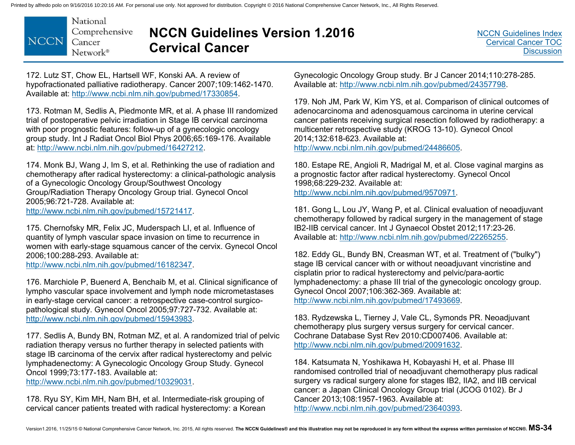

# **NCCN Guidelines Version 1.2016 Cervical Cancer**

172. Lutz ST, Chow EL, Hartsell WF, Konski AA. A review of hypofractionated palliative radiotherapy. Cancer 2007;109:1462-1470. Available at: http://www.ncbi.nlm.nih.gov/pubmed/17330854.

173. Rotman M, Sedlis A, Piedmonte MR, et al. A phase III randomized trial of postoperative pelvic irradiation in Stage IB cervical carcinoma with poor prognostic features: follow-up of a gynecologic oncology group study. Int J Radiat Oncol Biol Phys 2006;65:169-176. Available at: http://www.ncbi.nlm.nih.gov/pubmed/16427212.

174. Monk BJ, Wang J, Im S, et al. Rethinking the use of radiation and chemotherapy after radical hysterectomy: a clinical-pathologic analysis of a Gynecologic Oncology Group/Southwest Oncology Group/Radiation Therapy Oncology Group trial. Gynecol Oncol 2005;96:721-728. Available at: http://www.ncbi.nlm.nih.gov/pubmed/15721417.

175. Chernofsky MR, Felix JC, Muderspach LI, et al. Influence of quantity of lymph vascular space invasion on time to recurrence in women with early-stage squamous cancer of the cervix. Gynecol Oncol 2006;100:288-293. Available at: http://www.ncbi.nlm.nih.gov/pubmed/16182347.

176. Marchiole P, Buenerd A, Benchaib M, et al. Clinical significance of lympho vascular space involvement and lymph node micrometastases in early-stage cervical cancer: a retrospective case-control surgicopathological study. Gynecol Oncol 2005;97:727-732. Available at: http://www.ncbi.nlm.nih.gov/pubmed/15943983.

177. Sedlis A, Bundy BN, Rotman MZ, et al. A randomized trial of pelvic radiation therapy versus no further therapy in selected patients with stage IB carcinoma of the cervix after radical hysterectomy and pelvic lymphadenectomy: A Gynecologic Oncology Group Study. Gynecol Oncol 1999;73:177-183. Available at:

http://www.ncbi.nlm.nih.gov/pubmed/10329031.

178. Ryu SY, Kim MH, Nam BH, et al. Intermediate-risk grouping of cervical cancer patients treated with radical hysterectomy: a Korean Gynecologic Oncology Group study. Br J Cancer 2014;110:278-285. Available at: http://www.ncbi.nlm.nih.gov/pubmed/24357798.

179. Noh JM, Park W, Kim YS, et al. Comparison of clinical outcomes of adenocarcinoma and adenosquamous carcinoma in uterine cervical cancer patients receiving surgical resection followed by radiotherapy: a multicenter retrospective study (KROG 13-10). Gynecol Oncol 2014;132:618-623. Available at: http://www.ncbi.nlm.nih.gov/pubmed/24486605.

180. Estape RE, Angioli R, Madrigal M, et al. Close vaginal margins as a prognostic factor after radical hysterectomy. Gynecol Oncol 1998;68:229-232. Available at:

http://www.ncbi.nlm.nih.gov/pubmed/9570971.

181. Gong L, Lou JY, Wang P, et al. Clinical evaluation of neoadjuvant chemotherapy followed by radical surgery in the management of stage IB2-IIB cervical cancer. Int J Gynaecol Obstet 2012;117:23-26. Available at: http://www.ncbi.nlm.nih.gov/pubmed/22265255.

182. Eddy GL, Bundy BN, Creasman WT, et al. Treatment of ("bulky") stage IB cervical cancer with or without neoadjuvant vincristine and cisplatin prior to radical hysterectomy and pelvic/para-aortic lymphadenectomy: a phase III trial of the gynecologic oncology group. Gynecol Oncol 2007;106:362-369. Available at: http://www.ncbi.nlm.nih.gov/pubmed/17493669.

183. Rydzewska L, Tierney J, Vale CL, Symonds PR. Neoadjuvant chemotherapy plus surgery versus surgery for cervical cancer. Cochrane Database Syst Rev 2010:CD007406. Available at: http://www.ncbi.nlm.nih.gov/pubmed/20091632.

184. Katsumata N, Yoshikawa H, Kobayashi H, et al. Phase III randomised controlled trial of neoadjuvant chemotherapy plus radical surgery vs radical surgery alone for stages IB2, IIA2, and IIB cervical cancer: a Japan Clinical Oncology Group trial (JCOG 0102). Br J Cancer 2013;108:1957-1963. Available at: http://www.ncbi.nlm.nih.gov/pubmed/23640393.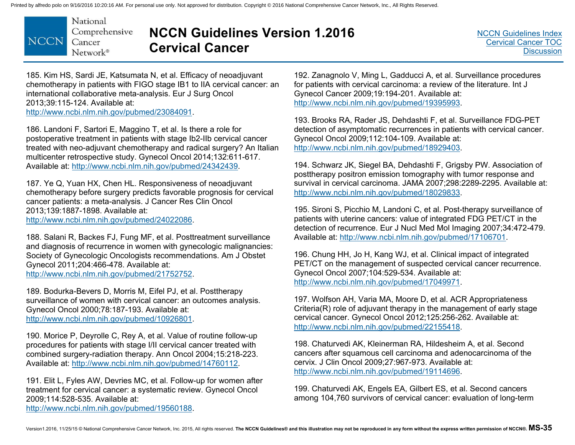

# **NCCN Guidelines Version 1.2016 Cervical Cancer**

185. Kim HS, Sardi JE, Katsumata N, et al. Efficacy of neoadjuvant chemotherapy in patients with FIGO stage IB1 to IIA cervical cancer: an international collaborative meta-analysis. Eur J Surg Oncol 2013;39:115-124. Available at: http://www.ncbi.nlm.nih.gov/pubmed/23084091.

186. Landoni F, Sartori E, Maggino T, et al. Is there a role for postoperative treatment in patients with stage Ib2-IIb cervical cancer treated with neo-adjuvant chemotherapy and radical surgery? An Italian multicenter retrospective study. Gynecol Oncol 2014;132:611-617. Available at: http://www.ncbi.nlm.nih.gov/pubmed/24342439.

187. Ye Q, Yuan HX, Chen HL. Responsiveness of neoadjuvant chemotherapy before surgery predicts favorable prognosis for cervical cancer patients: a meta-analysis. J Cancer Res Clin Oncol 2013;139:1887-1898. Available at:

http://www.ncbi.nlm.nih.gov/pubmed/24022086.

188. Salani R, Backes FJ, Fung MF, et al. Posttreatment surveillance and diagnosis of recurrence in women with gynecologic malignancies: Society of Gynecologic Oncologists recommendations. Am J Obstet Gynecol 2011;204:466-478. Available at: http://www.ncbi.nlm.nih.gov/pubmed/21752752.

189. Bodurka-Bevers D, Morris M, Eifel PJ, et al. Posttherapy surveillance of women with cervical cancer: an outcomes analysis. Gynecol Oncol 2000;78:187-193. Available at: http://www.ncbi.nlm.nih.gov/pubmed/10926801.

190. Morice P, Deyrolle C, Rey A, et al. Value of routine follow-up procedures for patients with stage I/II cervical cancer treated with combined surgery-radiation therapy. Ann Oncol 2004;15:218-223. Available at: http://www.ncbi.nlm.nih.gov/pubmed/14760112.

191. Elit L, Fyles AW, Devries MC, et al. Follow-up for women after treatment for cervical cancer: a systematic review. Gynecol Oncol 2009;114:528-535. Available at: http://www.ncbi.nlm.nih.gov/pubmed/19560188.

192. Zanagnolo V, Ming L, Gadducci A, et al. Surveillance procedures for patients with cervical carcinoma: a review of the literature. Int J Gynecol Cancer 2009;19:194-201. Available at: http://www.ncbi.nlm.nih.gov/pubmed/19395993.

193. Brooks RA, Rader JS, Dehdashti F, et al. Surveillance FDG-PET detection of asymptomatic recurrences in patients with cervical cancer. Gynecol Oncol 2009;112:104-109. Available at: http://www.ncbi.nlm.nih.gov/pubmed/18929403.

194. Schwarz JK, Siegel BA, Dehdashti F, Grigsby PW. Association of posttherapy positron emission tomography with tumor response and survival in cervical carcinoma. JAMA 2007;298:2289-2295. Available at: http://www.ncbi.nlm.nih.gov/pubmed/18029833.

195. Sironi S, Picchio M, Landoni C, et al. Post-therapy surveillance of patients with uterine cancers: value of integrated FDG PET/CT in the detection of recurrence. Eur J Nucl Med Mol Imaging 2007;34:472-479. Available at: http://www.ncbi.nlm.nih.gov/pubmed/17106701.

196. Chung HH, Jo H, Kang WJ, et al. Clinical impact of integrated PET/CT on the management of suspected cervical cancer recurrence. Gynecol Oncol 2007;104:529-534. Available at: http://www.ncbi.nlm.nih.gov/pubmed/17049971.

197. Wolfson AH, Varia MA, Moore D, et al. ACR Appropriateness Criteria(R) role of adjuvant therapy in the management of early stage cervical cancer. Gynecol Oncol 2012;125:256-262. Available at: http://www.ncbi.nlm.nih.gov/pubmed/22155418.

198. Chaturvedi AK, Kleinerman RA, Hildesheim A, et al. Second cancers after squamous cell carcinoma and adenocarcinoma of the cervix. J Clin Oncol 2009;27:967-973. Available at: http://www.ncbi.nlm.nih.gov/pubmed/19114696.

199. Chaturvedi AK, Engels EA, Gilbert ES, et al. Second cancers among 104,760 survivors of cervical cancer: evaluation of long-term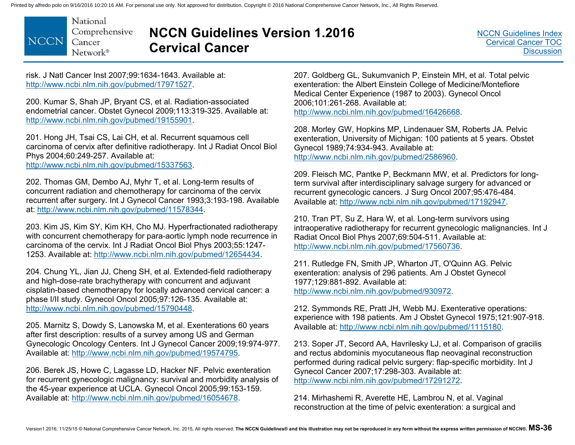National Comprehensive **NCCN** Cancer Network®

# **NCCN Guidelines Version 1.2016 Cervical Cancer**

risk. J Natl Cancer Inst 2007;99:1634-1643. Available at: http://www.ncbi.nlm.nih.gov/pubmed/17971527.

200. Kumar S, Shah JP, Bryant CS, et al. Radiation-associated endometrial cancer. Obstet Gynecol 2009;113:319-325. Available at: http://www.ncbi.nlm.nih.gov/pubmed/19155901.

201. Hong JH, Tsai CS, Lai CH, et al. Recurrent squamous cell carcinoma of cervix after definitive radiotherapy. Int J Radiat Oncol Biol Phys 2004;60:249-257. Available at:

http://www.ncbi.nlm.nih.gov/pubmed/15337563.

202. Thomas GM, Dembo AJ, Myhr T, et al. Long-term results of concurrent radiation and chemotherapy for carcinoma of the cervix recurrent after surgery. Int J Gynecol Cancer 1993;3:193-198. Available at: http://www.ncbi.nlm.nih.gov/pubmed/11578344.

203. Kim JS, Kim SY, Kim KH, Cho MJ. Hyperfractionated radiotherapy with concurrent chemotherapy for para-aortic lymph node recurrence in carcinoma of the cervix. Int J Radiat Oncol Biol Phys 2003;55:1247- 1253. Available at: http://www.ncbi.nlm.nih.gov/pubmed/12654434.

204. Chung YL, Jian JJ, Cheng SH, et al. Extended-field radiotherapy and high-dose-rate brachytherapy with concurrent and adjuvant cisplatin-based chemotherapy for locally advanced cervical cancer: a phase I/II study. Gynecol Oncol 2005;97:126-135. Available at: http://www.ncbi.nlm.nih.gov/pubmed/15790448.

205. Marnitz S, Dowdy S, Lanowska M, et al. Exenterations 60 years after first description: results of a survey among US and German Gynecologic Oncology Centers. Int J Gynecol Cancer 2009;19:974-977. Available at: http://www.ncbi.nlm.nih.gov/pubmed/19574795.

206. Berek JS, Howe C, Lagasse LD, Hacker NF. Pelvic exenteration for recurrent gynecologic malignancy: survival and morbidity analysis of the 45-year experience at UCLA. Gynecol Oncol 2005;99:153-159. Available at: http://www.ncbi.nlm.nih.gov/pubmed/16054678.

207. Goldberg GL, Sukumvanich P, Einstein MH, et al. Total pelvic exenteration: the Albert Einstein College of Medicine/Montefiore Medical Center Experience (1987 to 2003). Gynecol Oncol 2006;101:261-268. Available at: http://www.ncbi.nlm.nih.gov/pubmed/16426668.

208. Morley GW, Hopkins MP, Lindenauer SM, Roberts JA. Pelvic exenteration, University of Michigan: 100 patients at 5 years. Obstet Gynecol 1989;74:934-943. Available at: http://www.ncbi.nlm.nih.gov/pubmed/2586960.

209. Fleisch MC, Pantke P, Beckmann MW, et al. Predictors for longterm survival after interdisciplinary salvage surgery for advanced or recurrent gynecologic cancers. J Surg Oncol 2007;95:476-484. Available at: http://www.ncbi.nlm.nih.gov/pubmed/17192947.

210. Tran PT, Su Z, Hara W, et al. Long-term survivors using intraoperative radiotherapy for recurrent gynecologic malignancies. Int J Radiat Oncol Biol Phys 2007;69:504-511. Available at: http://www.ncbi.nlm.nih.gov/pubmed/17560736.

211. Rutledge FN, Smith JP, Wharton JT, O'Quinn AG. Pelvic exenteration: analysis of 296 patients. Am J Obstet Gynecol 1977;129:881-892. Available at: http://www.ncbi.nlm.nih.gov/pubmed/930972.

212. Symmonds RE, Pratt JH, Webb MJ. Exenterative operations: experience with 198 patients. Am J Obstet Gynecol 1975;121:907-918. Available at: http://www.ncbi.nlm.nih.gov/pubmed/1115180.

213. Soper JT, Secord AA, Havrilesky LJ, et al. Comparison of gracilis and rectus abdominis myocutaneous flap neovaginal reconstruction performed during radical pelvic surgery: flap-specific morbidity. Int J Gynecol Cancer 2007;17:298-303. Available at: http://www.ncbi.nlm.nih.gov/pubmed/17291272.

214. Mirhashemi R, Averette HE, Lambrou N, et al. Vaginal reconstruction at the time of pelvic exenteration: a surgical and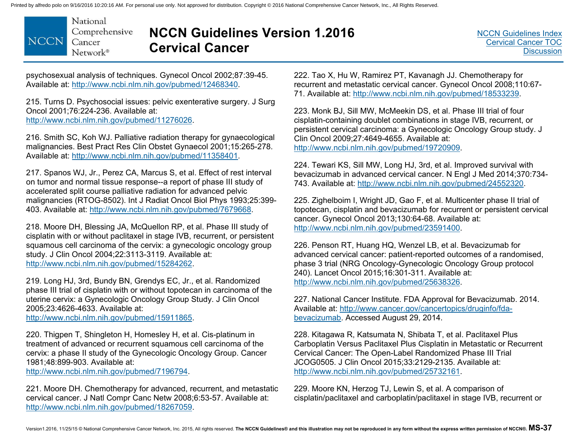

# **NCCN Guidelines Version 1.2016 Cervical Cancer**

psychosexual analysis of techniques. Gynecol Oncol 2002;87:39-45. Available at: http://www.ncbi.nlm.nih.gov/pubmed/12468340.

215. Turns D. Psychosocial issues: pelvic exenterative surgery. J Surg Oncol 2001;76:224-236. Available at: http://www.ncbi.nlm.nih.gov/pubmed/11276026.

216. Smith SC, Koh WJ. Palliative radiation therapy for gynaecological malignancies. Best Pract Res Clin Obstet Gynaecol 2001;15:265-278. Available at: http://www.ncbi.nlm.nih.gov/pubmed/11358401.

217. Spanos WJ, Jr., Perez CA, Marcus S, et al. Effect of rest interval on tumor and normal tissue response--a report of phase III study of accelerated split course palliative radiation for advanced pelvic malignancies (RTOG-8502). Int J Radiat Oncol Biol Phys 1993;25:399- 403. Available at: http://www.ncbi.nlm.nih.gov/pubmed/7679668.

218. Moore DH, Blessing JA, McQuellon RP, et al. Phase III study of cisplatin with or without paclitaxel in stage IVB, recurrent, or persistent squamous cell carcinoma of the cervix: a gynecologic oncology group study. J Clin Oncol 2004;22:3113-3119. Available at: http://www.ncbi.nlm.nih.gov/pubmed/15284262.

219. Long HJ, 3rd, Bundy BN, Grendys EC, Jr., et al. Randomized phase III trial of cisplatin with or without topotecan in carcinoma of the uterine cervix: a Gynecologic Oncology Group Study. J Clin Oncol 2005;23:4626-4633. Available at:

http://www.ncbi.nlm.nih.gov/pubmed/15911865.

220. Thigpen T, Shingleton H, Homesley H, et al. Cis-platinum in treatment of advanced or recurrent squamous cell carcinoma of the cervix: a phase II study of the Gynecologic Oncology Group. Cancer 1981;48:899-903. Available at:

http://www.ncbi.nlm.nih.gov/pubmed/7196794.

221. Moore DH. Chemotherapy for advanced, recurrent, and metastatic cervical cancer. J Natl Compr Canc Netw 2008;6:53-57. Available at: http://www.ncbi.nlm.nih.gov/pubmed/18267059.

222. Tao X, Hu W, Ramirez PT, Kavanagh JJ. Chemotherapy for recurrent and metastatic cervical cancer. Gynecol Oncol 2008;110:67- 71. Available at: http://www.ncbi.nlm.nih.gov/pubmed/18533239.

223. Monk BJ, Sill MW, McMeekin DS, et al. Phase III trial of four cisplatin-containing doublet combinations in stage IVB, recurrent, or persistent cervical carcinoma: a Gynecologic Oncology Group study. J Clin Oncol 2009;27:4649-4655. Available at: http://www.ncbi.nlm.nih.gov/pubmed/19720909.

224. Tewari KS, Sill MW, Long HJ, 3rd, et al. Improved survival with bevacizumab in advanced cervical cancer. N Engl J Med 2014;370:734- 743. Available at: http://www.ncbi.nlm.nih.gov/pubmed/24552320.

225. Zighelboim I, Wright JD, Gao F, et al. Multicenter phase II trial of topotecan, cisplatin and bevacizumab for recurrent or persistent cervical cancer. Gynecol Oncol 2013;130:64-68. Available at: http://www.ncbi.nlm.nih.gov/pubmed/23591400.

226. Penson RT, Huang HQ, Wenzel LB, et al. Bevacizumab for advanced cervical cancer: patient-reported outcomes of a randomised, phase 3 trial (NRG Oncology-Gynecologic Oncology Group protocol 240). Lancet Oncol 2015;16:301-311. Available at: http://www.ncbi.nlm.nih.gov/pubmed/25638326.

227. National Cancer Institute. FDA Approval for Bevacizumab. 2014. [Available at: http://www.cancer.gov/cancertopics/druginfo/fda](http://www.cancer.gov/cancertopics/druginfo/fda-bevacizumab)bevacizumab. Accessed August 29, 2014.

228. Kitagawa R, Katsumata N, Shibata T, et al. Paclitaxel Plus Carboplatin Versus Paclitaxel Plus Cisplatin in Metastatic or Recurrent Cervical Cancer: The Open-Label Randomized Phase III Trial JCOG0505. J Clin Oncol 2015;33:2129-2135. Available at: http://www.ncbi.nlm.nih.gov/pubmed/25732161.

229. Moore KN, Herzog TJ, Lewin S, et al. A comparison of cisplatin/paclitaxel and carboplatin/paclitaxel in stage IVB, recurrent or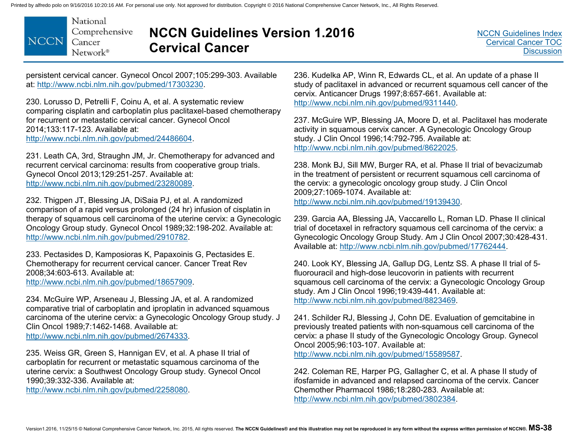

# **NCCN Guidelines Version 1.2016 Cervical Cancer**

persistent cervical cancer. Gynecol Oncol 2007;105:299-303. Available at: http://www.ncbi.nlm.nih.gov/pubmed/17303230.

230. Lorusso D, Petrelli F, Coinu A, et al. A systematic review comparing cisplatin and carboplatin plus paclitaxel-based chemotherapy for recurrent or metastatic cervical cancer. Gynecol Oncol 2014;133:117-123. Available at: http://www.ncbi.nlm.nih.gov/pubmed/24486604.

231. Leath CA, 3rd, Straughn JM, Jr. Chemotherapy for advanced and recurrent cervical carcinoma: results from cooperative group trials. Gynecol Oncol 2013;129:251-257. Available at: http://www.ncbi.nlm.nih.gov/pubmed/23280089.

232. Thigpen JT, Blessing JA, DiSaia PJ, et al. A randomized comparison of a rapid versus prolonged (24 hr) infusion of cisplatin in therapy of squamous cell carcinoma of the uterine cervix: a Gynecologic Oncology Group study. Gynecol Oncol 1989;32:198-202. Available at: http://www.ncbi.nlm.nih.gov/pubmed/2910782.

233. Pectasides D, Kamposioras K, Papaxoinis G, Pectasides E. Chemotherapy for recurrent cervical cancer. Cancer Treat Rev 2008;34:603-613. Available at: http://www.ncbi.nlm.nih.gov/pubmed/18657909.

234. McGuire WP, Arseneau J, Blessing JA, et al. A randomized comparative trial of carboplatin and iproplatin in advanced squamous carcinoma of the uterine cervix: a Gynecologic Oncology Group study. J Clin Oncol 1989;7:1462-1468. Available at: http://www.ncbi.nlm.nih.gov/pubmed/2674333.

235. Weiss GR, Green S, Hannigan EV, et al. A phase II trial of carboplatin for recurrent or metastatic squamous carcinoma of the uterine cervix: a Southwest Oncology Group study. Gynecol Oncol 1990;39:332-336. Available at:

http://www.ncbi.nlm.nih.gov/pubmed/2258080.

236. Kudelka AP, Winn R, Edwards CL, et al. An update of a phase II study of paclitaxel in advanced or recurrent squamous cell cancer of the cervix. Anticancer Drugs 1997;8:657-661. Available at: http://www.ncbi.nlm.nih.gov/pubmed/9311440.

237. McGuire WP, Blessing JA, Moore D, et al. Paclitaxel has moderate activity in squamous cervix cancer. A Gynecologic Oncology Group study. J Clin Oncol 1996;14:792-795. Available at: http://www.ncbi.nlm.nih.gov/pubmed/8622025.

238. Monk BJ, Sill MW, Burger RA, et al. Phase II trial of bevacizumab in the treatment of persistent or recurrent squamous cell carcinoma of the cervix: a gynecologic oncology group study. J Clin Oncol 2009;27:1069-1074. Available at: http://www.ncbi.nlm.nih.gov/pubmed/19139430.

239. Garcia AA, Blessing JA, Vaccarello L, Roman LD. Phase II clinical trial of docetaxel in refractory squamous cell carcinoma of the cervix: a Gynecologic Oncology Group Study. Am J Clin Oncol 2007;30:428-431. Available at: http://www.ncbi.nlm.nih.gov/pubmed/17762444.

240. Look KY, Blessing JA, Gallup DG, Lentz SS. A phase II trial of 5 fluorouracil and high-dose leucovorin in patients with recurrent squamous cell carcinoma of the cervix: a Gynecologic Oncology Group study. Am J Clin Oncol 1996;19:439-441. Available at: http://www.ncbi.nlm.nih.gov/pubmed/8823469.

241. Schilder RJ, Blessing J, Cohn DE. Evaluation of gemcitabine in previously treated patients with non-squamous cell carcinoma of the cervix: a phase II study of the Gynecologic Oncology Group. Gynecol Oncol 2005;96:103-107. Available at: http://www.ncbi.nlm.nih.gov/pubmed/15589587.

242. Coleman RE, Harper PG, Gallagher C, et al. A phase II study of ifosfamide in advanced and relapsed carcinoma of the cervix. Cancer Chemother Pharmacol 1986;18:280-283. Available at: http://www.ncbi.nlm.nih.gov/pubmed/3802384.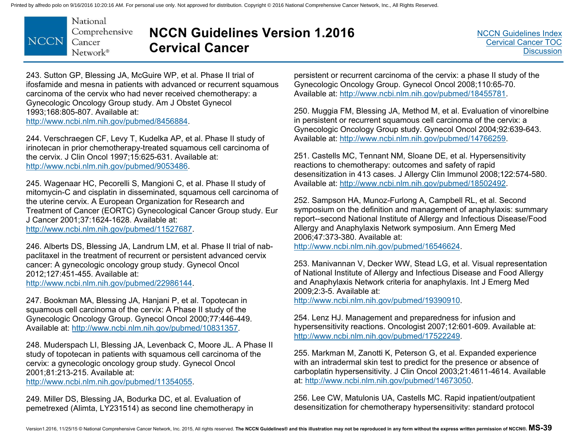

# **NCCN Guidelines Version 1.2016 Cervical Cancer**

243. Sutton GP, Blessing JA, McGuire WP, et al. Phase II trial of ifosfamide and mesna in patients with advanced or recurrent squamous carcinoma of the cervix who had never received chemotherapy: a Gynecologic Oncology Group study. Am J Obstet Gynecol 1993;168:805-807. Available at: http://www.ncbi.nlm.nih.gov/pubmed/8456884.

244. Verschraegen CF, Levy T, Kudelka AP, et al. Phase II study of irinotecan in prior chemotherapy-treated squamous cell carcinoma of the cervix. J Clin Oncol 1997;15:625-631. Available at: http://www.ncbi.nlm.nih.gov/pubmed/9053486.

245. Wagenaar HC, Pecorelli S, Mangioni C, et al. Phase II study of mitomycin-C and cisplatin in disseminated, squamous cell carcinoma of the uterine cervix. A European Organization for Research and Treatment of Cancer (EORTC) Gynecological Cancer Group study. Eur J Cancer 2001;37:1624-1628. Available at:

http://www.ncbi.nlm.nih.gov/pubmed/11527687.

246. Alberts DS, Blessing JA, Landrum LM, et al. Phase II trial of nabpaclitaxel in the treatment of recurrent or persistent advanced cervix cancer: A gynecologic oncology group study. Gynecol Oncol 2012;127:451-455. Available at: http://www.ncbi.nlm.nih.gov/pubmed/22986144.

247. Bookman MA, Blessing JA, Hanjani P, et al. Topotecan in squamous cell carcinoma of the cervix: A Phase II study of the Gynecologic Oncology Group. Gynecol Oncol 2000;77:446-449. Available at: http://www.ncbi.nlm.nih.gov/pubmed/10831357.

248. Muderspach LI, Blessing JA, Levenback C, Moore JL. A Phase II study of topotecan in patients with squamous cell carcinoma of the cervix: a gynecologic oncology group study. Gynecol Oncol 2001;81:213-215. Available at: http://www.ncbi.nlm.nih.gov/pubmed/11354055.

249. Miller DS, Blessing JA, Bodurka DC, et al. Evaluation of pemetrexed (Alimta, LY231514) as second line chemotherapy in

persistent or recurrent carcinoma of the cervix: a phase II study of the Gynecologic Oncology Group. Gynecol Oncol 2008;110:65-70. Available at: http://www.ncbi.nlm.nih.gov/pubmed/18455781.

250. Muggia FM, Blessing JA, Method M, et al. Evaluation of vinorelbine in persistent or recurrent squamous cell carcinoma of the cervix: a Gynecologic Oncology Group study. Gynecol Oncol 2004;92:639-643. Available at: http://www.ncbi.nlm.nih.gov/pubmed/14766259.

251. Castells MC, Tennant NM, Sloane DE, et al. Hypersensitivity reactions to chemotherapy: outcomes and safety of rapid desensitization in 413 cases. J Allergy Clin Immunol 2008;122:574-580. Available at: http://www.ncbi.nlm.nih.gov/pubmed/18502492.

252. Sampson HA, Munoz-Furlong A, Campbell RL, et al. Second symposium on the definition and management of anaphylaxis: summary report--second National Institute of Allergy and Infectious Disease/Food Allergy and Anaphylaxis Network symposium. Ann Emerg Med 2006;47:373-380. Available at:

http://www.ncbi.nlm.nih.gov/pubmed/16546624.

253. Manivannan V, Decker WW, Stead LG, et al. Visual representation of National Institute of Allergy and Infectious Disease and Food Allergy and Anaphylaxis Network criteria for anaphylaxis. Int J Emerg Med 2009;2:3-5. Available at:

http://www.ncbi.nlm.nih.gov/pubmed/19390910.

254. Lenz HJ. Management and preparedness for infusion and hypersensitivity reactions. Oncologist 2007;12:601-609. Available at: http://www.ncbi.nlm.nih.gov/pubmed/17522249.

255. Markman M, Zanotti K, Peterson G, et al. Expanded experience with an intradermal skin test to predict for the presence or absence of carboplatin hypersensitivity. J Clin Oncol 2003;21:4611-4614. Available at: http://www.ncbi.nlm.nih.gov/pubmed/14673050.

256. Lee CW, Matulonis UA, Castells MC. Rapid inpatient/outpatient desensitization for chemotherapy hypersensitivity: standard protocol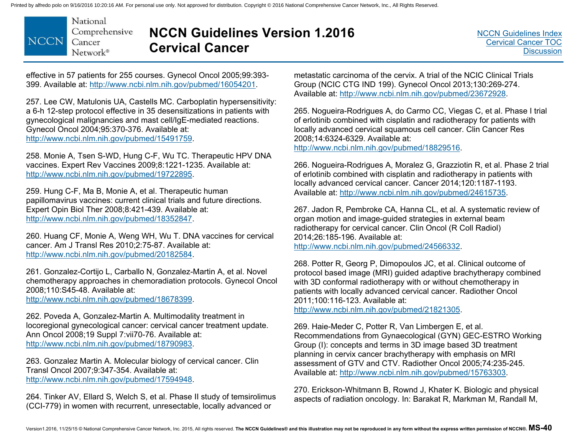

### **NCCN Guidelines Version 1.2016 Cervical Cancer**

effective in 57 patients for 255 courses. Gynecol Oncol 2005;99:393- 399. Available at: http://www.ncbi.nlm.nih.gov/pubmed/16054201.

257. Lee CW, Matulonis UA, Castells MC. Carboplatin hypersensitivity: a 6-h 12-step protocol effective in 35 desensitizations in patients with gynecological malignancies and mast cell/IgE-mediated reactions. Gynecol Oncol 2004;95:370-376. Available at: http://www.ncbi.nlm.nih.gov/pubmed/15491759.

258. Monie A, Tsen S-WD, Hung C-F, Wu TC. Therapeutic HPV DNA vaccines. Expert Rev Vaccines 2009;8:1221-1235. Available at: http://www.ncbi.nlm.nih.gov/pubmed/19722895.

259. Hung C-F, Ma B, Monie A, et al. Therapeutic human papillomavirus vaccines: current clinical trials and future directions. Expert Opin Biol Ther 2008;8:421-439. Available at: http://www.ncbi.nlm.nih.gov/pubmed/18352847.

260. Huang CF, Monie A, Weng WH, Wu T. DNA vaccines for cervical cancer. Am J Transl Res 2010;2:75-87. Available at: http://www.ncbi.nlm.nih.gov/pubmed/20182584.

261. Gonzalez-Cortijo L, Carballo N, Gonzalez-Martin A, et al. Novel chemotherapy approaches in chemoradiation protocols. Gynecol Oncol 2008;110:S45-48. Available at:

http://www.ncbi.nlm.nih.gov/pubmed/18678399.

262. Poveda A, Gonzalez-Martin A. Multimodality treatment in locoregional gynecological cancer: cervical cancer treatment update. Ann Oncol 2008;19 Suppl 7:vii70-76. Available at: http://www.ncbi.nlm.nih.gov/pubmed/18790983.

263. Gonzalez Martin A. Molecular biology of cervical cancer. Clin Transl Oncol 2007;9:347-354. Available at: http://www.ncbi.nlm.nih.gov/pubmed/17594948.

264. Tinker AV, Ellard S, Welch S, et al. Phase II study of temsirolimus (CCI-779) in women with recurrent, unresectable, locally advanced or

metastatic carcinoma of the cervix. A trial of the NCIC Clinical Trials Group (NCIC CTG IND 199). Gynecol Oncol 2013;130:269-274. Available at: http://www.ncbi.nlm.nih.gov/pubmed/23672928.

265. Nogueira-Rodrigues A, do Carmo CC, Viegas C, et al. Phase I trial of erlotinib combined with cisplatin and radiotherapy for patients with locally advanced cervical squamous cell cancer. Clin Cancer Res 2008;14:6324-6329. Available at:

http://www.ncbi.nlm.nih.gov/pubmed/18829516.

266. Nogueira-Rodrigues A, Moralez G, Grazziotin R, et al. Phase 2 trial of erlotinib combined with cisplatin and radiotherapy in patients with locally advanced cervical cancer. Cancer 2014;120:1187-1193. Available at: http://www.ncbi.nlm.nih.gov/pubmed/24615735.

267. Jadon R, Pembroke CA, Hanna CL, et al. A systematic review of organ motion and image-guided strategies in external beam radiotherapy for cervical cancer. Clin Oncol (R Coll Radiol) 2014;26:185-196. Available at: http://www.ncbi.nlm.nih.gov/pubmed/24566332.

268. Potter R, Georg P, Dimopoulos JC, et al. Clinical outcome of protocol based image (MRI) guided adaptive brachytherapy combined with 3D conformal radiotherapy with or without chemotherapy in patients with locally advanced cervical cancer. Radiother Oncol 2011;100:116-123. Available at:

http://www.ncbi.nlm.nih.gov/pubmed/21821305.

269. Haie-Meder C, Potter R, Van Limbergen E, et al. Recommendations from Gynaecological (GYN) GEC-ESTRO Working Group (I): concepts and terms in 3D image based 3D treatment planning in cervix cancer brachytherapy with emphasis on MRI assessment of GTV and CTV. Radiother Oncol 2005;74:235-245. Available at: http://www.ncbi.nlm.nih.gov/pubmed/15763303.

270. Erickson-Whitmann B, Rownd J, Khater K. Biologic and physical aspects of radiation oncology. In: Barakat R, Markman M, Randall M,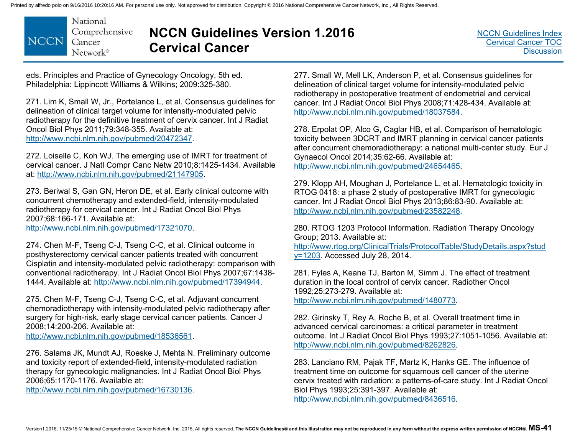National Comprehensive **NCCN** Cancer  $Network^*$ 

# **NCCN Guidelines Version 1.2016 Cervical Cancer**

eds. Principles and Practice of Gynecology Oncology, 5th ed. Philadelphia: Lippincott Williams & Wilkins; 2009:325-380.

271. Lim K, Small W, Jr., Portelance L, et al. Consensus guidelines for delineation of clinical target volume for intensity-modulated pelvic radiotherapy for the definitive treatment of cervix cancer. Int J Radiat Oncol Biol Phys 2011;79:348-355. Available at: http://www.ncbi.nlm.nih.gov/pubmed/20472347.

272. Loiselle C, Koh WJ. The emerging use of IMRT for treatment of cervical cancer. J Natl Compr Canc Netw 2010;8:1425-1434. Available at: http://www.ncbi.nlm.nih.gov/pubmed/21147905.

273. Beriwal S, Gan GN, Heron DE, et al. Early clinical outcome with concurrent chemotherapy and extended-field, intensity-modulated radiotherapy for cervical cancer. Int J Radiat Oncol Biol Phys 2007;68:166-171. Available at:

http://www.ncbi.nlm.nih.gov/pubmed/17321070.

274. Chen M-F, Tseng C-J, Tseng C-C, et al. Clinical outcome in posthysterectomy cervical cancer patients treated with concurrent Cisplatin and intensity-modulated pelvic radiotherapy: comparison with conventional radiotherapy. Int J Radiat Oncol Biol Phys 2007;67:1438- 1444. Available at: http://www.ncbi.nlm.nih.gov/pubmed/17394944.

275. Chen M-F, Tseng C-J, Tseng C-C, et al. Adjuvant concurrent chemoradiotherapy with intensity-modulated pelvic radiotherapy after surgery for high-risk, early stage cervical cancer patients. Cancer J 2008;14:200-206. Available at:

http://www.ncbi.nlm.nih.gov/pubmed/18536561.

276. Salama JK, Mundt AJ, Roeske J, Mehta N. Preliminary outcome and toxicity report of extended-field, intensity-modulated radiation therapy for gynecologic malignancies. Int J Radiat Oncol Biol Phys 2006;65:1170-1176. Available at:

http://www.ncbi.nlm.nih.gov/pubmed/16730136.

277. Small W, Mell LK, Anderson P, et al. Consensus guidelines for delineation of clinical target volume for intensity-modulated pelvic radiotherapy in postoperative treatment of endometrial and cervical cancer. Int J Radiat Oncol Biol Phys 2008;71:428-434. Available at: http://www.ncbi.nlm.nih.gov/pubmed/18037584.

278. Erpolat OP, Alco G, Caglar HB, et al. Comparison of hematologic toxicity between 3DCRT and IMRT planning in cervical cancer patients after concurrent chemoradiotherapy: a national multi-center study. Eur J Gynaecol Oncol 2014;35:62-66. Available at: http://www.ncbi.nlm.nih.gov/pubmed/24654465.

279. Klopp AH, Moughan J, Portelance L, et al. Hematologic toxicity in RTOG 0418: a phase 2 study of postoperative IMRT for gynecologic cancer. Int J Radiat Oncol Biol Phys 2013;86:83-90. Available at: http://www.ncbi.nlm.nih.gov/pubmed/23582248.

280. RTOG 1203 Protocol Information. Radiation Therapy Oncology Group; 2013. Available at: [http://www.rtog.org/ClinicalTrials/ProtocolTable/StudyDetails.aspx?stud](http://www.rtog.org/ClinicalTrials/ProtocolTable/StudyDetails.aspx?study=1203) y=1203. Accessed July 28, 2014.

281. Fyles A, Keane TJ, Barton M, Simm J. The effect of treatment duration in the local control of cervix cancer. Radiother Oncol1992;25:273-279. Available at:

http://www.ncbi.nlm.nih.gov/pubmed/1480773.

282. Girinsky T, Rey A, Roche B, et al. Overall treatment time in advanced cervical carcinomas: a critical parameter in treatment outcome. Int J Radiat Oncol Biol Phys 1993;27:1051-1056. Available at: http://www.ncbi.nlm.nih.gov/pubmed/8262826.

283. Lanciano RM, Pajak TF, Martz K, Hanks GE. The influence of treatment time on outcome for squamous cell cancer of the uterine cervix treated with radiation: a patterns-of-care study. Int J Radiat Oncol Biol Phys 1993;25:391-397. Available at: http://www.ncbi.nlm.nih.gov/pubmed/8436516.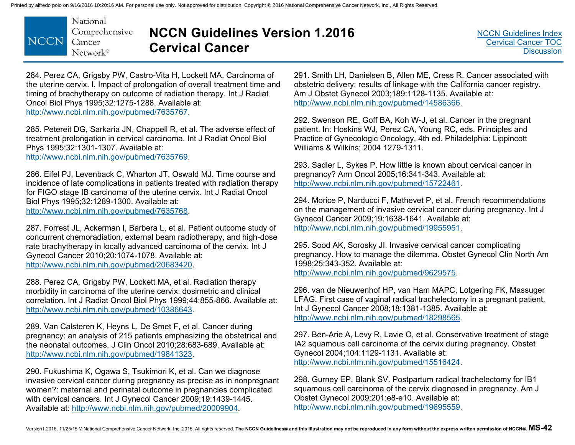

# **NCCN Guidelines Version 1.2016 Cervical Cancer**

284. Perez CA, Grigsby PW, Castro-Vita H, Lockett MA. Carcinoma of the uterine cervix. I. Impact of prolongation of overall treatment time and timing of brachytherapy on outcome of radiation therapy. Int J Radiat Oncol Biol Phys 1995;32:1275-1288. Available at: http://www.ncbi.nlm.nih.gov/pubmed/7635767.

285. Petereit DG, Sarkaria JN, Chappell R, et al. The adverse effect of treatment prolongation in cervical carcinoma. Int J Radiat Oncol Biol Phys 1995;32:1301-1307. Available at: http://www.ncbi.nlm.nih.gov/pubmed/7635769.

286. Eifel PJ, Levenback C, Wharton JT, Oswald MJ. Time course and incidence of late complications in patients treated with radiation therapy for FIGO stage IB carcinoma of the uterine cervix. Int J Radiat Oncol Biol Phys 1995;32:1289-1300. Available at: http://www.ncbi.nlm.nih.gov/pubmed/7635768.

287. Forrest JL, Ackerman I, Barbera L, et al. Patient outcome study of concurrent chemoradiation, external beam radiotherapy, and high-dose rate brachytherapy in locally advanced carcinoma of the cervix. Int J Gynecol Cancer 2010;20:1074-1078. Available at: http://www.ncbi.nlm.nih.gov/pubmed/20683420.

288. Perez CA, Grigsby PW, Lockett MA, et al. Radiation therapy morbidity in carcinoma of the uterine cervix: dosimetric and clinical correlation. Int J Radiat Oncol Biol Phys 1999;44:855-866. Available at: http://www.ncbi.nlm.nih.gov/pubmed/10386643.

289. Van Calsteren K, Heyns L, De Smet F, et al. Cancer during pregnancy: an analysis of 215 patients emphasizing the obstetrical and the neonatal outcomes. J Clin Oncol 2010;28:683-689. Available at: http://www.ncbi.nlm.nih.gov/pubmed/19841323.

290. Fukushima K, Ogawa S, Tsukimori K, et al. Can we diagnose invasive cervical cancer during pregnancy as precise as in nonpregnant women?: maternal and perinatal outcome in pregnancies complicated with cervical cancers. Int J Gynecol Cancer 2009;19:1439-1445. Available at: http://www.ncbi.nlm.nih.gov/pubmed/20009904.

291. Smith LH, Danielsen B, Allen ME, Cress R. Cancer associated with obstetric delivery: results of linkage with the California cancer registry. Am J Obstet Gynecol 2003;189:1128-1135. Available at: http://www.ncbi.nlm.nih.gov/pubmed/14586366.

292. Swenson RE, Goff BA, Koh W-J, et al. Cancer in the pregnant patient. In: Hoskins WJ, Perez CA, Young RC, eds. Principles and Practice of Gynecologic Oncology, 4th ed. Philadelphia: Lippincott Williams & Wilkins; 2004 1279-1311.

293. Sadler L, Sykes P. How little is known about cervical cancer in pregnancy? Ann Oncol 2005;16:341-343. Available at: http://www.ncbi.nlm.nih.gov/pubmed/15722461.

294. Morice P, Narducci F, Mathevet P, et al. French recommendations on the management of invasive cervical cancer during pregnancy. Int J Gynecol Cancer 2009;19:1638-1641. Available at: http://www.ncbi.nlm.nih.gov/pubmed/19955951.

295. Sood AK, Sorosky JI. Invasive cervical cancer complicating pregnancy. How to manage the dilemma. Obstet Gynecol Clin North Am 1998;25:343-352. Available at: http://www.ncbi.nlm.nih.gov/pubmed/9629575.

296. van de Nieuwenhof HP, van Ham MAPC, Lotgering FK, Massuger LFAG. First case of vaginal radical trachelectomy in a pregnant patient. Int J Gynecol Cancer 2008;18:1381-1385. Available at: http://www.ncbi.nlm.nih.gov/pubmed/18298565.

297. Ben-Arie A, Levy R, Lavie O, et al. Conservative treatment of stage IA2 squamous cell carcinoma of the cervix during pregnancy. Obstet Gynecol 2004;104:1129-1131. Available at: http://www.ncbi.nlm.nih.gov/pubmed/15516424.

298. Gurney EP, Blank SV. Postpartum radical trachelectomy for IB1 squamous cell carcinoma of the cervix diagnosed in pregnancy. Am J Obstet Gynecol 2009;201:e8-e10. Available at: http://www.ncbi.nlm.nih.gov/pubmed/19695559.